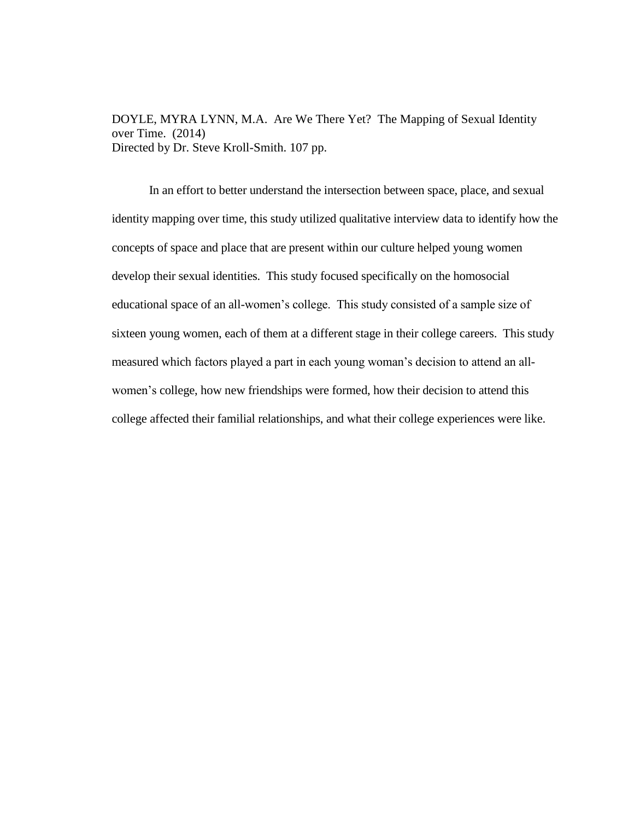DOYLE, MYRA LYNN, M.A. Are We There Yet? The Mapping of Sexual Identity over Time. (2014) Directed by Dr. Steve Kroll-Smith. 107 pp.

In an effort to better understand the intersection between space, place, and sexual identity mapping over time, this study utilized qualitative interview data to identify how the concepts of space and place that are present within our culture helped young women develop their sexual identities. This study focused specifically on the homosocial educational space of an all-women's college. This study consisted of a sample size of sixteen young women, each of them at a different stage in their college careers. This study measured which factors played a part in each young woman's decision to attend an allwomen's college, how new friendships were formed, how their decision to attend this college affected their familial relationships, and what their college experiences were like.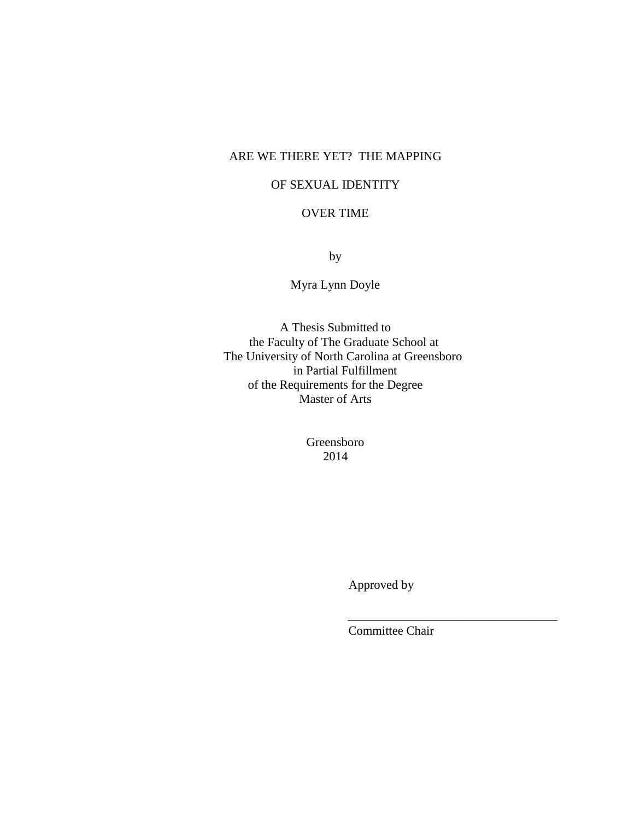# ARE WE THERE YET? THE MAPPING

# OF SEXUAL IDENTITY

## OVER TIME

by

Myra Lynn Doyle

A Thesis Submitted to the Faculty of The Graduate School at The University of North Carolina at Greensboro in Partial Fulfillment of the Requirements for the Degree Master of Arts

> Greensboro 2014

> > Approved by

Committee Chair

 $\frac{1}{\sqrt{2}}$  ,  $\frac{1}{\sqrt{2}}$  ,  $\frac{1}{\sqrt{2}}$  ,  $\frac{1}{\sqrt{2}}$  ,  $\frac{1}{\sqrt{2}}$  ,  $\frac{1}{\sqrt{2}}$  ,  $\frac{1}{\sqrt{2}}$  ,  $\frac{1}{\sqrt{2}}$  ,  $\frac{1}{\sqrt{2}}$  ,  $\frac{1}{\sqrt{2}}$  ,  $\frac{1}{\sqrt{2}}$  ,  $\frac{1}{\sqrt{2}}$  ,  $\frac{1}{\sqrt{2}}$  ,  $\frac{1}{\sqrt{2}}$  ,  $\frac{1}{\sqrt{2}}$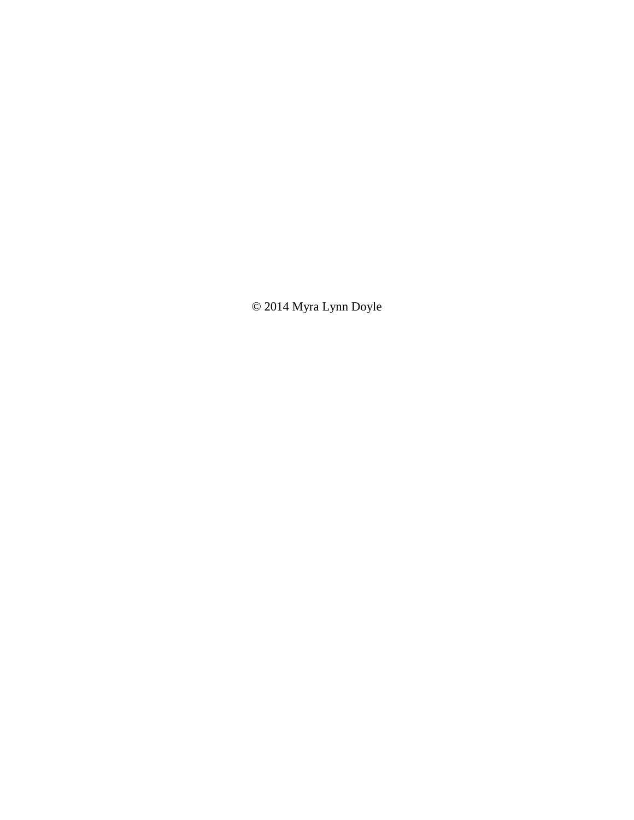© 2014 Myra Lynn Doyle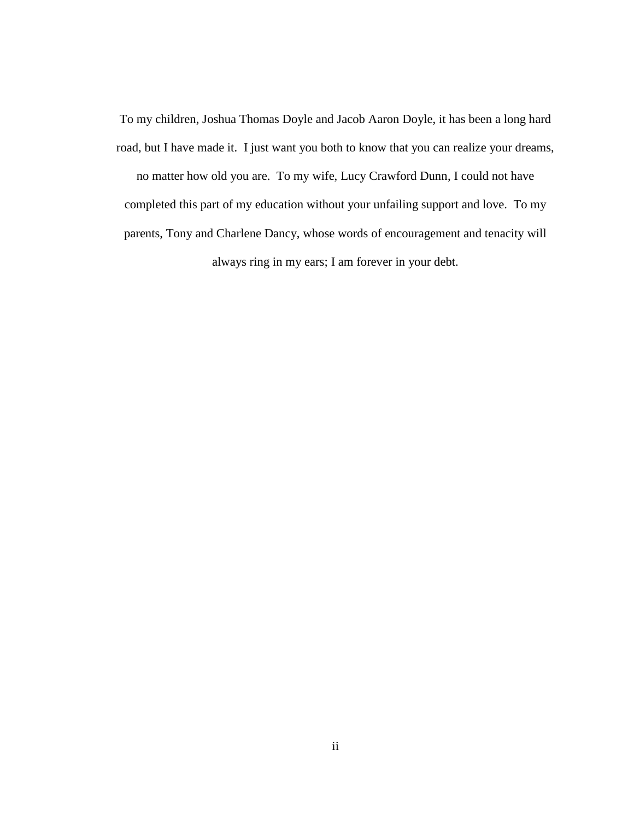To my children, Joshua Thomas Doyle and Jacob Aaron Doyle, it has been a long hard road, but I have made it. I just want you both to know that you can realize your dreams,

no matter how old you are. To my wife, Lucy Crawford Dunn, I could not have completed this part of my education without your unfailing support and love. To my parents, Tony and Charlene Dancy, whose words of encouragement and tenacity will always ring in my ears; I am forever in your debt.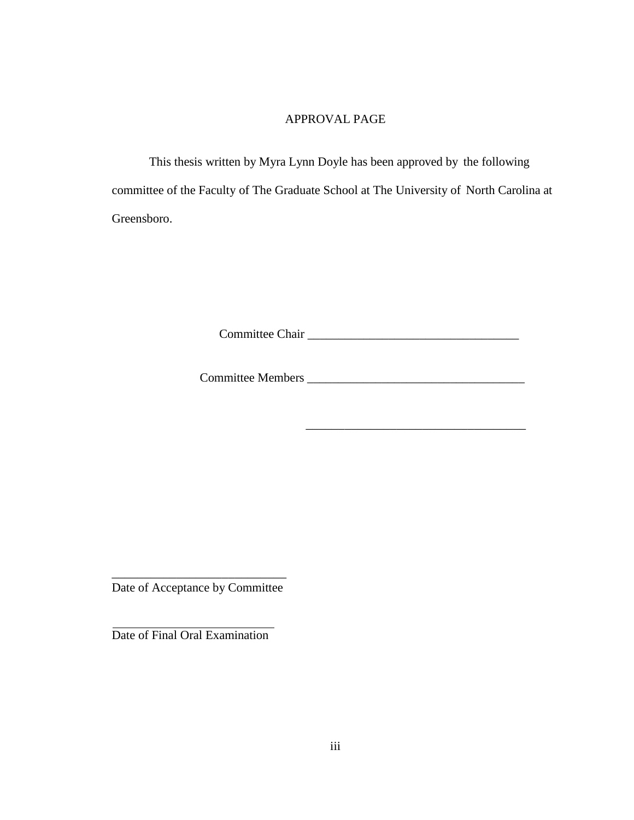## APPROVAL PAGE

This thesis written by Myra Lynn Doyle has been approved by the following committee of the Faculty of The Graduate School at The University of North Carolina at Greensboro.

Committee Chair \_\_\_\_\_\_\_\_\_\_\_\_\_\_\_\_\_\_\_\_\_\_\_\_\_\_\_\_\_\_\_\_\_\_

Committee Members \_\_\_\_\_\_\_\_\_\_\_\_\_\_\_\_\_\_\_\_\_\_\_\_\_\_\_\_\_\_\_\_\_\_\_

\_\_\_\_\_\_\_\_\_\_\_\_\_\_\_\_\_\_\_\_\_\_\_\_\_\_\_\_\_\_\_\_\_\_

\_\_\_\_\_\_\_\_\_\_\_\_\_\_\_\_\_\_\_\_\_\_\_\_\_\_\_ Date of Acceptance by Committee

Date of Final Oral Examination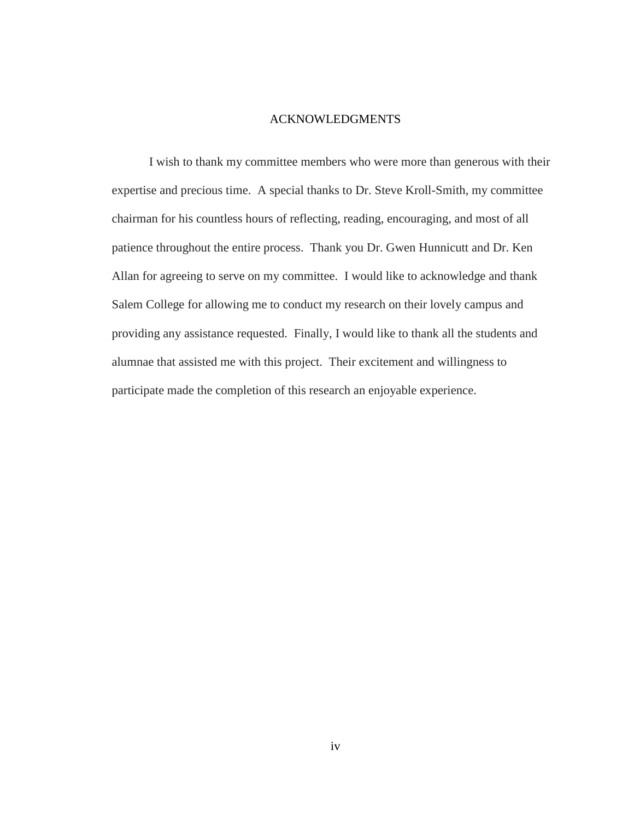#### ACKNOWLEDGMENTS

I wish to thank my committee members who were more than generous with their expertise and precious time. A special thanks to Dr. Steve Kroll-Smith, my committee chairman for his countless hours of reflecting, reading, encouraging, and most of all patience throughout the entire process. Thank you Dr. Gwen Hunnicutt and Dr. Ken Allan for agreeing to serve on my committee. I would like to acknowledge and thank Salem College for allowing me to conduct my research on their lovely campus and providing any assistance requested. Finally, I would like to thank all the students and alumnae that assisted me with this project. Their excitement and willingness to participate made the completion of this research an enjoyable experience.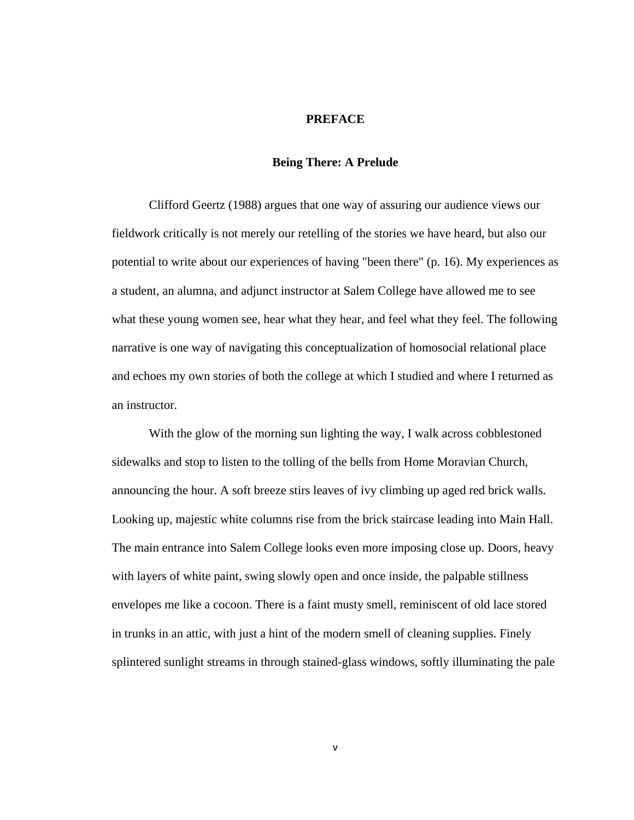## **PREFACE**

#### **Being There: A Prelude**

Clifford Geertz (1988) argues that one way of assuring our audience views our fieldwork critically is not merely our retelling of the stories we have heard, but also our potential to write about our experiences of having "been there" (p. 16). My experiences as a student, an alumna, and adjunct instructor at Salem College have allowed me to see what these young women see, hear what they hear, and feel what they feel. The following narrative is one way of navigating this conceptualization of homosocial relational place and echoes my own stories of both the college at which I studied and where I returned as an instructor.

With the glow of the morning sun lighting the way, I walk across cobblestoned sidewalks and stop to listen to the tolling of the bells from Home Moravian Church, announcing the hour. A soft breeze stirs leaves of ivy climbing up aged red brick walls. Looking up, majestic white columns rise from the brick staircase leading into Main Hall. The main entrance into Salem College looks even more imposing close up. Doors, heavy with layers of white paint, swing slowly open and once inside, the palpable stillness envelopes me like a cocoon. There is a faint musty smell, reminiscent of old lace stored in trunks in an attic, with just a hint of the modern smell of cleaning supplies. Finely splintered sunlight streams in through stained-glass windows, softly illuminating the pale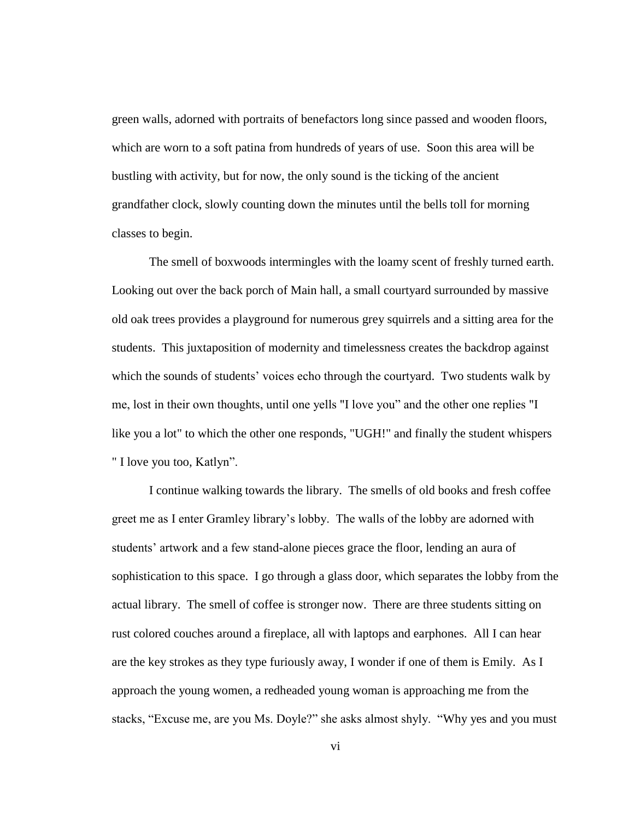green walls, adorned with portraits of benefactors long since passed and wooden floors, which are worn to a soft patina from hundreds of years of use. Soon this area will be bustling with activity, but for now, the only sound is the ticking of the ancient grandfather clock, slowly counting down the minutes until the bells toll for morning classes to begin.

The smell of boxwoods intermingles with the loamy scent of freshly turned earth. Looking out over the back porch of Main hall, a small courtyard surrounded by massive old oak trees provides a playground for numerous grey squirrels and a sitting area for the students. This juxtaposition of modernity and timelessness creates the backdrop against which the sounds of students' voices echo through the courtyard. Two students walk by me, lost in their own thoughts, until one yells "I love you" and the other one replies "I like you a lot" to which the other one responds, "UGH!" and finally the student whispers " I love you too, Katlyn".

I continue walking towards the library. The smells of old books and fresh coffee greet me as I enter Gramley library's lobby. The walls of the lobby are adorned with students' artwork and a few stand-alone pieces grace the floor, lending an aura of sophistication to this space. I go through a glass door, which separates the lobby from the actual library. The smell of coffee is stronger now. There are three students sitting on rust colored couches around a fireplace, all with laptops and earphones. All I can hear are the key strokes as they type furiously away, I wonder if one of them is Emily. As I approach the young women, a redheaded young woman is approaching me from the stacks, "Excuse me, are you Ms. Doyle?" she asks almost shyly. "Why yes and you must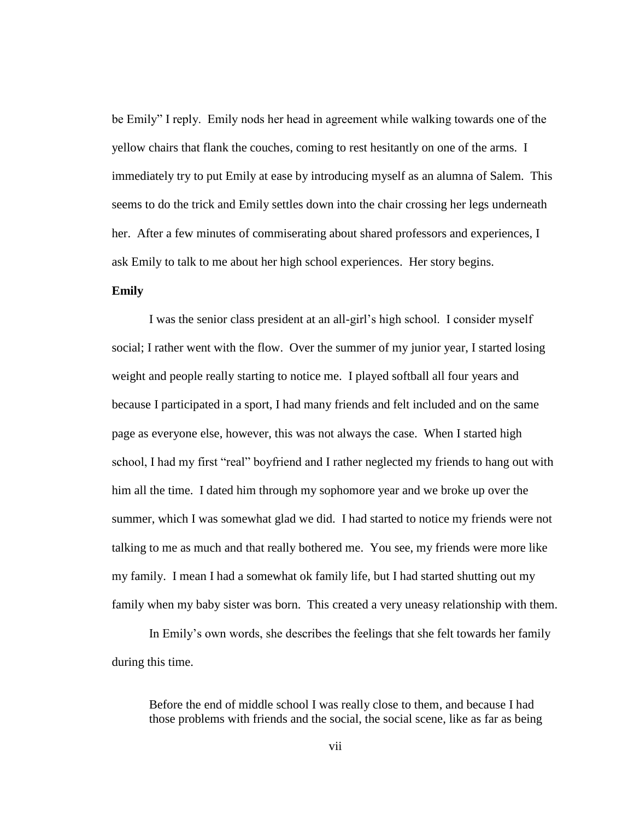be Emily" I reply. Emily nods her head in agreement while walking towards one of the yellow chairs that flank the couches, coming to rest hesitantly on one of the arms. I immediately try to put Emily at ease by introducing myself as an alumna of Salem. This seems to do the trick and Emily settles down into the chair crossing her legs underneath her. After a few minutes of commiserating about shared professors and experiences, I ask Emily to talk to me about her high school experiences. Her story begins.

## **Emily**

I was the senior class president at an all-girl's high school. I consider myself social; I rather went with the flow. Over the summer of my junior year, I started losing weight and people really starting to notice me. I played softball all four years and because I participated in a sport, I had many friends and felt included and on the same page as everyone else, however, this was not always the case. When I started high school, I had my first "real" boyfriend and I rather neglected my friends to hang out with him all the time. I dated him through my sophomore year and we broke up over the summer, which I was somewhat glad we did. I had started to notice my friends were not talking to me as much and that really bothered me. You see, my friends were more like my family. I mean I had a somewhat ok family life, but I had started shutting out my family when my baby sister was born. This created a very uneasy relationship with them.

In Emily's own words, she describes the feelings that she felt towards her family during this time.

Before the end of middle school I was really close to them, and because I had those problems with friends and the social, the social scene, like as far as being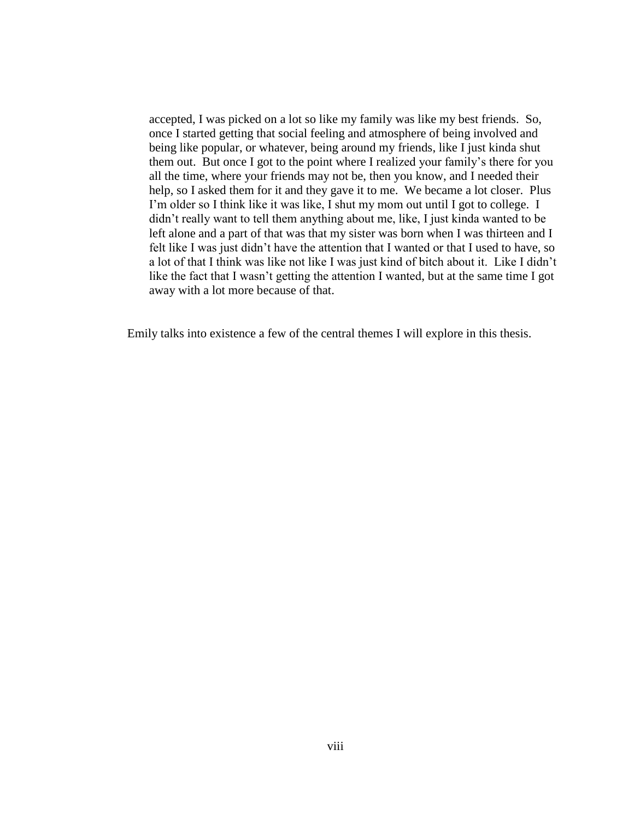accepted, I was picked on a lot so like my family was like my best friends. So, once I started getting that social feeling and atmosphere of being involved and being like popular, or whatever, being around my friends, like I just kinda shut them out. But once I got to the point where I realized your family's there for you all the time, where your friends may not be, then you know, and I needed their help, so I asked them for it and they gave it to me. We became a lot closer. Plus I'm older so I think like it was like, I shut my mom out until I got to college. I didn't really want to tell them anything about me, like, I just kinda wanted to be left alone and a part of that was that my sister was born when I was thirteen and I felt like I was just didn't have the attention that I wanted or that I used to have, so a lot of that I think was like not like I was just kind of bitch about it. Like I didn't like the fact that I wasn't getting the attention I wanted, but at the same time I got away with a lot more because of that.

Emily talks into existence a few of the central themes I will explore in this thesis.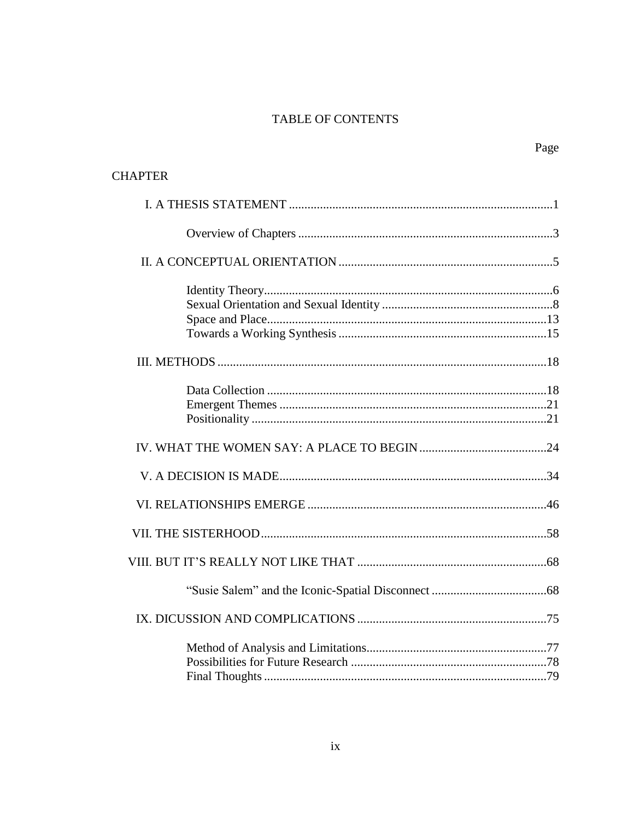# TABLE OF CONTENTS

Page

| <b>CHAPTER</b> |  |
|----------------|--|
|                |  |
|                |  |
|                |  |
|                |  |
|                |  |
|                |  |
|                |  |
|                |  |
|                |  |
|                |  |
|                |  |
|                |  |
|                |  |
|                |  |
|                |  |
|                |  |
|                |  |
|                |  |
|                |  |
|                |  |
|                |  |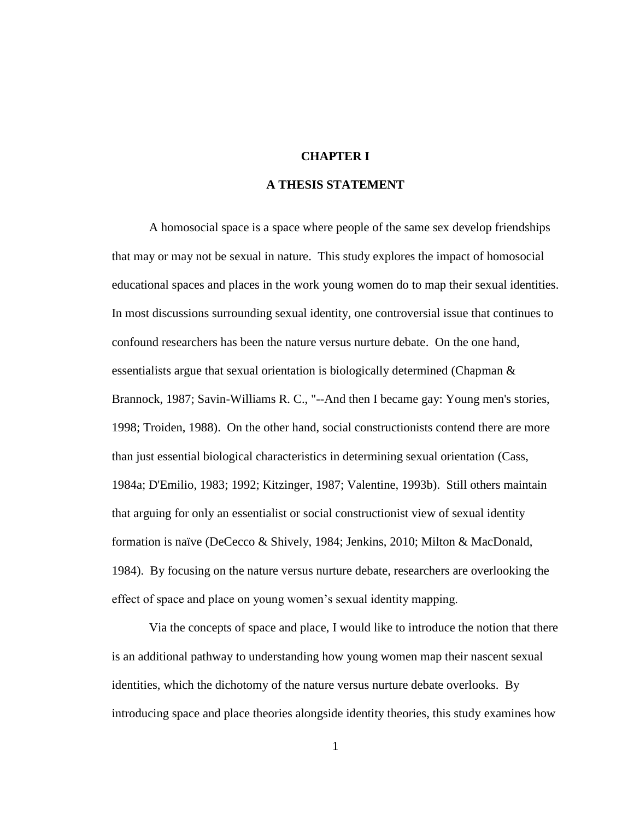## **CHAPTER I**

## **A THESIS STATEMENT**

A homosocial space is a space where people of the same sex develop friendships that may or may not be sexual in nature. This study explores the impact of homosocial educational spaces and places in the work young women do to map their sexual identities. In most discussions surrounding sexual identity, one controversial issue that continues to confound researchers has been the nature versus nurture debate. On the one hand, essentialists argue that sexual orientation is biologically determined (Chapman & Brannock, 1987; Savin-Williams R. C., "--And then I became gay: Young men's stories, 1998; Troiden, 1988). On the other hand, social constructionists contend there are more than just essential biological characteristics in determining sexual orientation (Cass, 1984a; D'Emilio, 1983; 1992; Kitzinger, 1987; Valentine, 1993b). Still others maintain that arguing for only an essentialist or social constructionist view of sexual identity formation is naïve (DeCecco & Shively, 1984; Jenkins, 2010; Milton & MacDonald, 1984). By focusing on the nature versus nurture debate, researchers are overlooking the effect of space and place on young women's sexual identity mapping.

Via the concepts of space and place, I would like to introduce the notion that there is an additional pathway to understanding how young women map their nascent sexual identities, which the dichotomy of the nature versus nurture debate overlooks. By introducing space and place theories alongside identity theories, this study examines how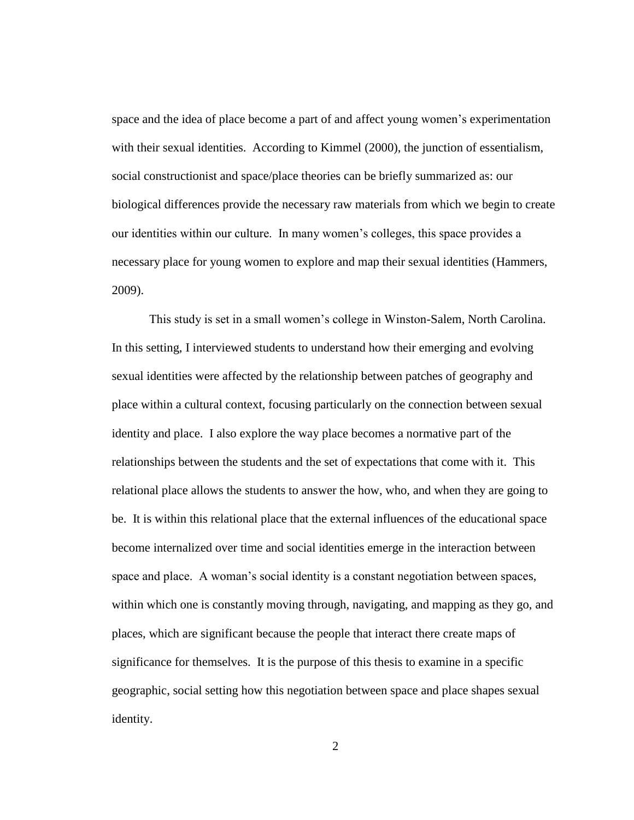space and the idea of place become a part of and affect young women's experimentation with their sexual identities. According to Kimmel (2000), the junction of essentialism, social constructionist and space/place theories can be briefly summarized as: our biological differences provide the necessary raw materials from which we begin to create our identities within our culture. In many women's colleges, this space provides a necessary place for young women to explore and map their sexual identities (Hammers, 2009).

This study is set in a small women's college in Winston-Salem, North Carolina. In this setting, I interviewed students to understand how their emerging and evolving sexual identities were affected by the relationship between patches of geography and place within a cultural context, focusing particularly on the connection between sexual identity and place. I also explore the way place becomes a normative part of the relationships between the students and the set of expectations that come with it. This relational place allows the students to answer the how, who, and when they are going to be. It is within this relational place that the external influences of the educational space become internalized over time and social identities emerge in the interaction between space and place. A woman's social identity is a constant negotiation between spaces, within which one is constantly moving through, navigating, and mapping as they go, and places, which are significant because the people that interact there create maps of significance for themselves. It is the purpose of this thesis to examine in a specific geographic, social setting how this negotiation between space and place shapes sexual identity.

2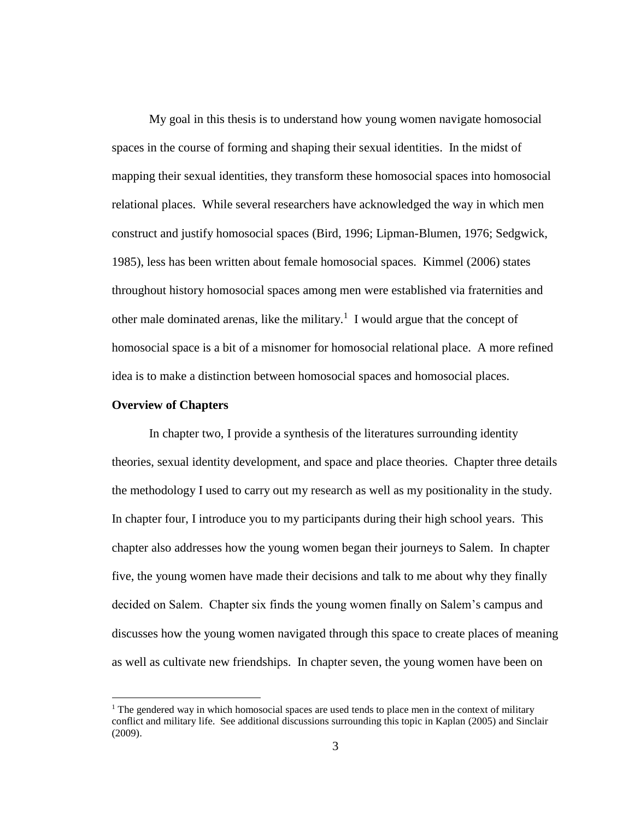My goal in this thesis is to understand how young women navigate homosocial spaces in the course of forming and shaping their sexual identities. In the midst of mapping their sexual identities, they transform these homosocial spaces into homosocial relational places. While several researchers have acknowledged the way in which men construct and justify homosocial spaces (Bird, 1996; Lipman-Blumen, 1976; Sedgwick, 1985), less has been written about female homosocial spaces. Kimmel (2006) states throughout history homosocial spaces among men were established via fraternities and other male dominated arenas, like the military.<sup>1</sup> I would argue that the concept of homosocial space is a bit of a misnomer for homosocial relational place. A more refined idea is to make a distinction between homosocial spaces and homosocial places.

#### **Overview of Chapters**

 $\overline{a}$ 

In chapter two, I provide a synthesis of the literatures surrounding identity theories, sexual identity development, and space and place theories. Chapter three details the methodology I used to carry out my research as well as my positionality in the study. In chapter four, I introduce you to my participants during their high school years. This chapter also addresses how the young women began their journeys to Salem. In chapter five, the young women have made their decisions and talk to me about why they finally decided on Salem. Chapter six finds the young women finally on Salem's campus and discusses how the young women navigated through this space to create places of meaning as well as cultivate new friendships. In chapter seven, the young women have been on

 $<sup>1</sup>$  The gendered way in which homosocial spaces are used tends to place men in the context of military</sup> conflict and military life. See additional discussions surrounding this topic in Kaplan (2005) and Sinclair (2009).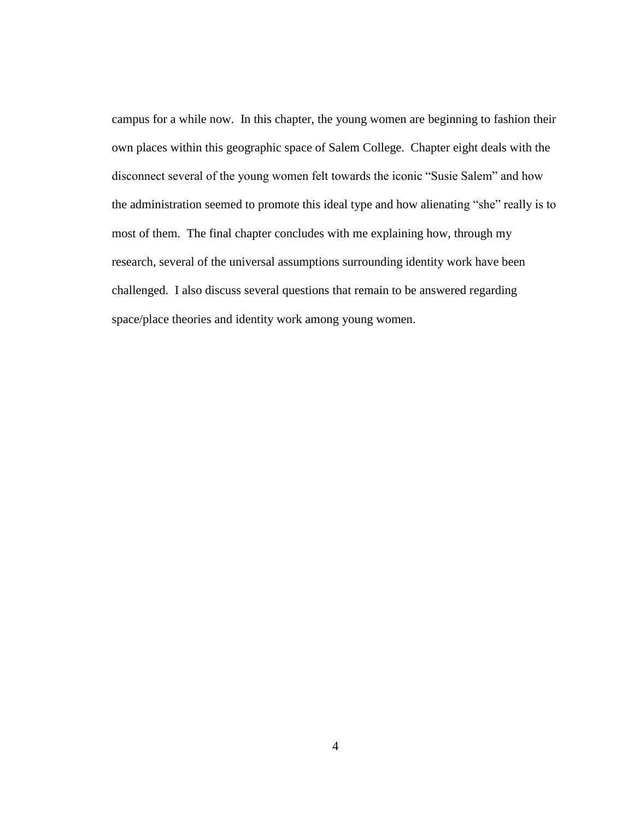campus for a while now. In this chapter, the young women are beginning to fashion their own places within this geographic space of Salem College. Chapter eight deals with the disconnect several of the young women felt towards the iconic "Susie Salem" and how the administration seemed to promote this ideal type and how alienating "she" really is to most of them. The final chapter concludes with me explaining how, through my research, several of the universal assumptions surrounding identity work have been challenged. I also discuss several questions that remain to be answered regarding space/place theories and identity work among young women.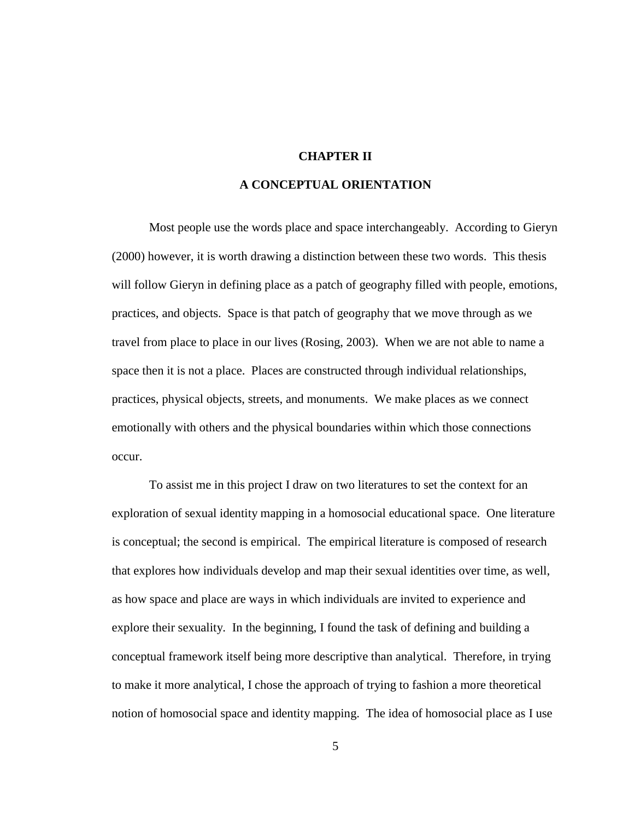## **CHAPTER II**

## **A CONCEPTUAL ORIENTATION**

Most people use the words place and space interchangeably. According to Gieryn (2000) however, it is worth drawing a distinction between these two words. This thesis will follow Gieryn in defining place as a patch of geography filled with people, emotions, practices, and objects. Space is that patch of geography that we move through as we travel from place to place in our lives (Rosing, 2003). When we are not able to name a space then it is not a place. Places are constructed through individual relationships, practices, physical objects, streets, and monuments. We make places as we connect emotionally with others and the physical boundaries within which those connections occur.

To assist me in this project I draw on two literatures to set the context for an exploration of sexual identity mapping in a homosocial educational space. One literature is conceptual; the second is empirical. The empirical literature is composed of research that explores how individuals develop and map their sexual identities over time, as well, as how space and place are ways in which individuals are invited to experience and explore their sexuality. In the beginning, I found the task of defining and building a conceptual framework itself being more descriptive than analytical. Therefore, in trying to make it more analytical, I chose the approach of trying to fashion a more theoretical notion of homosocial space and identity mapping. The idea of homosocial place as I use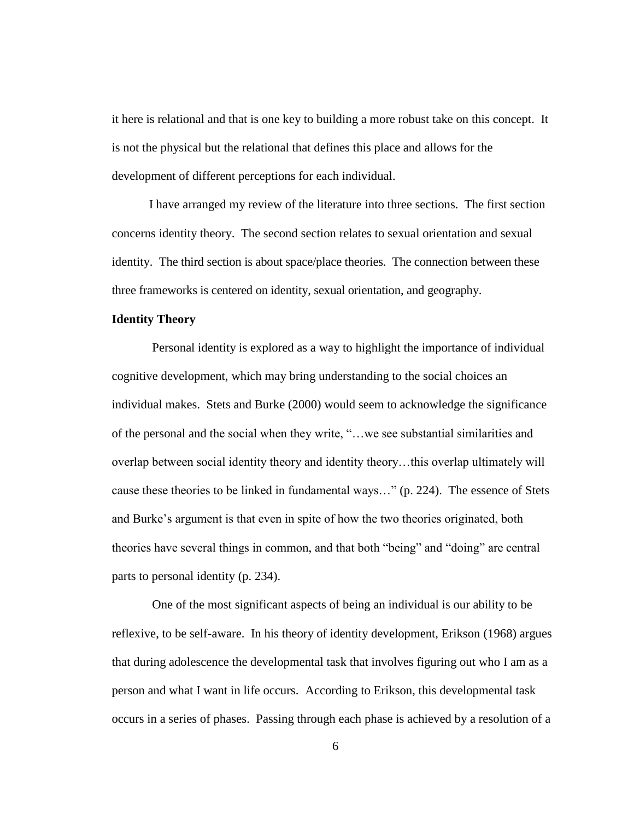it here is relational and that is one key to building a more robust take on this concept. It is not the physical but the relational that defines this place and allows for the development of different perceptions for each individual.

I have arranged my review of the literature into three sections. The first section concerns identity theory. The second section relates to sexual orientation and sexual identity. The third section is about space/place theories. The connection between these three frameworks is centered on identity, sexual orientation, and geography.

### **Identity Theory**

Personal identity is explored as a way to highlight the importance of individual cognitive development, which may bring understanding to the social choices an individual makes. Stets and Burke (2000) would seem to acknowledge the significance of the personal and the social when they write, "…we see substantial similarities and overlap between social identity theory and identity theory…this overlap ultimately will cause these theories to be linked in fundamental ways…" (p. 224). The essence of Stets and Burke's argument is that even in spite of how the two theories originated, both theories have several things in common, and that both "being" and "doing" are central parts to personal identity (p. 234).

One of the most significant aspects of being an individual is our ability to be reflexive, to be self-aware. In his theory of identity development, Erikson (1968) argues that during adolescence the developmental task that involves figuring out who I am as a person and what I want in life occurs. According to Erikson, this developmental task occurs in a series of phases. Passing through each phase is achieved by a resolution of a

6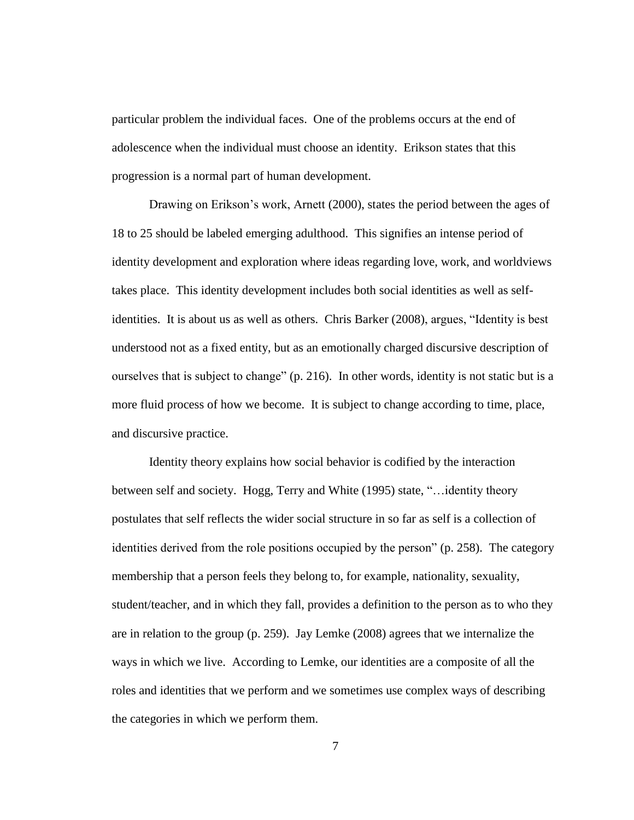particular problem the individual faces. One of the problems occurs at the end of adolescence when the individual must choose an identity. Erikson states that this progression is a normal part of human development.

Drawing on Erikson's work, Arnett (2000), states the period between the ages of 18 to 25 should be labeled emerging adulthood. This signifies an intense period of identity development and exploration where ideas regarding love, work, and worldviews takes place. This identity development includes both social identities as well as selfidentities. It is about us as well as others. Chris Barker (2008), argues, "Identity is best understood not as a fixed entity, but as an emotionally charged discursive description of ourselves that is subject to change" (p. 216). In other words, identity is not static but is a more fluid process of how we become. It is subject to change according to time, place, and discursive practice.

Identity theory explains how social behavior is codified by the interaction between self and society. Hogg, Terry and White (1995) state, "…identity theory postulates that self reflects the wider social structure in so far as self is a collection of identities derived from the role positions occupied by the person" (p. 258). The category membership that a person feels they belong to, for example, nationality, sexuality, student/teacher, and in which they fall, provides a definition to the person as to who they are in relation to the group (p. 259). Jay Lemke (2008) agrees that we internalize the ways in which we live. According to Lemke, our identities are a composite of all the roles and identities that we perform and we sometimes use complex ways of describing the categories in which we perform them.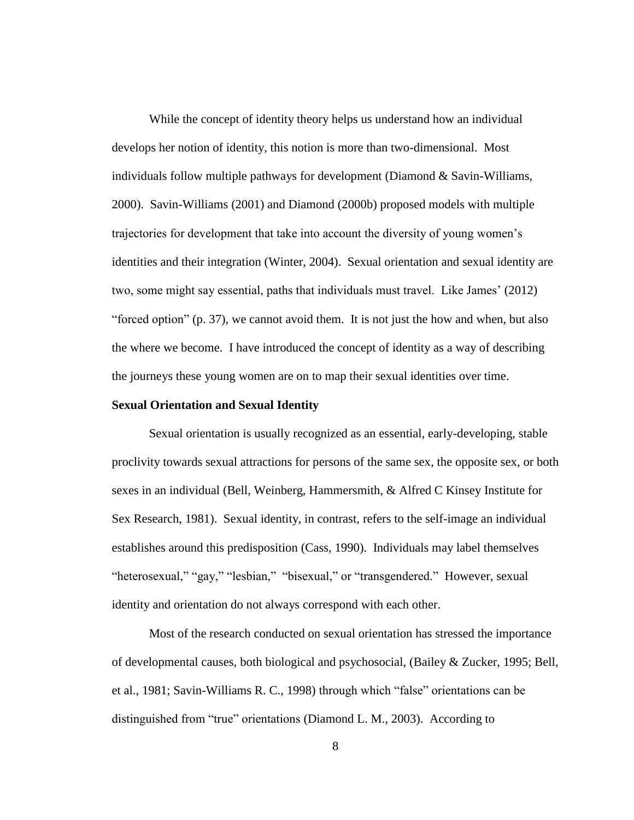While the concept of identity theory helps us understand how an individual develops her notion of identity, this notion is more than two-dimensional. Most individuals follow multiple pathways for development (Diamond & Savin-Williams, 2000). Savin-Williams (2001) and Diamond (2000b) proposed models with multiple trajectories for development that take into account the diversity of young women's identities and their integration (Winter, 2004). Sexual orientation and sexual identity are two, some might say essential, paths that individuals must travel. Like James' (2012) "forced option" (p. 37), we cannot avoid them. It is not just the how and when, but also the where we become. I have introduced the concept of identity as a way of describing the journeys these young women are on to map their sexual identities over time.

#### **Sexual Orientation and Sexual Identity**

Sexual orientation is usually recognized as an essential, early-developing, stable proclivity towards sexual attractions for persons of the same sex, the opposite sex, or both sexes in an individual (Bell, Weinberg, Hammersmith, & Alfred C Kinsey Institute for Sex Research, 1981). Sexual identity, in contrast, refers to the self-image an individual establishes around this predisposition (Cass, 1990). Individuals may label themselves "heterosexual," "gay," "lesbian," "bisexual," or "transgendered." However, sexual identity and orientation do not always correspond with each other.

Most of the research conducted on sexual orientation has stressed the importance of developmental causes, both biological and psychosocial, (Bailey & Zucker, 1995; Bell, et al., 1981; Savin-Williams R. C., 1998) through which "false" orientations can be distinguished from "true" orientations (Diamond L. M., 2003). According to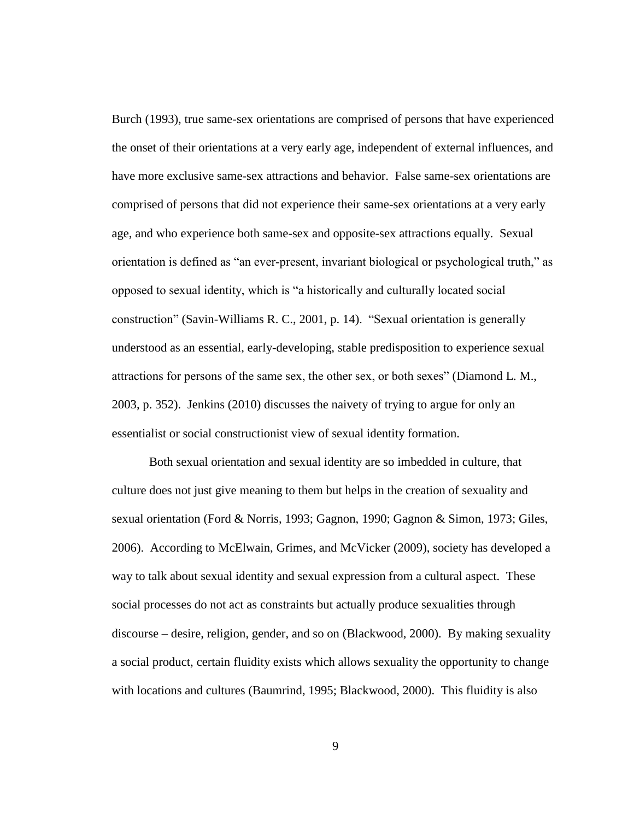Burch (1993), true same-sex orientations are comprised of persons that have experienced the onset of their orientations at a very early age, independent of external influences, and have more exclusive same-sex attractions and behavior. False same-sex orientations are comprised of persons that did not experience their same-sex orientations at a very early age, and who experience both same-sex and opposite-sex attractions equally. Sexual orientation is defined as "an ever-present, invariant biological or psychological truth," as opposed to sexual identity, which is "a historically and culturally located social construction" (Savin-Williams R. C., 2001, p. 14). "Sexual orientation is generally understood as an essential, early-developing, stable predisposition to experience sexual attractions for persons of the same sex, the other sex, or both sexes" (Diamond L. M., 2003, p. 352). Jenkins (2010) discusses the naivety of trying to argue for only an essentialist or social constructionist view of sexual identity formation.

Both sexual orientation and sexual identity are so imbedded in culture, that culture does not just give meaning to them but helps in the creation of sexuality and sexual orientation (Ford & Norris, 1993; Gagnon, 1990; Gagnon & Simon, 1973; Giles, 2006). According to McElwain, Grimes, and McVicker (2009), society has developed a way to talk about sexual identity and sexual expression from a cultural aspect. These social processes do not act as constraints but actually produce sexualities through discourse – desire, religion, gender, and so on (Blackwood, 2000). By making sexuality a social product, certain fluidity exists which allows sexuality the opportunity to change with locations and cultures (Baumrind, 1995; Blackwood, 2000). This fluidity is also

9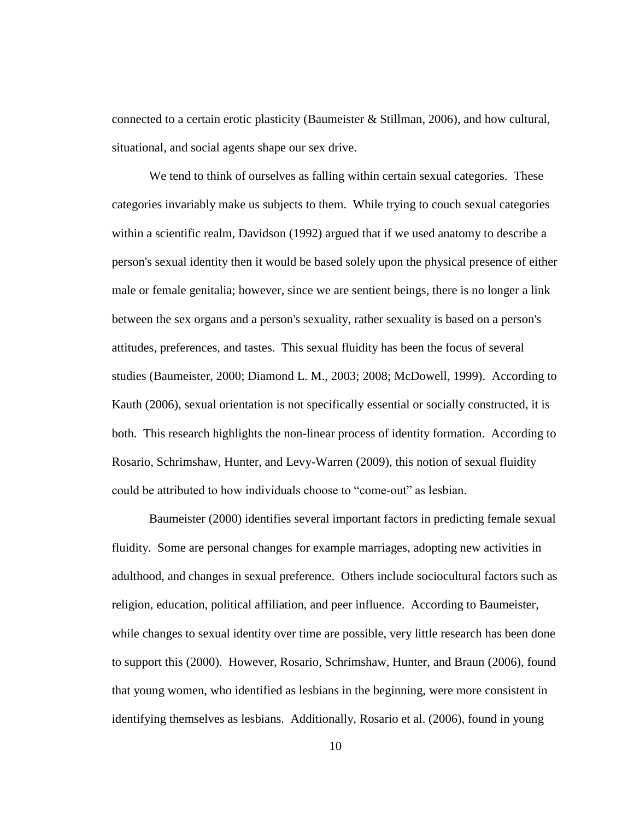connected to a certain erotic plasticity (Baumeister & Stillman, 2006), and how cultural, situational, and social agents shape our sex drive.

We tend to think of ourselves as falling within certain sexual categories. These categories invariably make us subjects to them. While trying to couch sexual categories within a scientific realm, Davidson (1992) argued that if we used anatomy to describe a person's sexual identity then it would be based solely upon the physical presence of either male or female genitalia; however, since we are sentient beings, there is no longer a link between the sex organs and a person's sexuality, rather sexuality is based on a person's attitudes, preferences, and tastes. This sexual fluidity has been the focus of several studies (Baumeister, 2000; Diamond L. M., 2003; 2008; McDowell, 1999). According to Kauth (2006), sexual orientation is not specifically essential or socially constructed, it is both. This research highlights the non-linear process of identity formation. According to Rosario, Schrimshaw, Hunter, and Levy-Warren (2009), this notion of sexual fluidity could be attributed to how individuals choose to "come-out" as lesbian.

Baumeister (2000) identifies several important factors in predicting female sexual fluidity. Some are personal changes for example marriages, adopting new activities in adulthood, and changes in sexual preference. Others include sociocultural factors such as religion, education, political affiliation, and peer influence. According to Baumeister, while changes to sexual identity over time are possible, very little research has been done to support this (2000). However, Rosario, Schrimshaw, Hunter, and Braun (2006), found that young women, who identified as lesbians in the beginning, were more consistent in identifying themselves as lesbians. Additionally, Rosario et al. (2006), found in young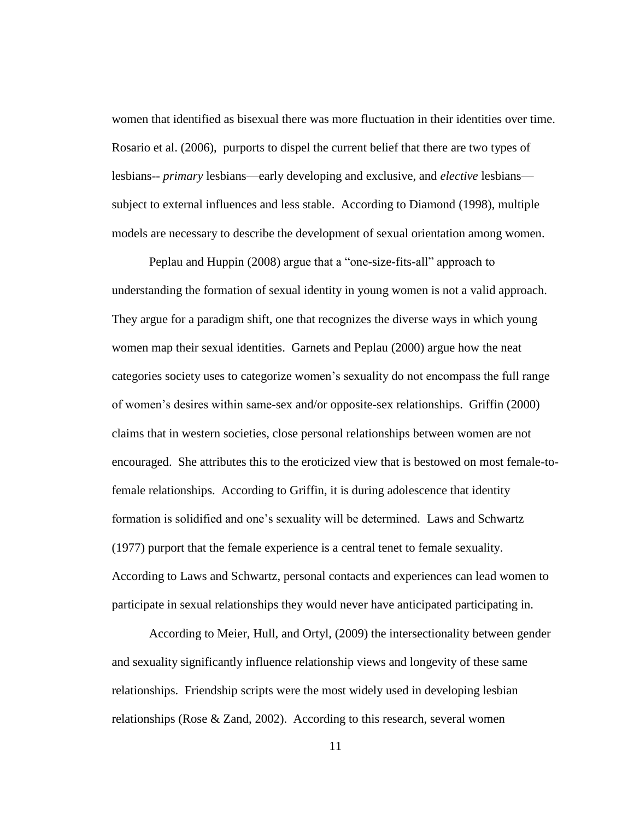women that identified as bisexual there was more fluctuation in their identities over time. Rosario et al. (2006), purports to dispel the current belief that there are two types of lesbians-- *primary* lesbians—early developing and exclusive, and *elective* lesbians subject to external influences and less stable. According to Diamond (1998), multiple models are necessary to describe the development of sexual orientation among women.

Peplau and Huppin (2008) argue that a "one-size-fits-all" approach to understanding the formation of sexual identity in young women is not a valid approach. They argue for a paradigm shift, one that recognizes the diverse ways in which young women map their sexual identities. Garnets and Peplau (2000) argue how the neat categories society uses to categorize women's sexuality do not encompass the full range of women's desires within same-sex and/or opposite-sex relationships. Griffin (2000) claims that in western societies, close personal relationships between women are not encouraged. She attributes this to the eroticized view that is bestowed on most female-tofemale relationships. According to Griffin, it is during adolescence that identity formation is solidified and one's sexuality will be determined. Laws and Schwartz (1977) purport that the female experience is a central tenet to female sexuality. According to Laws and Schwartz, personal contacts and experiences can lead women to participate in sexual relationships they would never have anticipated participating in.

According to Meier, Hull, and Ortyl, (2009) the intersectionality between gender and sexuality significantly influence relationship views and longevity of these same relationships. Friendship scripts were the most widely used in developing lesbian relationships (Rose & Zand, 2002). According to this research, several women

11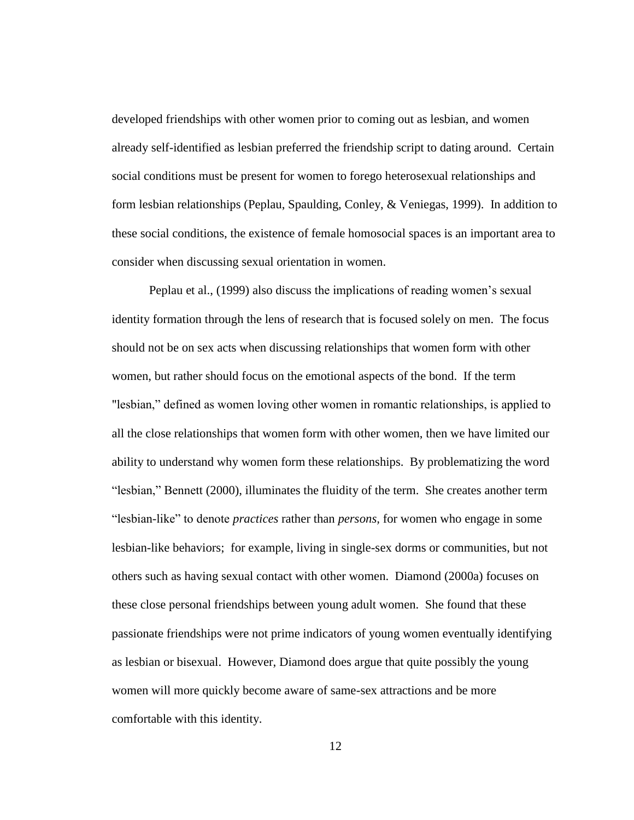developed friendships with other women prior to coming out as lesbian, and women already self-identified as lesbian preferred the friendship script to dating around. Certain social conditions must be present for women to forego heterosexual relationships and form lesbian relationships (Peplau, Spaulding, Conley, & Veniegas, 1999). In addition to these social conditions, the existence of female homosocial spaces is an important area to consider when discussing sexual orientation in women.

Peplau et al., (1999) also discuss the implications of reading women's sexual identity formation through the lens of research that is focused solely on men. The focus should not be on sex acts when discussing relationships that women form with other women, but rather should focus on the emotional aspects of the bond. If the term "lesbian," defined as women loving other women in romantic relationships, is applied to all the close relationships that women form with other women, then we have limited our ability to understand why women form these relationships. By problematizing the word "lesbian," Bennett (2000), illuminates the fluidity of the term. She creates another term "lesbian-like" to denote *practices* rather than *persons,* for women who engage in some lesbian-like behaviors; for example, living in single-sex dorms or communities, but not others such as having sexual contact with other women. Diamond (2000a) focuses on these close personal friendships between young adult women. She found that these passionate friendships were not prime indicators of young women eventually identifying as lesbian or bisexual. However, Diamond does argue that quite possibly the young women will more quickly become aware of same-sex attractions and be more comfortable with this identity.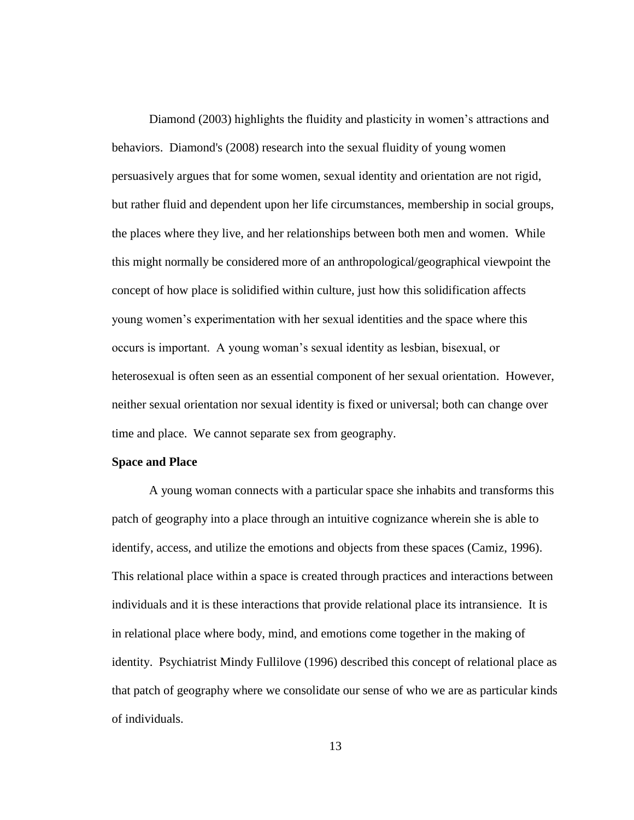Diamond (2003) highlights the fluidity and plasticity in women's attractions and behaviors. Diamond's (2008) research into the sexual fluidity of young women persuasively argues that for some women, sexual identity and orientation are not rigid, but rather fluid and dependent upon her life circumstances, membership in social groups, the places where they live, and her relationships between both men and women. While this might normally be considered more of an anthropological/geographical viewpoint the concept of how place is solidified within culture, just how this solidification affects young women's experimentation with her sexual identities and the space where this occurs is important. A young woman's sexual identity as lesbian, bisexual, or heterosexual is often seen as an essential component of her sexual orientation. However, neither sexual orientation nor sexual identity is fixed or universal; both can change over time and place. We cannot separate sex from geography.

## **Space and Place**

A young woman connects with a particular space she inhabits and transforms this patch of geography into a place through an intuitive cognizance wherein she is able to identify, access, and utilize the emotions and objects from these spaces (Camiz, 1996). This relational place within a space is created through practices and interactions between individuals and it is these interactions that provide relational place its intransience. It is in relational place where body, mind, and emotions come together in the making of identity. Psychiatrist Mindy Fullilove (1996) described this concept of relational place as that patch of geography where we consolidate our sense of who we are as particular kinds of individuals.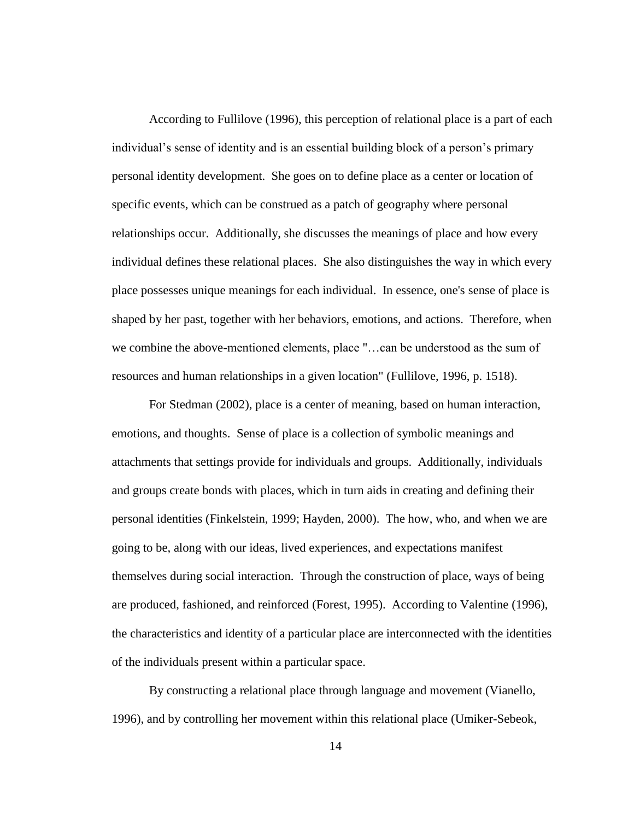According to Fullilove (1996), this perception of relational place is a part of each individual's sense of identity and is an essential building block of a person's primary personal identity development. She goes on to define place as a center or location of specific events, which can be construed as a patch of geography where personal relationships occur. Additionally, she discusses the meanings of place and how every individual defines these relational places. She also distinguishes the way in which every place possesses unique meanings for each individual. In essence, one's sense of place is shaped by her past, together with her behaviors, emotions, and actions. Therefore, when we combine the above-mentioned elements, place "…can be understood as the sum of resources and human relationships in a given location" (Fullilove, 1996, p. 1518).

For Stedman (2002), place is a center of meaning, based on human interaction, emotions, and thoughts. Sense of place is a collection of symbolic meanings and attachments that settings provide for individuals and groups. Additionally, individuals and groups create bonds with places, which in turn aids in creating and defining their personal identities (Finkelstein, 1999; Hayden, 2000). The how, who, and when we are going to be, along with our ideas, lived experiences, and expectations manifest themselves during social interaction. Through the construction of place, ways of being are produced, fashioned, and reinforced (Forest, 1995). According to Valentine (1996), the characteristics and identity of a particular place are interconnected with the identities of the individuals present within a particular space.

By constructing a relational place through language and movement (Vianello, 1996), and by controlling her movement within this relational place (Umiker-Sebeok,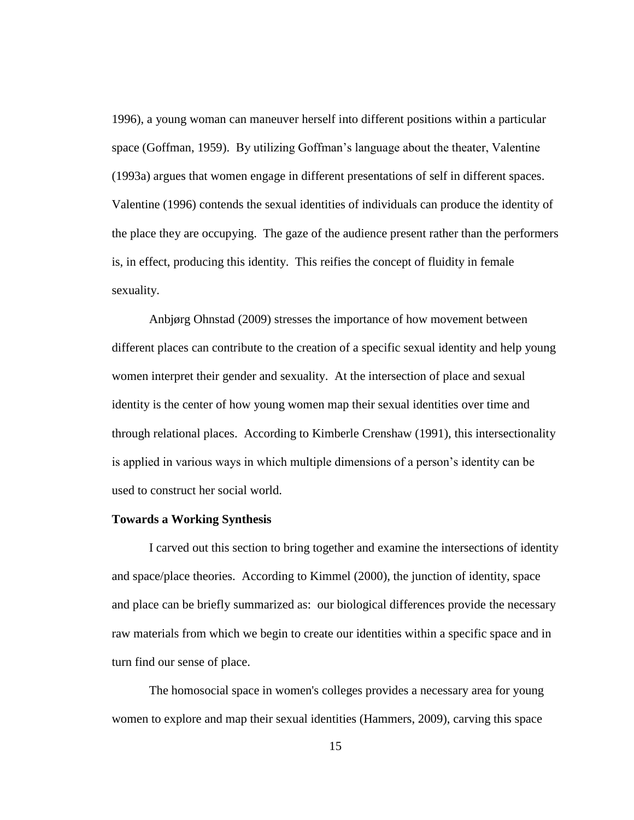1996), a young woman can maneuver herself into different positions within a particular space (Goffman, 1959). By utilizing Goffman's language about the theater, Valentine (1993a) argues that women engage in different presentations of self in different spaces. Valentine (1996) contends the sexual identities of individuals can produce the identity of the place they are occupying. The gaze of the audience present rather than the performers is, in effect, producing this identity. This reifies the concept of fluidity in female sexuality.

Anbjørg Ohnstad (2009) stresses the importance of how movement between different places can contribute to the creation of a specific sexual identity and help young women interpret their gender and sexuality. At the intersection of place and sexual identity is the center of how young women map their sexual identities over time and through relational places. According to Kimberle Crenshaw (1991), this intersectionality is applied in various ways in which multiple dimensions of a person's identity can be used to construct her social world.

#### **Towards a Working Synthesis**

I carved out this section to bring together and examine the intersections of identity and space/place theories. According to Kimmel (2000), the junction of identity, space and place can be briefly summarized as: our biological differences provide the necessary raw materials from which we begin to create our identities within a specific space and in turn find our sense of place.

The homosocial space in women's colleges provides a necessary area for young women to explore and map their sexual identities (Hammers, 2009), carving this space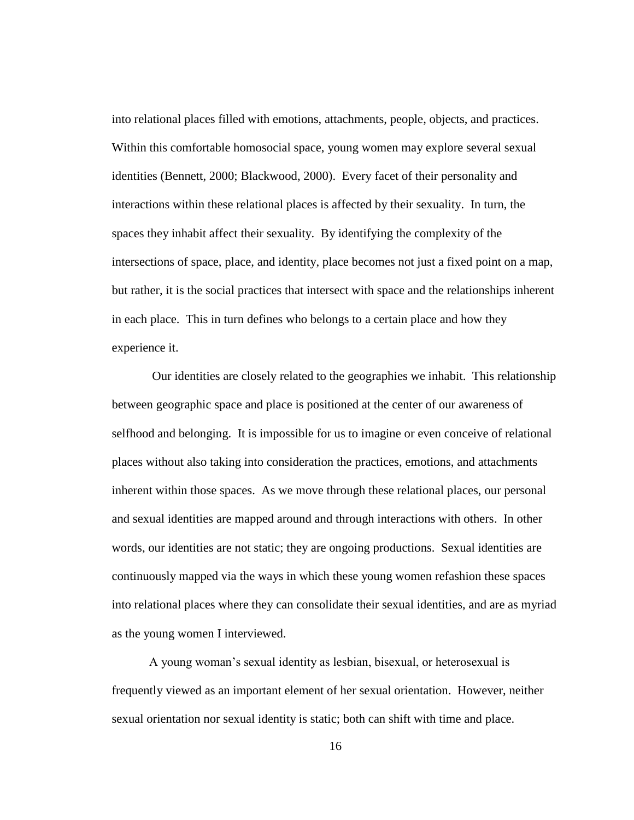into relational places filled with emotions, attachments, people, objects, and practices. Within this comfortable homosocial space, young women may explore several sexual identities (Bennett, 2000; Blackwood, 2000). Every facet of their personality and interactions within these relational places is affected by their sexuality. In turn, the spaces they inhabit affect their sexuality. By identifying the complexity of the intersections of space, place, and identity, place becomes not just a fixed point on a map, but rather, it is the social practices that intersect with space and the relationships inherent in each place. This in turn defines who belongs to a certain place and how they experience it.

Our identities are closely related to the geographies we inhabit. This relationship between geographic space and place is positioned at the center of our awareness of selfhood and belonging. It is impossible for us to imagine or even conceive of relational places without also taking into consideration the practices, emotions, and attachments inherent within those spaces. As we move through these relational places, our personal and sexual identities are mapped around and through interactions with others. In other words, our identities are not static; they are ongoing productions. Sexual identities are continuously mapped via the ways in which these young women refashion these spaces into relational places where they can consolidate their sexual identities, and are as myriad as the young women I interviewed.

A young woman's sexual identity as lesbian, bisexual, or heterosexual is frequently viewed as an important element of her sexual orientation. However, neither sexual orientation nor sexual identity is static; both can shift with time and place.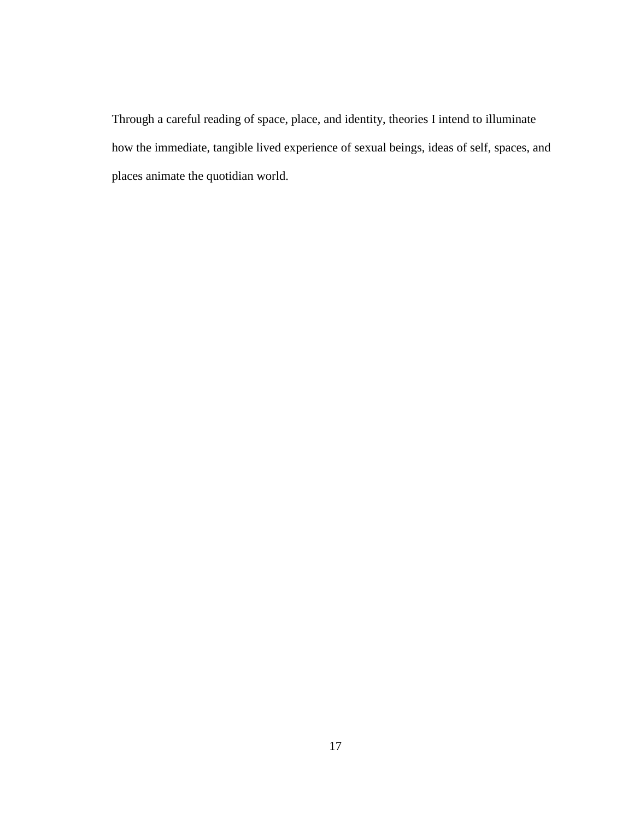Through a careful reading of space, place, and identity, theories I intend to illuminate how the immediate, tangible lived experience of sexual beings, ideas of self, spaces, and places animate the quotidian world.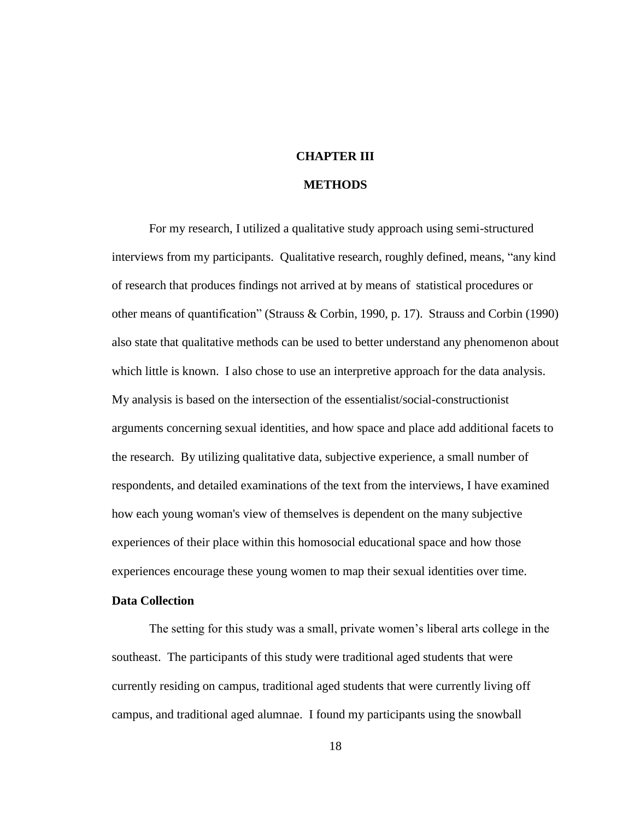# **CHAPTER III**

# **METHODS**

For my research, I utilized a qualitative study approach using semi-structured interviews from my participants. Qualitative research, roughly defined, means, "any kind of research that produces findings not arrived at by means of statistical procedures or other means of quantification" (Strauss & Corbin, 1990, p. 17). Strauss and Corbin (1990) also state that qualitative methods can be used to better understand any phenomenon about which little is known. I also chose to use an interpretive approach for the data analysis. My analysis is based on the intersection of the essentialist/social-constructionist arguments concerning sexual identities, and how space and place add additional facets to the research. By utilizing qualitative data, subjective experience, a small number of respondents, and detailed examinations of the text from the interviews, I have examined how each young woman's view of themselves is dependent on the many subjective experiences of their place within this homosocial educational space and how those experiences encourage these young women to map their sexual identities over time.

## **Data Collection**

The setting for this study was a small, private women's liberal arts college in the southeast. The participants of this study were traditional aged students that were currently residing on campus, traditional aged students that were currently living off campus, and traditional aged alumnae. I found my participants using the snowball

18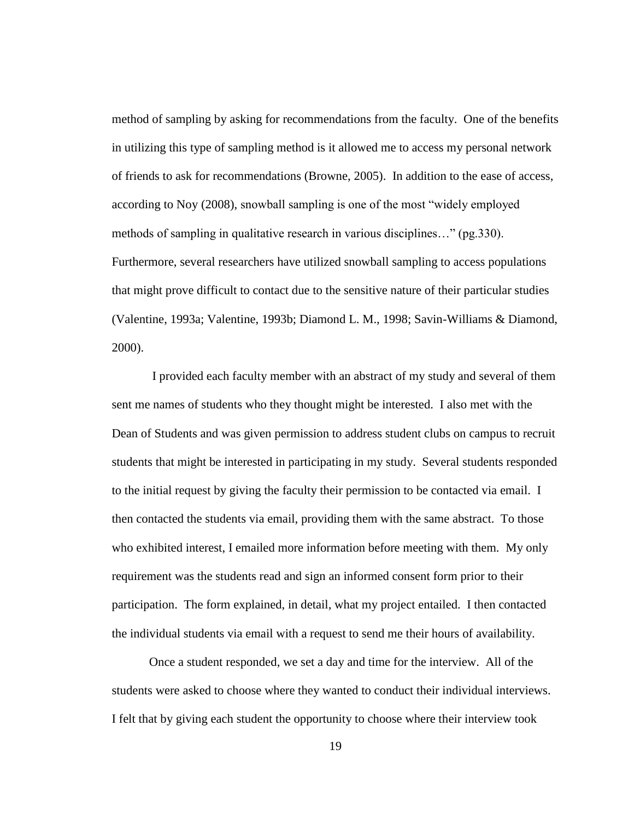method of sampling by asking for recommendations from the faculty. One of the benefits in utilizing this type of sampling method is it allowed me to access my personal network of friends to ask for recommendations (Browne, 2005). In addition to the ease of access, according to Noy (2008), snowball sampling is one of the most "widely employed methods of sampling in qualitative research in various disciplines…" (pg.330). Furthermore, several researchers have utilized snowball sampling to access populations that might prove difficult to contact due to the sensitive nature of their particular studies (Valentine, 1993a; Valentine, 1993b; Diamond L. M., 1998; Savin-Williams & Diamond, 2000).

I provided each faculty member with an abstract of my study and several of them sent me names of students who they thought might be interested. I also met with the Dean of Students and was given permission to address student clubs on campus to recruit students that might be interested in participating in my study. Several students responded to the initial request by giving the faculty their permission to be contacted via email. I then contacted the students via email, providing them with the same abstract. To those who exhibited interest, I emailed more information before meeting with them. My only requirement was the students read and sign an informed consent form prior to their participation. The form explained, in detail, what my project entailed. I then contacted the individual students via email with a request to send me their hours of availability.

Once a student responded, we set a day and time for the interview. All of the students were asked to choose where they wanted to conduct their individual interviews. I felt that by giving each student the opportunity to choose where their interview took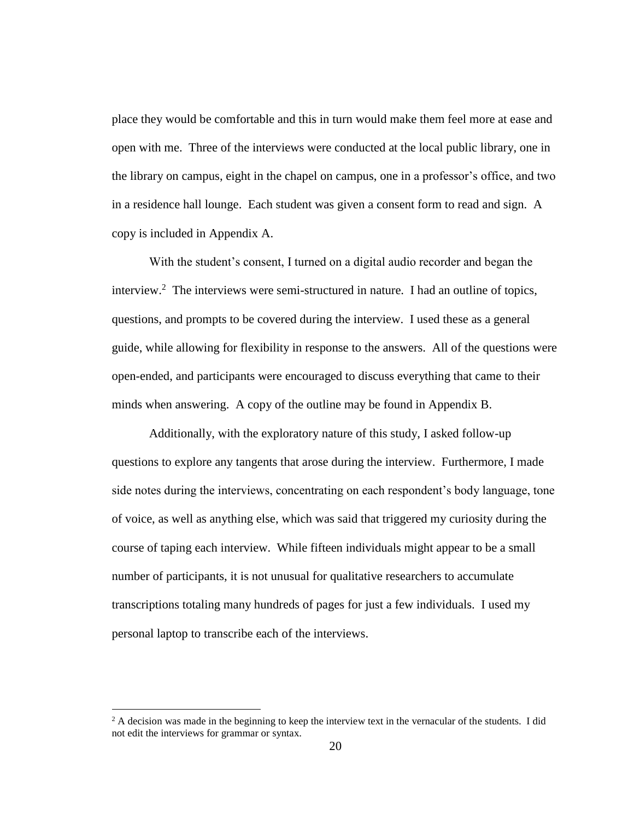place they would be comfortable and this in turn would make them feel more at ease and open with me. Three of the interviews were conducted at the local public library, one in the library on campus, eight in the chapel on campus, one in a professor's office, and two in a residence hall lounge. Each student was given a consent form to read and sign. A copy is included in Appendix A.

With the student's consent, I turned on a digital audio recorder and began the interview.<sup>2</sup> The interviews were semi-structured in nature. I had an outline of topics, questions, and prompts to be covered during the interview. I used these as a general guide, while allowing for flexibility in response to the answers. All of the questions were open-ended, and participants were encouraged to discuss everything that came to their minds when answering. A copy of the outline may be found in Appendix B.

Additionally, with the exploratory nature of this study, I asked follow-up questions to explore any tangents that arose during the interview. Furthermore, I made side notes during the interviews, concentrating on each respondent's body language, tone of voice, as well as anything else, which was said that triggered my curiosity during the course of taping each interview. While fifteen individuals might appear to be a small number of participants, it is not unusual for qualitative researchers to accumulate transcriptions totaling many hundreds of pages for just a few individuals. I used my personal laptop to transcribe each of the interviews.

 $\overline{a}$ 

 $2$  A decision was made in the beginning to keep the interview text in the vernacular of the students. I did not edit the interviews for grammar or syntax.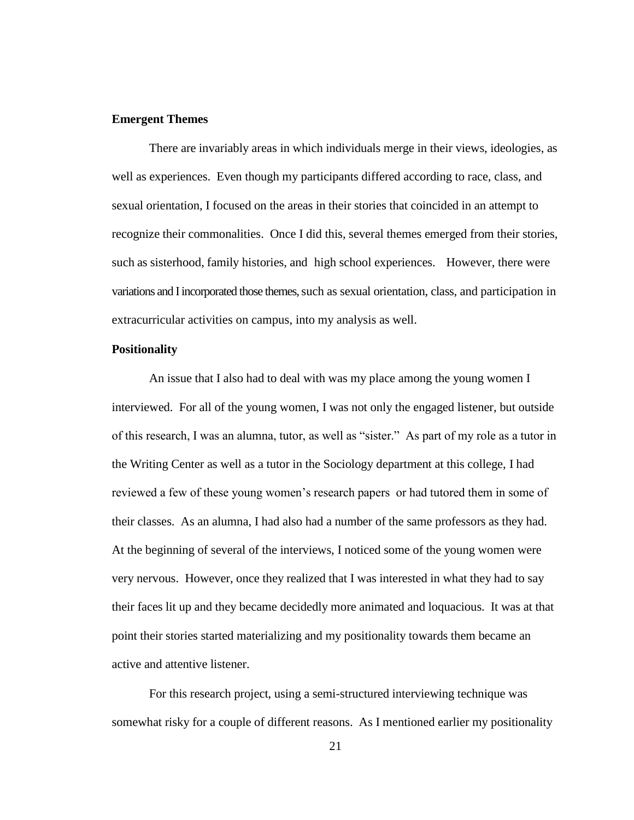## **Emergent Themes**

There are invariably areas in which individuals merge in their views, ideologies, as well as experiences. Even though my participants differed according to race, class, and sexual orientation, I focused on the areas in their stories that coincided in an attempt to recognize their commonalities. Once I did this, several themes emerged from their stories, such as sisterhood, family histories, and high school experiences. However, there were variations and I incorporated those themes, such as sexual orientation, class, and participation in extracurricular activities on campus, into my analysis as well.

### **Positionality**

An issue that I also had to deal with was my place among the young women I interviewed. For all of the young women, I was not only the engaged listener, but outside of this research, I was an alumna, tutor, as well as "sister." As part of my role as a tutor in the Writing Center as well as a tutor in the Sociology department at this college, I had reviewed a few of these young women's research papers or had tutored them in some of their classes. As an alumna, I had also had a number of the same professors as they had. At the beginning of several of the interviews, I noticed some of the young women were very nervous. However, once they realized that I was interested in what they had to say their faces lit up and they became decidedly more animated and loquacious. It was at that point their stories started materializing and my positionality towards them became an active and attentive listener.

For this research project, using a semi-structured interviewing technique was somewhat risky for a couple of different reasons. As I mentioned earlier my positionality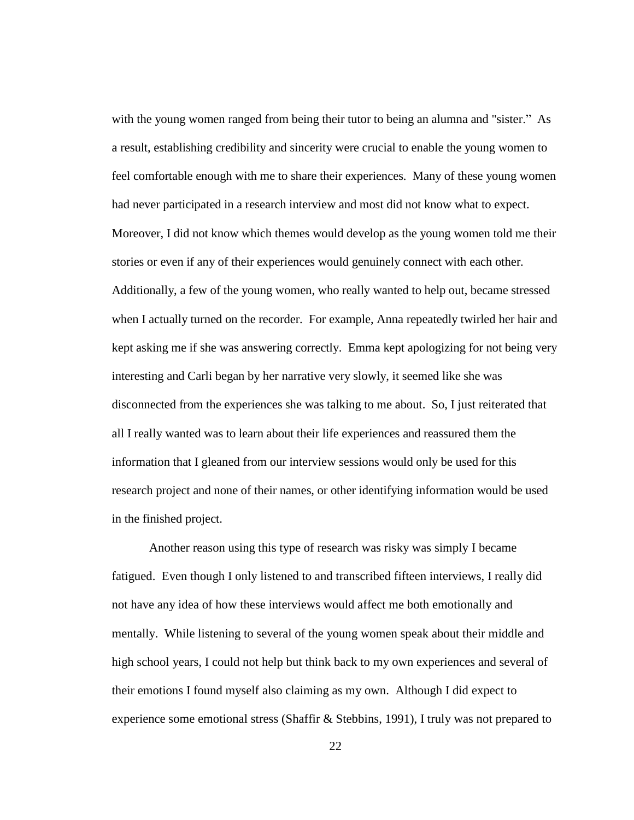with the young women ranged from being their tutor to being an alumna and "sister." As a result, establishing credibility and sincerity were crucial to enable the young women to feel comfortable enough with me to share their experiences. Many of these young women had never participated in a research interview and most did not know what to expect. Moreover, I did not know which themes would develop as the young women told me their stories or even if any of their experiences would genuinely connect with each other. Additionally, a few of the young women, who really wanted to help out, became stressed when I actually turned on the recorder. For example, Anna repeatedly twirled her hair and kept asking me if she was answering correctly. Emma kept apologizing for not being very interesting and Carli began by her narrative very slowly, it seemed like she was disconnected from the experiences she was talking to me about. So, I just reiterated that all I really wanted was to learn about their life experiences and reassured them the information that I gleaned from our interview sessions would only be used for this research project and none of their names, or other identifying information would be used in the finished project.

Another reason using this type of research was risky was simply I became fatigued. Even though I only listened to and transcribed fifteen interviews, I really did not have any idea of how these interviews would affect me both emotionally and mentally. While listening to several of the young women speak about their middle and high school years, I could not help but think back to my own experiences and several of their emotions I found myself also claiming as my own. Although I did expect to experience some emotional stress (Shaffir & Stebbins, 1991), I truly was not prepared to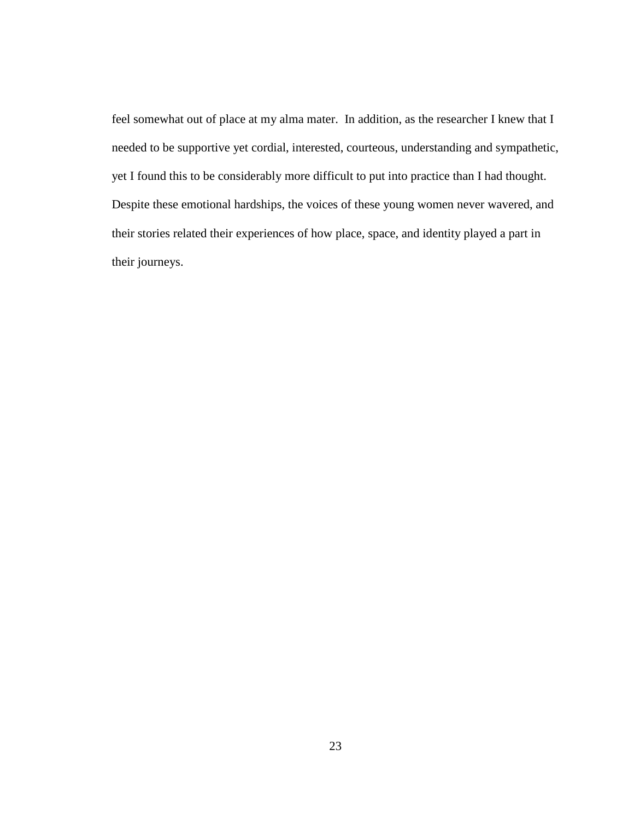feel somewhat out of place at my alma mater. In addition, as the researcher I knew that I needed to be supportive yet cordial, interested, courteous, understanding and sympathetic, yet I found this to be considerably more difficult to put into practice than I had thought. Despite these emotional hardships, the voices of these young women never wavered, and their stories related their experiences of how place, space, and identity played a part in their journeys.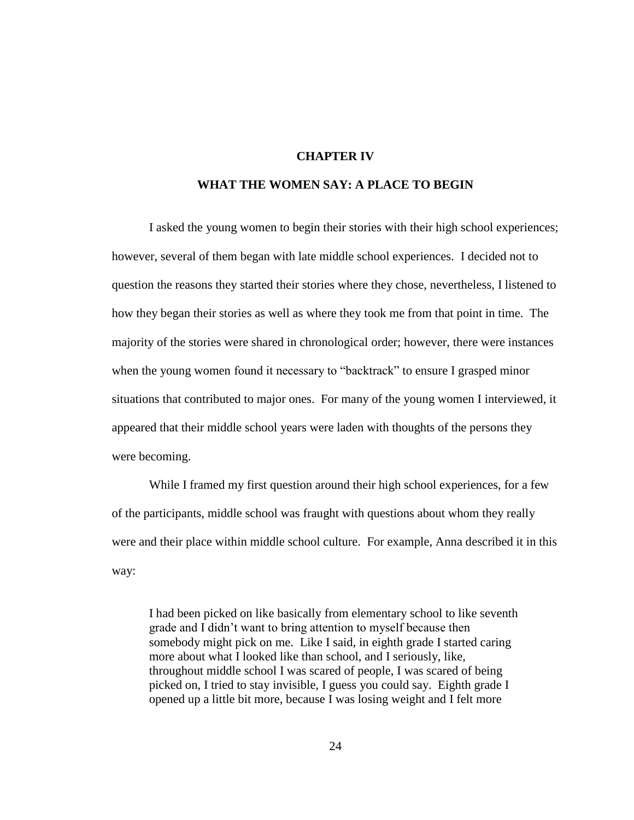## **CHAPTER IV**

## **WHAT THE WOMEN SAY: A PLACE TO BEGIN**

I asked the young women to begin their stories with their high school experiences; however, several of them began with late middle school experiences. I decided not to question the reasons they started their stories where they chose, nevertheless, I listened to how they began their stories as well as where they took me from that point in time. The majority of the stories were shared in chronological order; however, there were instances when the young women found it necessary to "backtrack" to ensure I grasped minor situations that contributed to major ones. For many of the young women I interviewed, it appeared that their middle school years were laden with thoughts of the persons they were becoming.

While I framed my first question around their high school experiences, for a few of the participants, middle school was fraught with questions about whom they really were and their place within middle school culture. For example, Anna described it in this way:

I had been picked on like basically from elementary school to like seventh grade and I didn't want to bring attention to myself because then somebody might pick on me. Like I said, in eighth grade I started caring more about what I looked like than school, and I seriously, like, throughout middle school I was scared of people, I was scared of being picked on, I tried to stay invisible, I guess you could say. Eighth grade I opened up a little bit more, because I was losing weight and I felt more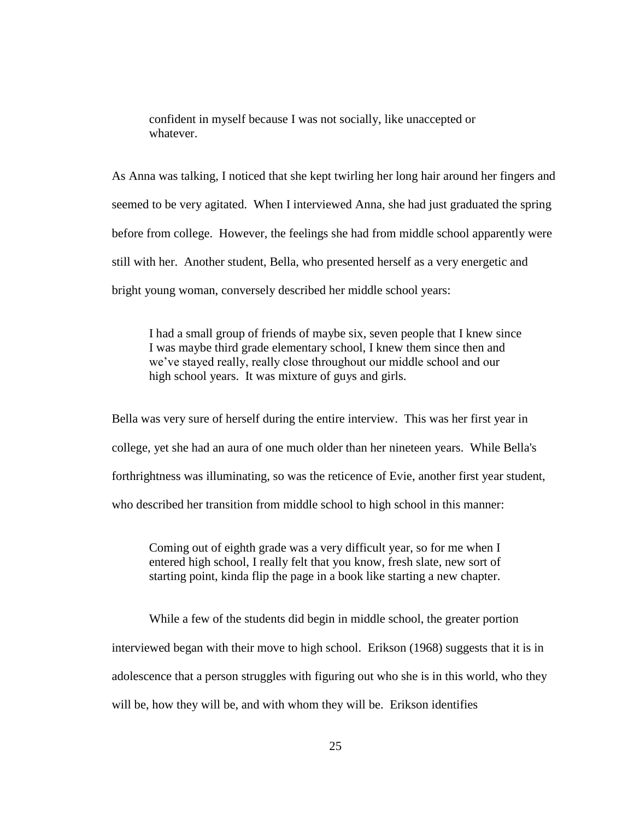confident in myself because I was not socially, like unaccepted or whatever.

As Anna was talking, I noticed that she kept twirling her long hair around her fingers and seemed to be very agitated. When I interviewed Anna, she had just graduated the spring before from college. However, the feelings she had from middle school apparently were still with her. Another student, Bella, who presented herself as a very energetic and bright young woman, conversely described her middle school years:

I had a small group of friends of maybe six, seven people that I knew since I was maybe third grade elementary school, I knew them since then and we've stayed really, really close throughout our middle school and our high school years. It was mixture of guys and girls.

Bella was very sure of herself during the entire interview. This was her first year in college, yet she had an aura of one much older than her nineteen years. While Bella's forthrightness was illuminating, so was the reticence of Evie, another first year student, who described her transition from middle school to high school in this manner:

Coming out of eighth grade was a very difficult year, so for me when I entered high school, I really felt that you know, fresh slate, new sort of starting point, kinda flip the page in a book like starting a new chapter.

While a few of the students did begin in middle school, the greater portion interviewed began with their move to high school. Erikson (1968) suggests that it is in adolescence that a person struggles with figuring out who she is in this world, who they will be, how they will be, and with whom they will be. Erikson identifies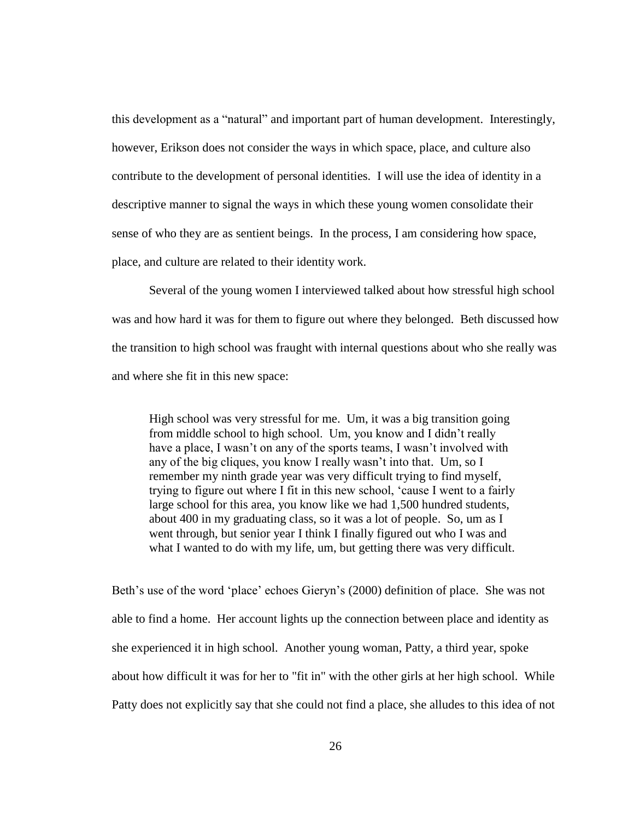this development as a "natural" and important part of human development. Interestingly, however, Erikson does not consider the ways in which space, place, and culture also contribute to the development of personal identities. I will use the idea of identity in a descriptive manner to signal the ways in which these young women consolidate their sense of who they are as sentient beings. In the process, I am considering how space, place, and culture are related to their identity work.

Several of the young women I interviewed talked about how stressful high school was and how hard it was for them to figure out where they belonged. Beth discussed how the transition to high school was fraught with internal questions about who she really was and where she fit in this new space:

High school was very stressful for me. Um, it was a big transition going from middle school to high school. Um, you know and I didn't really have a place, I wasn't on any of the sports teams, I wasn't involved with any of the big cliques, you know I really wasn't into that. Um, so I remember my ninth grade year was very difficult trying to find myself, trying to figure out where I fit in this new school, 'cause I went to a fairly large school for this area, you know like we had 1,500 hundred students, about 400 in my graduating class, so it was a lot of people. So, um as I went through, but senior year I think I finally figured out who I was and what I wanted to do with my life, um, but getting there was very difficult.

Beth's use of the word 'place' echoes Gieryn's (2000) definition of place. She was not able to find a home. Her account lights up the connection between place and identity as she experienced it in high school. Another young woman, Patty, a third year, spoke about how difficult it was for her to "fit in" with the other girls at her high school. While Patty does not explicitly say that she could not find a place, she alludes to this idea of not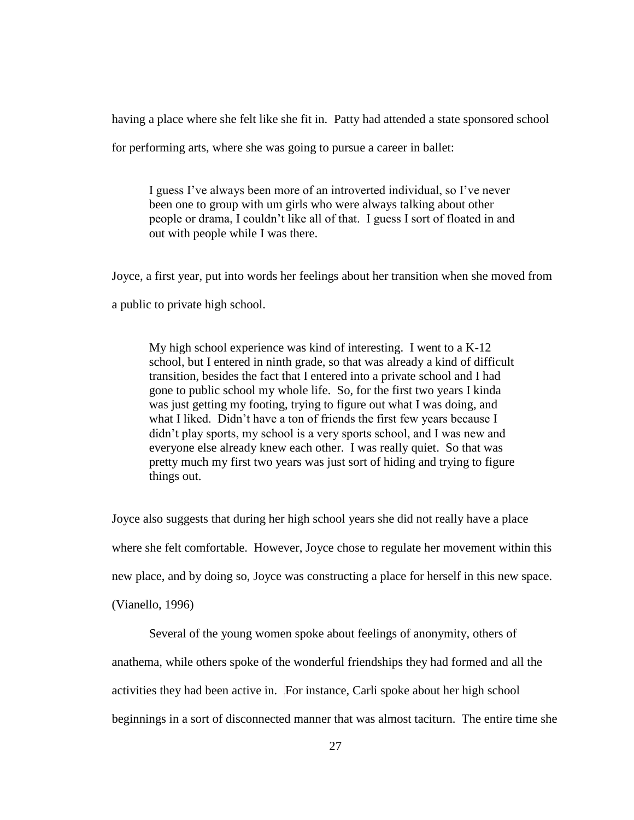having a place where she felt like she fit in. Patty had attended a state sponsored school

for performing arts, where she was going to pursue a career in ballet:

I guess I've always been more of an introverted individual, so I've never been one to group with um girls who were always talking about other people or drama, I couldn't like all of that. I guess I sort of floated in and out with people while I was there.

Joyce, a first year, put into words her feelings about her transition when she moved from a public to private high school.

My high school experience was kind of interesting. I went to a K-12 school, but I entered in ninth grade, so that was already a kind of difficult transition, besides the fact that I entered into a private school and I had gone to public school my whole life. So, for the first two years I kinda was just getting my footing, trying to figure out what I was doing, and what I liked. Didn't have a ton of friends the first few years because I didn't play sports, my school is a very sports school, and I was new and everyone else already knew each other. I was really quiet. So that was pretty much my first two years was just sort of hiding and trying to figure things out.

Joyce also suggests that during her high school years she did not really have a place where she felt comfortable. However, Joyce chose to regulate her movement within this new place, and by doing so, Joyce was constructing a place for herself in this new space.

(Vianello, 1996)

Several of the young women spoke about feelings of anonymity, others of

anathema, while others spoke of the wonderful friendships they had formed and all the

activities they had been active in. For instance, Carli spoke about her high school

beginnings in a sort of disconnected manner that was almost taciturn. The entire time she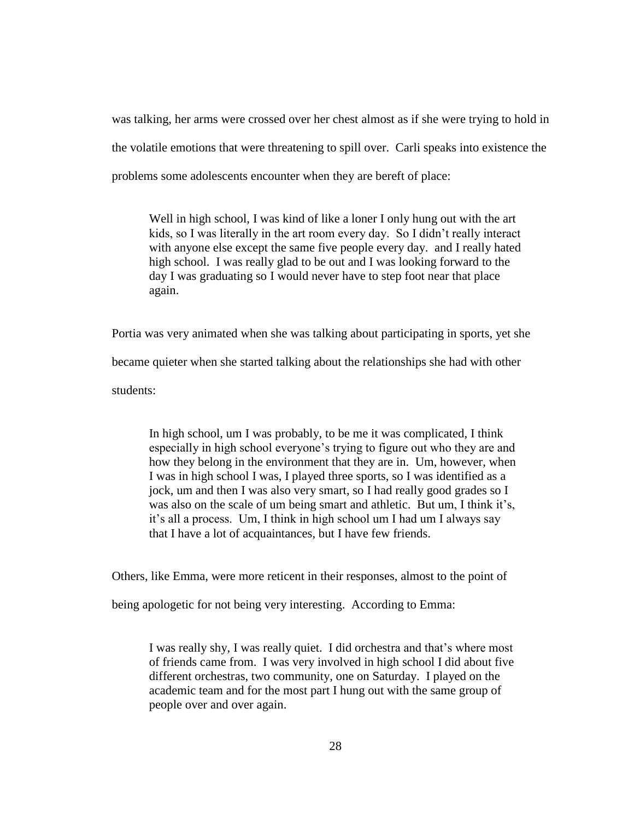was talking, her arms were crossed over her chest almost as if she were trying to hold in the volatile emotions that were threatening to spill over. Carli speaks into existence the problems some adolescents encounter when they are bereft of place:

Well in high school, I was kind of like a loner I only hung out with the art kids, so I was literally in the art room every day. So I didn't really interact with anyone else except the same five people every day. and I really hated high school. I was really glad to be out and I was looking forward to the day I was graduating so I would never have to step foot near that place again.

Portia was very animated when she was talking about participating in sports, yet she

became quieter when she started talking about the relationships she had with other

students:

In high school, um I was probably, to be me it was complicated, I think especially in high school everyone's trying to figure out who they are and how they belong in the environment that they are in. Um, however, when I was in high school I was, I played three sports, so I was identified as a jock, um and then I was also very smart, so I had really good grades so I was also on the scale of um being smart and athletic. But um, I think it's, it's all a process. Um, I think in high school um I had um I always say that I have a lot of acquaintances, but I have few friends.

Others, like Emma, were more reticent in their responses, almost to the point of

being apologetic for not being very interesting. According to Emma:

I was really shy, I was really quiet. I did orchestra and that's where most of friends came from. I was very involved in high school I did about five different orchestras, two community, one on Saturday. I played on the academic team and for the most part I hung out with the same group of people over and over again.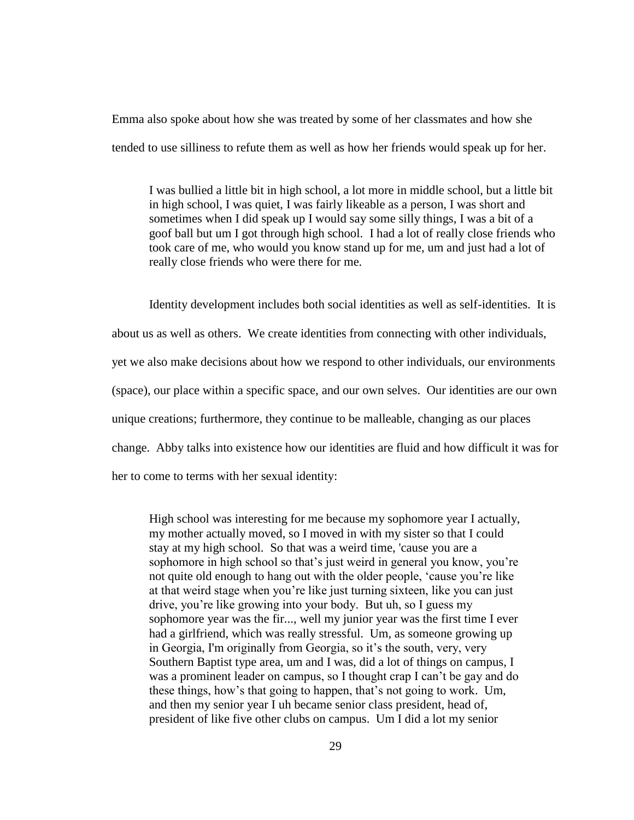Emma also spoke about how she was treated by some of her classmates and how she tended to use silliness to refute them as well as how her friends would speak up for her.

I was bullied a little bit in high school, a lot more in middle school, but a little bit in high school, I was quiet, I was fairly likeable as a person, I was short and sometimes when I did speak up I would say some silly things, I was a bit of a goof ball but um I got through high school. I had a lot of really close friends who took care of me, who would you know stand up for me, um and just had a lot of really close friends who were there for me.

Identity development includes both social identities as well as self-identities. It is about us as well as others. We create identities from connecting with other individuals, yet we also make decisions about how we respond to other individuals, our environments (space), our place within a specific space, and our own selves. Our identities are our own unique creations; furthermore, they continue to be malleable, changing as our places change. Abby talks into existence how our identities are fluid and how difficult it was for her to come to terms with her sexual identity:

High school was interesting for me because my sophomore year I actually, my mother actually moved, so I moved in with my sister so that I could stay at my high school. So that was a weird time, 'cause you are a sophomore in high school so that's just weird in general you know, you're not quite old enough to hang out with the older people, 'cause you're like at that weird stage when you're like just turning sixteen, like you can just drive, you're like growing into your body. But uh, so I guess my sophomore year was the fir..., well my junior year was the first time I ever had a girlfriend, which was really stressful. Um, as someone growing up in Georgia, I'm originally from Georgia, so it's the south, very, very Southern Baptist type area, um and I was, did a lot of things on campus, I was a prominent leader on campus, so I thought crap I can't be gay and do these things, how's that going to happen, that's not going to work. Um, and then my senior year I uh became senior class president, head of, president of like five other clubs on campus. Um I did a lot my senior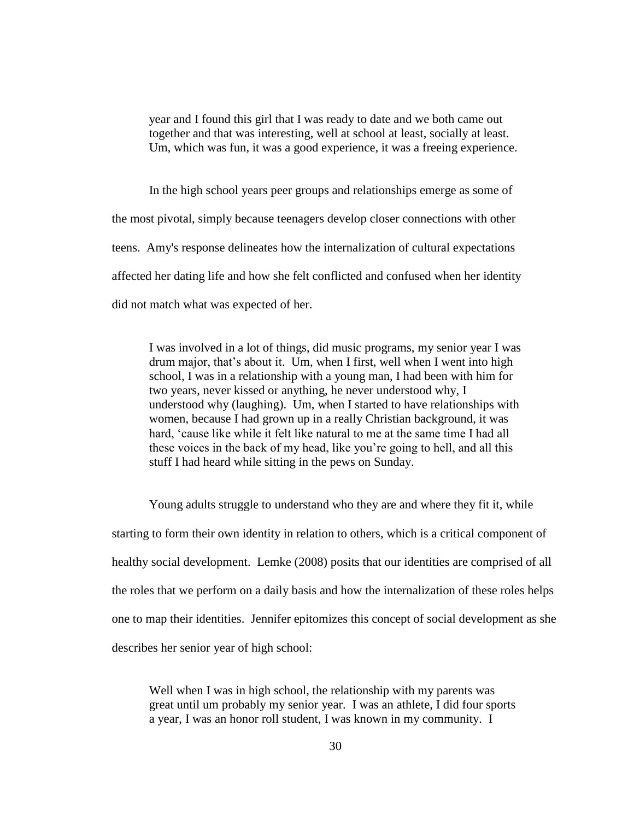year and I found this girl that I was ready to date and we both came out together and that was interesting, well at school at least, socially at least. Um, which was fun, it was a good experience, it was a freeing experience.

In the high school years peer groups and relationships emerge as some of the most pivotal, simply because teenagers develop closer connections with other teens. Amy's response delineates how the internalization of cultural expectations affected her dating life and how she felt conflicted and confused when her identity did not match what was expected of her.

I was involved in a lot of things, did music programs, my senior year I was drum major, that's about it. Um, when I first, well when I went into high school, I was in a relationship with a young man, I had been with him for two years, never kissed or anything, he never understood why, I understood why (laughing). Um, when I started to have relationships with women, because I had grown up in a really Christian background, it was hard, 'cause like while it felt like natural to me at the same time I had all these voices in the back of my head, like you're going to hell, and all this stuff I had heard while sitting in the pews on Sunday.

Young adults struggle to understand who they are and where they fit it, while starting to form their own identity in relation to others, which is a critical component of healthy social development. Lemke (2008) posits that our identities are comprised of all the roles that we perform on a daily basis and how the internalization of these roles helps one to map their identities. Jennifer epitomizes this concept of social development as she describes her senior year of high school:

Well when I was in high school, the relationship with my parents was great until um probably my senior year. I was an athlete, I did four sports a year, I was an honor roll student, I was known in my community. I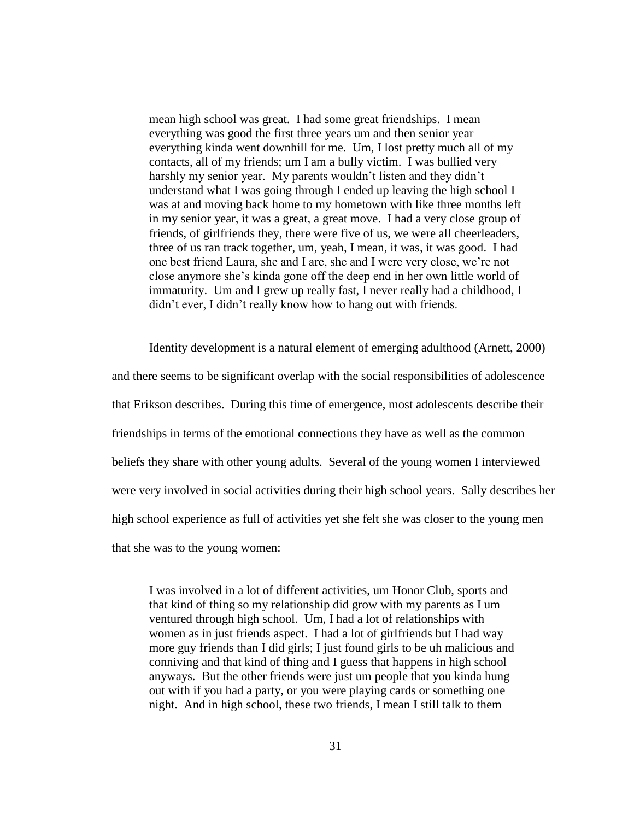mean high school was great. I had some great friendships. I mean everything was good the first three years um and then senior year everything kinda went downhill for me. Um, I lost pretty much all of my contacts, all of my friends; um I am a bully victim. I was bullied very harshly my senior year. My parents wouldn't listen and they didn't understand what I was going through I ended up leaving the high school I was at and moving back home to my hometown with like three months left in my senior year, it was a great, a great move. I had a very close group of friends, of girlfriends they, there were five of us, we were all cheerleaders, three of us ran track together, um, yeah, I mean, it was, it was good. I had one best friend Laura, she and I are, she and I were very close, we're not close anymore she's kinda gone off the deep end in her own little world of immaturity. Um and I grew up really fast, I never really had a childhood, I didn't ever, I didn't really know how to hang out with friends.

Identity development is a natural element of emerging adulthood (Arnett, 2000) and there seems to be significant overlap with the social responsibilities of adolescence that Erikson describes. During this time of emergence, most adolescents describe their friendships in terms of the emotional connections they have as well as the common beliefs they share with other young adults. Several of the young women I interviewed were very involved in social activities during their high school years. Sally describes her high school experience as full of activities yet she felt she was closer to the young men that she was to the young women:

I was involved in a lot of different activities, um Honor Club, sports and that kind of thing so my relationship did grow with my parents as I um ventured through high school. Um, I had a lot of relationships with women as in just friends aspect. I had a lot of girlfriends but I had way more guy friends than I did girls; I just found girls to be uh malicious and conniving and that kind of thing and I guess that happens in high school anyways. But the other friends were just um people that you kinda hung out with if you had a party, or you were playing cards or something one night. And in high school, these two friends, I mean I still talk to them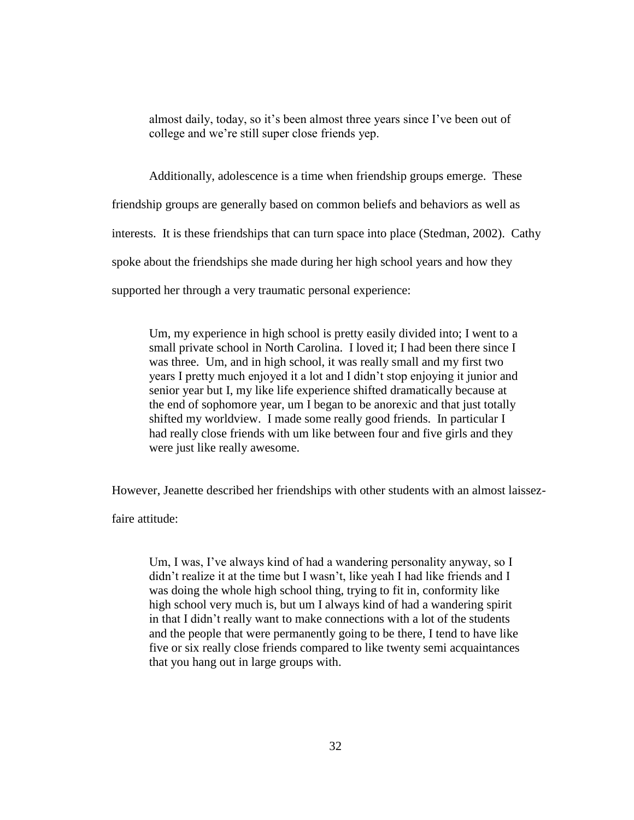almost daily, today, so it's been almost three years since I've been out of college and we're still super close friends yep.

Additionally, adolescence is a time when friendship groups emerge. These friendship groups are generally based on common beliefs and behaviors as well as interests. It is these friendships that can turn space into place (Stedman, 2002). Cathy spoke about the friendships she made during her high school years and how they

supported her through a very traumatic personal experience:

Um, my experience in high school is pretty easily divided into; I went to a small private school in North Carolina. I loved it; I had been there since I was three. Um, and in high school, it was really small and my first two years I pretty much enjoyed it a lot and I didn't stop enjoying it junior and senior year but I, my like life experience shifted dramatically because at the end of sophomore year, um I began to be anorexic and that just totally shifted my worldview. I made some really good friends. In particular I had really close friends with um like between four and five girls and they were just like really awesome.

However, Jeanette described her friendships with other students with an almost laissez-

faire attitude:

Um, I was, I've always kind of had a wandering personality anyway, so I didn't realize it at the time but I wasn't, like yeah I had like friends and I was doing the whole high school thing, trying to fit in, conformity like high school very much is, but um I always kind of had a wandering spirit in that I didn't really want to make connections with a lot of the students and the people that were permanently going to be there, I tend to have like five or six really close friends compared to like twenty semi acquaintances that you hang out in large groups with.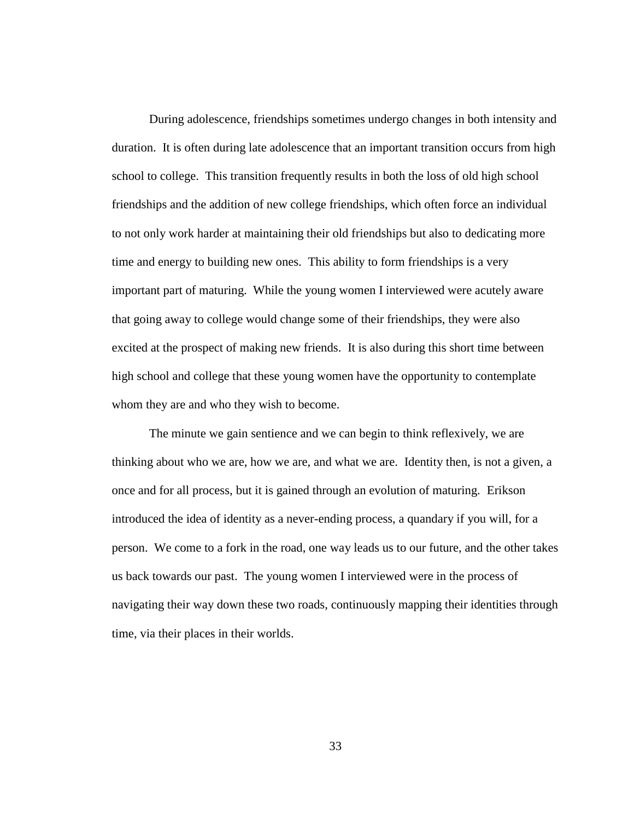During adolescence, friendships sometimes undergo changes in both intensity and duration. It is often during late adolescence that an important transition occurs from high school to college. This transition frequently results in both the loss of old high school friendships and the addition of new college friendships, which often force an individual to not only work harder at maintaining their old friendships but also to dedicating more time and energy to building new ones. This ability to form friendships is a very important part of maturing. While the young women I interviewed were acutely aware that going away to college would change some of their friendships, they were also excited at the prospect of making new friends. It is also during this short time between high school and college that these young women have the opportunity to contemplate whom they are and who they wish to become.

The minute we gain sentience and we can begin to think reflexively, we are thinking about who we are, how we are, and what we are. Identity then, is not a given, a once and for all process, but it is gained through an evolution of maturing. Erikson introduced the idea of identity as a never-ending process, a quandary if you will, for a person. We come to a fork in the road, one way leads us to our future, and the other takes us back towards our past. The young women I interviewed were in the process of navigating their way down these two roads, continuously mapping their identities through time, via their places in their worlds.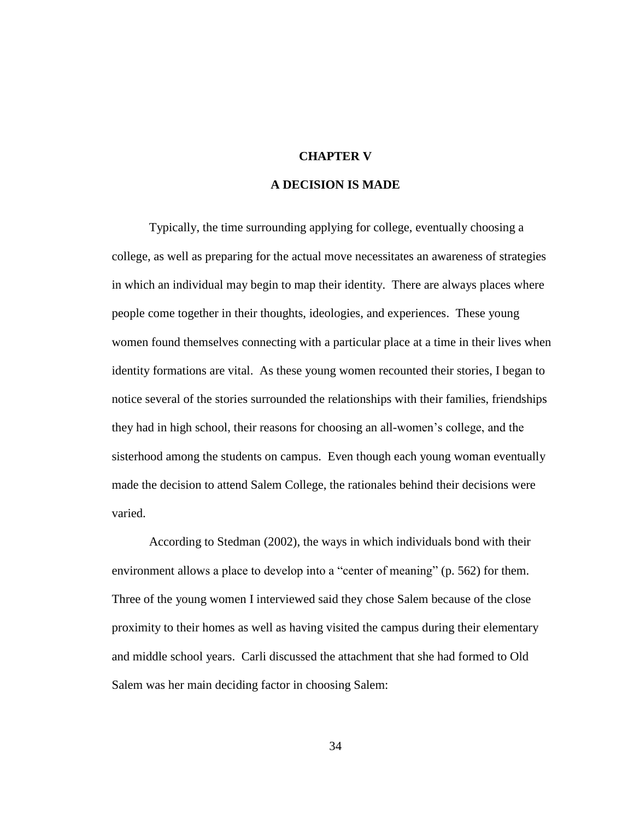### **CHAPTER V**

# **A DECISION IS MADE**

Typically, the time surrounding applying for college, eventually choosing a college, as well as preparing for the actual move necessitates an awareness of strategies in which an individual may begin to map their identity. There are always places where people come together in their thoughts, ideologies, and experiences. These young women found themselves connecting with a particular place at a time in their lives when identity formations are vital. As these young women recounted their stories, I began to notice several of the stories surrounded the relationships with their families, friendships they had in high school, their reasons for choosing an all-women's college, and the sisterhood among the students on campus. Even though each young woman eventually made the decision to attend Salem College, the rationales behind their decisions were varied.

According to Stedman (2002), the ways in which individuals bond with their environment allows a place to develop into a "center of meaning" (p. 562) for them. Three of the young women I interviewed said they chose Salem because of the close proximity to their homes as well as having visited the campus during their elementary and middle school years. Carli discussed the attachment that she had formed to Old Salem was her main deciding factor in choosing Salem:

34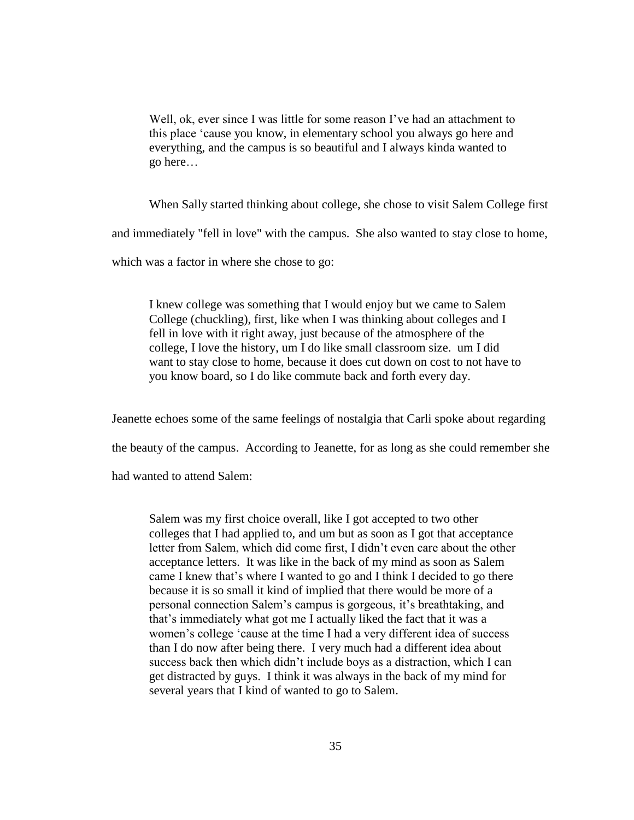Well, ok, ever since I was little for some reason I've had an attachment to this place 'cause you know, in elementary school you always go here and everything, and the campus is so beautiful and I always kinda wanted to go here…

When Sally started thinking about college, she chose to visit Salem College first

and immediately "fell in love" with the campus. She also wanted to stay close to home,

which was a factor in where she chose to go:

I knew college was something that I would enjoy but we came to Salem College (chuckling), first, like when I was thinking about colleges and I fell in love with it right away, just because of the atmosphere of the college, I love the history, um I do like small classroom size. um I did want to stay close to home, because it does cut down on cost to not have to you know board, so I do like commute back and forth every day.

Jeanette echoes some of the same feelings of nostalgia that Carli spoke about regarding

the beauty of the campus. According to Jeanette, for as long as she could remember she

had wanted to attend Salem:

Salem was my first choice overall, like I got accepted to two other colleges that I had applied to, and um but as soon as I got that acceptance letter from Salem, which did come first, I didn't even care about the other acceptance letters. It was like in the back of my mind as soon as Salem came I knew that's where I wanted to go and I think I decided to go there because it is so small it kind of implied that there would be more of a personal connection Salem's campus is gorgeous, it's breathtaking, and that's immediately what got me I actually liked the fact that it was a women's college 'cause at the time I had a very different idea of success than I do now after being there. I very much had a different idea about success back then which didn't include boys as a distraction, which I can get distracted by guys. I think it was always in the back of my mind for several years that I kind of wanted to go to Salem.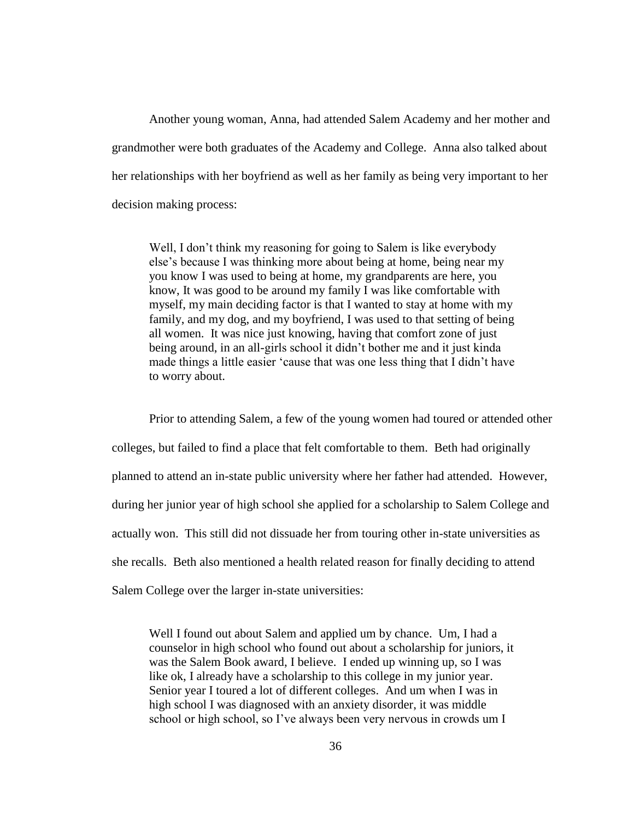Another young woman, Anna, had attended Salem Academy and her mother and grandmother were both graduates of the Academy and College. Anna also talked about her relationships with her boyfriend as well as her family as being very important to her decision making process:

Well, I don't think my reasoning for going to Salem is like everybody else's because I was thinking more about being at home, being near my you know I was used to being at home, my grandparents are here, you know, It was good to be around my family I was like comfortable with myself, my main deciding factor is that I wanted to stay at home with my family, and my dog, and my boyfriend, I was used to that setting of being all women. It was nice just knowing, having that comfort zone of just being around, in an all-girls school it didn't bother me and it just kinda made things a little easier 'cause that was one less thing that I didn't have to worry about.

Prior to attending Salem, a few of the young women had toured or attended other colleges, but failed to find a place that felt comfortable to them. Beth had originally planned to attend an in-state public university where her father had attended. However, during her junior year of high school she applied for a scholarship to Salem College and actually won. This still did not dissuade her from touring other in-state universities as she recalls. Beth also mentioned a health related reason for finally deciding to attend Salem College over the larger in-state universities:

Well I found out about Salem and applied um by chance. Um, I had a counselor in high school who found out about a scholarship for juniors, it was the Salem Book award, I believe. I ended up winning up, so I was like ok, I already have a scholarship to this college in my junior year. Senior year I toured a lot of different colleges. And um when I was in high school I was diagnosed with an anxiety disorder, it was middle school or high school, so I've always been very nervous in crowds um I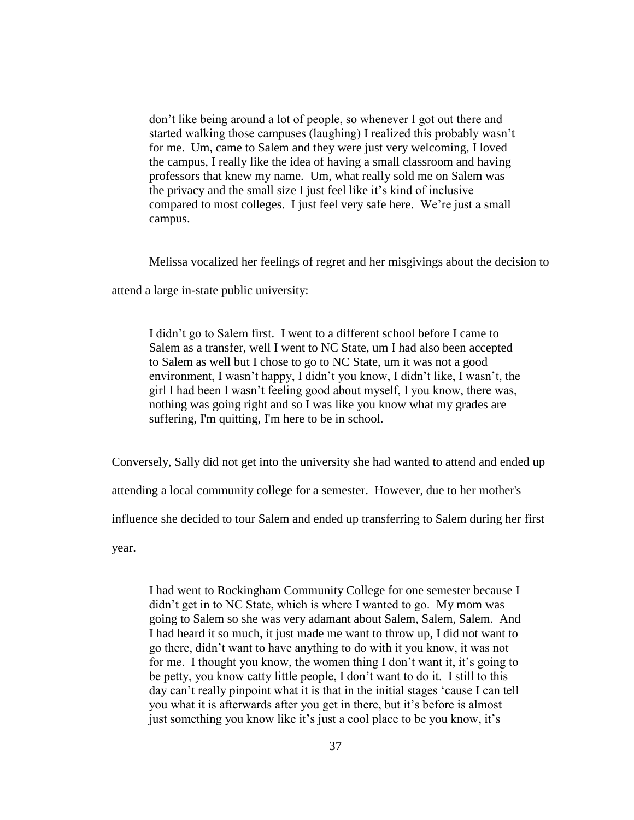don't like being around a lot of people, so whenever I got out there and started walking those campuses (laughing) I realized this probably wasn't for me. Um, came to Salem and they were just very welcoming, I loved the campus, I really like the idea of having a small classroom and having professors that knew my name. Um, what really sold me on Salem was the privacy and the small size I just feel like it's kind of inclusive compared to most colleges. I just feel very safe here. We're just a small campus.

Melissa vocalized her feelings of regret and her misgivings about the decision to

attend a large in-state public university:

I didn't go to Salem first. I went to a different school before I came to Salem as a transfer, well I went to NC State, um I had also been accepted to Salem as well but I chose to go to NC State, um it was not a good environment, I wasn't happy, I didn't you know, I didn't like, I wasn't, the girl I had been I wasn't feeling good about myself, I you know, there was, nothing was going right and so I was like you know what my grades are suffering, I'm quitting, I'm here to be in school.

Conversely, Sally did not get into the university she had wanted to attend and ended up

attending a local community college for a semester. However, due to her mother's

influence she decided to tour Salem and ended up transferring to Salem during her first

year.

I had went to Rockingham Community College for one semester because I didn't get in to NC State, which is where I wanted to go. My mom was going to Salem so she was very adamant about Salem, Salem, Salem. And I had heard it so much, it just made me want to throw up, I did not want to go there, didn't want to have anything to do with it you know, it was not for me. I thought you know, the women thing I don't want it, it's going to be petty, you know catty little people, I don't want to do it. I still to this day can't really pinpoint what it is that in the initial stages 'cause I can tell you what it is afterwards after you get in there, but it's before is almost just something you know like it's just a cool place to be you know, it's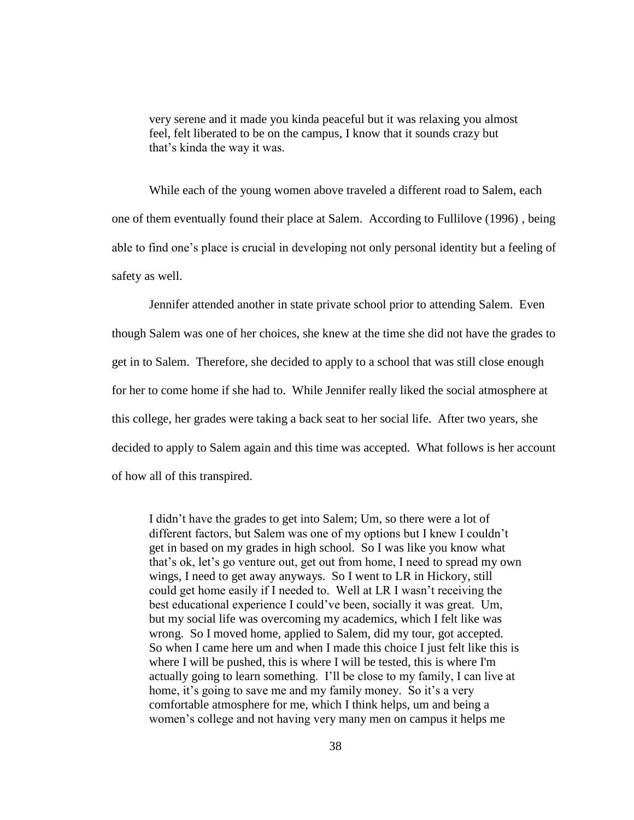very serene and it made you kinda peaceful but it was relaxing you almost feel, felt liberated to be on the campus, I know that it sounds crazy but that's kinda the way it was.

While each of the young women above traveled a different road to Salem, each one of them eventually found their place at Salem. According to Fullilove (1996) , being able to find one's place is crucial in developing not only personal identity but a feeling of safety as well.

Jennifer attended another in state private school prior to attending Salem. Even though Salem was one of her choices, she knew at the time she did not have the grades to get in to Salem. Therefore, she decided to apply to a school that was still close enough for her to come home if she had to. While Jennifer really liked the social atmosphere at this college, her grades were taking a back seat to her social life. After two years, she decided to apply to Salem again and this time was accepted. What follows is her account of how all of this transpired.

I didn't have the grades to get into Salem; Um, so there were a lot of different factors, but Salem was one of my options but I knew I couldn't get in based on my grades in high school. So I was like you know what that's ok, let's go venture out, get out from home, I need to spread my own wings, I need to get away anyways. So I went to LR in Hickory, still could get home easily if I needed to. Well at LR I wasn't receiving the best educational experience I could've been, socially it was great. Um, but my social life was overcoming my academics, which I felt like was wrong. So I moved home, applied to Salem, did my tour, got accepted. So when I came here um and when I made this choice I just felt like this is where I will be pushed, this is where I will be tested, this is where I'm actually going to learn something. I'll be close to my family, I can live at home, it's going to save me and my family money. So it's a very comfortable atmosphere for me, which I think helps, um and being a women's college and not having very many men on campus it helps me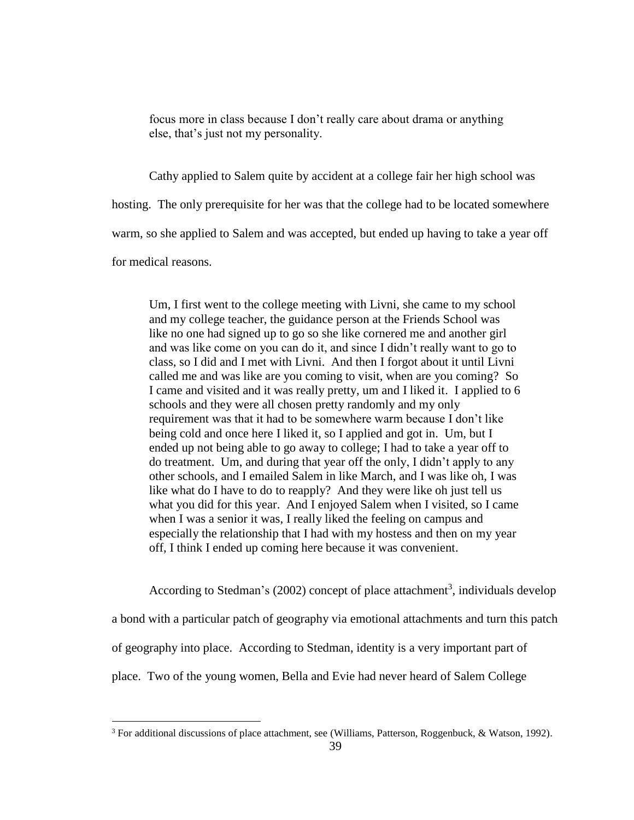focus more in class because I don't really care about drama or anything else, that's just not my personality.

Cathy applied to Salem quite by accident at a college fair her high school was

hosting. The only prerequisite for her was that the college had to be located somewhere

warm, so she applied to Salem and was accepted, but ended up having to take a year off

for medical reasons.

 $\overline{a}$ 

Um, I first went to the college meeting with Livni, she came to my school and my college teacher, the guidance person at the Friends School was like no one had signed up to go so she like cornered me and another girl and was like come on you can do it, and since I didn't really want to go to class, so I did and I met with Livni. And then I forgot about it until Livni called me and was like are you coming to visit, when are you coming? So I came and visited and it was really pretty, um and I liked it. I applied to 6 schools and they were all chosen pretty randomly and my only requirement was that it had to be somewhere warm because I don't like being cold and once here I liked it, so I applied and got in. Um, but I ended up not being able to go away to college; I had to take a year off to do treatment. Um, and during that year off the only, I didn't apply to any other schools, and I emailed Salem in like March, and I was like oh, I was like what do I have to do to reapply? And they were like oh just tell us what you did for this year. And I enjoyed Salem when I visited, so I came when I was a senior it was, I really liked the feeling on campus and especially the relationship that I had with my hostess and then on my year off, I think I ended up coming here because it was convenient.

According to Stedman's (2002) concept of place attachment<sup>3</sup>, individuals develop a bond with a particular patch of geography via emotional attachments and turn this patch of geography into place. According to Stedman, identity is a very important part of place. Two of the young women, Bella and Evie had never heard of Salem College

<sup>&</sup>lt;sup>3</sup> For additional discussions of place attachment, see (Williams, Patterson, Roggenbuck, & Watson, 1992).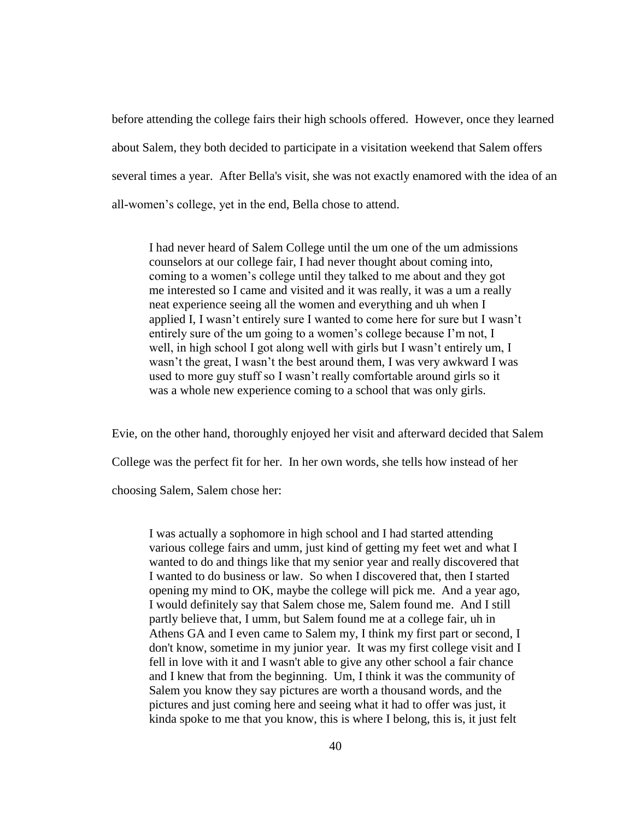before attending the college fairs their high schools offered. However, once they learned about Salem, they both decided to participate in a visitation weekend that Salem offers several times a year. After Bella's visit, she was not exactly enamored with the idea of an all-women's college, yet in the end, Bella chose to attend.

I had never heard of Salem College until the um one of the um admissions counselors at our college fair, I had never thought about coming into, coming to a women's college until they talked to me about and they got me interested so I came and visited and it was really, it was a um a really neat experience seeing all the women and everything and uh when I applied I, I wasn't entirely sure I wanted to come here for sure but I wasn't entirely sure of the um going to a women's college because I'm not, I well, in high school I got along well with girls but I wasn't entirely um, I wasn't the great, I wasn't the best around them, I was very awkward I was used to more guy stuff so I wasn't really comfortable around girls so it was a whole new experience coming to a school that was only girls.

Evie, on the other hand, thoroughly enjoyed her visit and afterward decided that Salem College was the perfect fit for her. In her own words, she tells how instead of her choosing Salem, Salem chose her:

I was actually a sophomore in high school and I had started attending various college fairs and umm, just kind of getting my feet wet and what I wanted to do and things like that my senior year and really discovered that I wanted to do business or law. So when I discovered that, then I started opening my mind to OK, maybe the college will pick me. And a year ago, I would definitely say that Salem chose me, Salem found me. And I still partly believe that, I umm, but Salem found me at a college fair, uh in Athens GA and I even came to Salem my, I think my first part or second, I don't know, sometime in my junior year. It was my first college visit and I fell in love with it and I wasn't able to give any other school a fair chance and I knew that from the beginning. Um, I think it was the community of Salem you know they say pictures are worth a thousand words, and the pictures and just coming here and seeing what it had to offer was just, it kinda spoke to me that you know, this is where I belong, this is, it just felt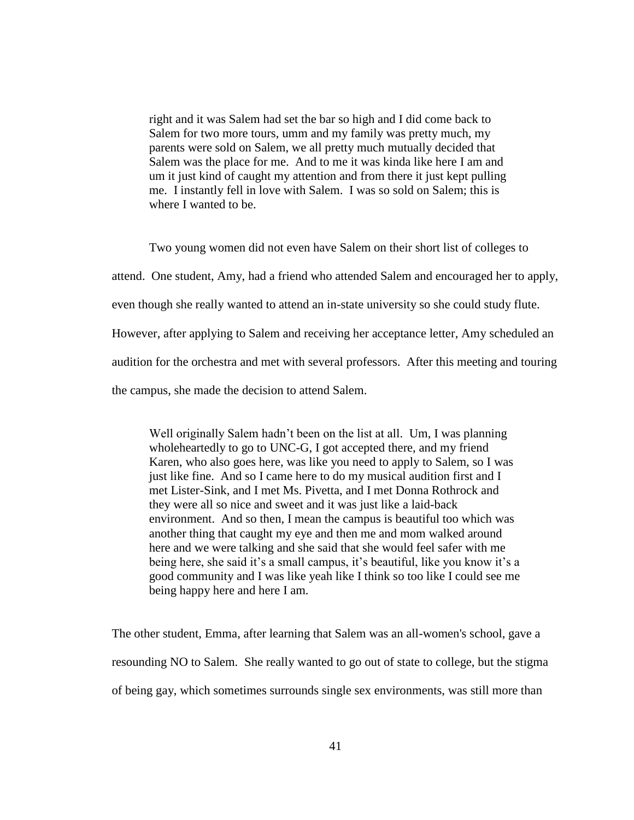right and it was Salem had set the bar so high and I did come back to Salem for two more tours, umm and my family was pretty much, my parents were sold on Salem, we all pretty much mutually decided that Salem was the place for me. And to me it was kinda like here I am and um it just kind of caught my attention and from there it just kept pulling me. I instantly fell in love with Salem. I was so sold on Salem; this is where I wanted to be.

Two young women did not even have Salem on their short list of colleges to attend. One student, Amy, had a friend who attended Salem and encouraged her to apply, even though she really wanted to attend an in-state university so she could study flute. However, after applying to Salem and receiving her acceptance letter, Amy scheduled an audition for the orchestra and met with several professors. After this meeting and touring the campus, she made the decision to attend Salem.

Well originally Salem hadn't been on the list at all. Um, I was planning wholeheartedly to go to UNC-G, I got accepted there, and my friend Karen, who also goes here, was like you need to apply to Salem, so I was just like fine. And so I came here to do my musical audition first and I met Lister-Sink, and I met Ms. Pivetta, and I met Donna Rothrock and they were all so nice and sweet and it was just like a laid-back environment. And so then, I mean the campus is beautiful too which was another thing that caught my eye and then me and mom walked around here and we were talking and she said that she would feel safer with me being here, she said it's a small campus, it's beautiful, like you know it's a good community and I was like yeah like I think so too like I could see me being happy here and here I am.

The other student, Emma, after learning that Salem was an all-women's school, gave a resounding NO to Salem. She really wanted to go out of state to college, but the stigma of being gay, which sometimes surrounds single sex environments, was still more than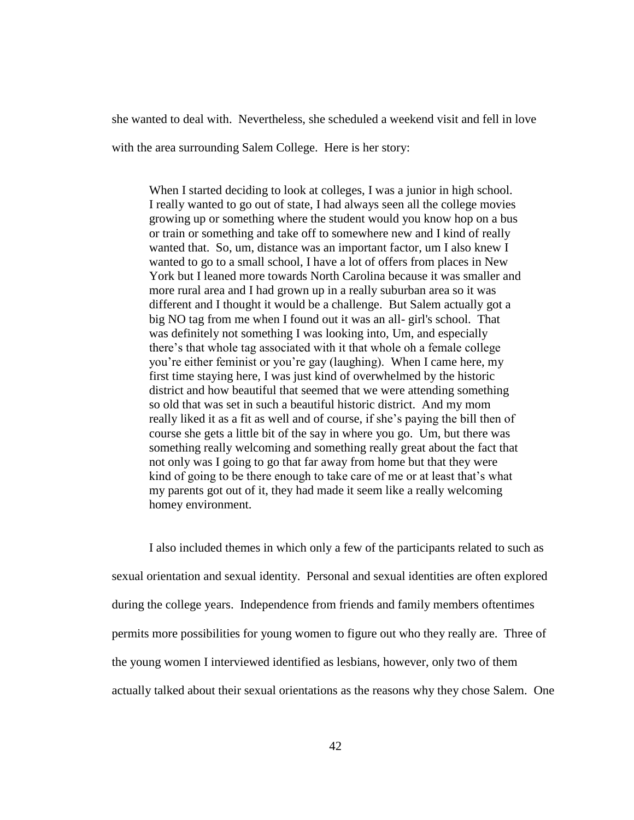she wanted to deal with. Nevertheless, she scheduled a weekend visit and fell in love

with the area surrounding Salem College. Here is her story:

When I started deciding to look at colleges, I was a junior in high school. I really wanted to go out of state, I had always seen all the college movies growing up or something where the student would you know hop on a bus or train or something and take off to somewhere new and I kind of really wanted that. So, um, distance was an important factor, um I also knew I wanted to go to a small school, I have a lot of offers from places in New York but I leaned more towards North Carolina because it was smaller and more rural area and I had grown up in a really suburban area so it was different and I thought it would be a challenge. But Salem actually got a big NO tag from me when I found out it was an all- girl's school. That was definitely not something I was looking into, Um, and especially there's that whole tag associated with it that whole oh a female college you're either feminist or you're gay (laughing). When I came here, my first time staying here, I was just kind of overwhelmed by the historic district and how beautiful that seemed that we were attending something so old that was set in such a beautiful historic district. And my mom really liked it as a fit as well and of course, if she's paying the bill then of course she gets a little bit of the say in where you go. Um, but there was something really welcoming and something really great about the fact that not only was I going to go that far away from home but that they were kind of going to be there enough to take care of me or at least that's what my parents got out of it, they had made it seem like a really welcoming homey environment.

I also included themes in which only a few of the participants related to such as sexual orientation and sexual identity. Personal and sexual identities are often explored during the college years. Independence from friends and family members oftentimes permits more possibilities for young women to figure out who they really are. Three of the young women I interviewed identified as lesbians, however, only two of them actually talked about their sexual orientations as the reasons why they chose Salem. One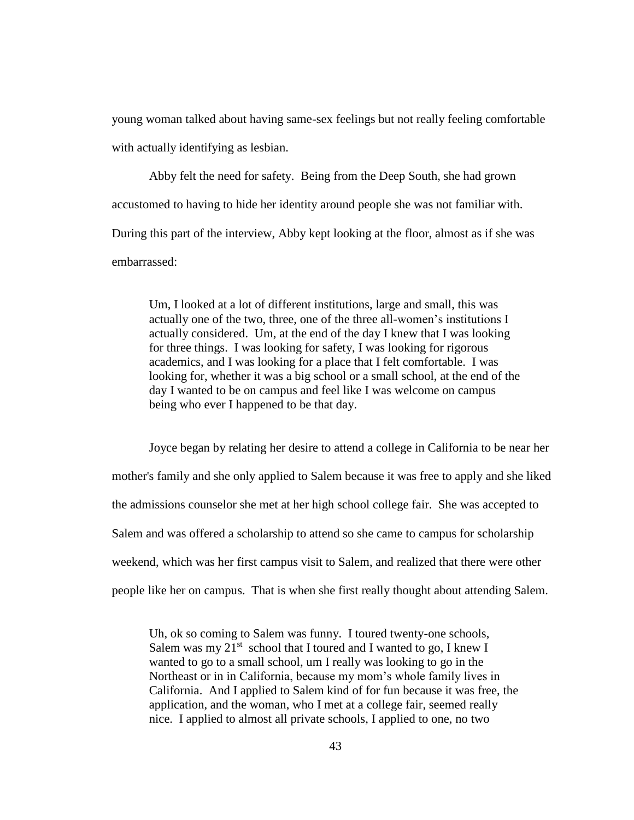young woman talked about having same-sex feelings but not really feeling comfortable with actually identifying as lesbian.

Abby felt the need for safety. Being from the Deep South, she had grown accustomed to having to hide her identity around people she was not familiar with. During this part of the interview, Abby kept looking at the floor, almost as if she was embarrassed:

Um, I looked at a lot of different institutions, large and small, this was actually one of the two, three, one of the three all-women's institutions I actually considered. Um, at the end of the day I knew that I was looking for three things. I was looking for safety, I was looking for rigorous academics, and I was looking for a place that I felt comfortable. I was looking for, whether it was a big school or a small school, at the end of the day I wanted to be on campus and feel like I was welcome on campus being who ever I happened to be that day.

Joyce began by relating her desire to attend a college in California to be near her mother's family and she only applied to Salem because it was free to apply and she liked the admissions counselor she met at her high school college fair. She was accepted to Salem and was offered a scholarship to attend so she came to campus for scholarship weekend, which was her first campus visit to Salem, and realized that there were other people like her on campus. That is when she first really thought about attending Salem.

Uh, ok so coming to Salem was funny. I toured twenty-one schools, Salem was my  $21^{st}$  school that I toured and I wanted to go, I knew I wanted to go to a small school, um I really was looking to go in the Northeast or in in California, because my mom's whole family lives in California. And I applied to Salem kind of for fun because it was free, the application, and the woman, who I met at a college fair, seemed really nice. I applied to almost all private schools, I applied to one, no two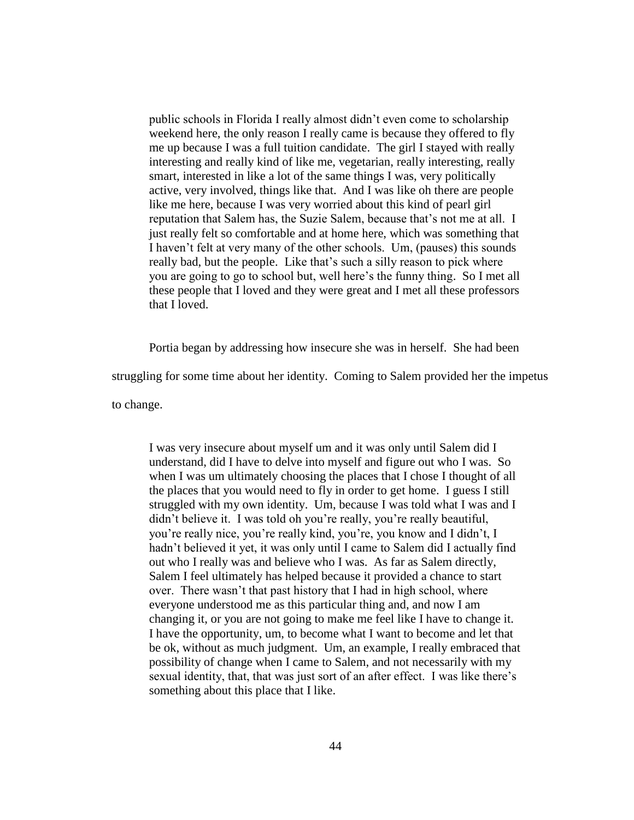public schools in Florida I really almost didn't even come to scholarship weekend here, the only reason I really came is because they offered to fly me up because I was a full tuition candidate. The girl I stayed with really interesting and really kind of like me, vegetarian, really interesting, really smart, interested in like a lot of the same things I was, very politically active, very involved, things like that. And I was like oh there are people like me here, because I was very worried about this kind of pearl girl reputation that Salem has, the Suzie Salem, because that's not me at all. I just really felt so comfortable and at home here, which was something that I haven't felt at very many of the other schools. Um, (pauses) this sounds really bad, but the people. Like that's such a silly reason to pick where you are going to go to school but, well here's the funny thing. So I met all these people that I loved and they were great and I met all these professors that I loved.

Portia began by addressing how insecure she was in herself. She had been

struggling for some time about her identity. Coming to Salem provided her the impetus

to change.

I was very insecure about myself um and it was only until Salem did I understand, did I have to delve into myself and figure out who I was. So when I was um ultimately choosing the places that I chose I thought of all the places that you would need to fly in order to get home. I guess I still struggled with my own identity. Um, because I was told what I was and I didn't believe it. I was told oh you're really, you're really beautiful, you're really nice, you're really kind, you're, you know and I didn't, I hadn't believed it yet, it was only until I came to Salem did I actually find out who I really was and believe who I was. As far as Salem directly, Salem I feel ultimately has helped because it provided a chance to start over. There wasn't that past history that I had in high school, where everyone understood me as this particular thing and, and now I am changing it, or you are not going to make me feel like I have to change it. I have the opportunity, um, to become what I want to become and let that be ok, without as much judgment. Um, an example, I really embraced that possibility of change when I came to Salem, and not necessarily with my sexual identity, that, that was just sort of an after effect. I was like there's something about this place that I like.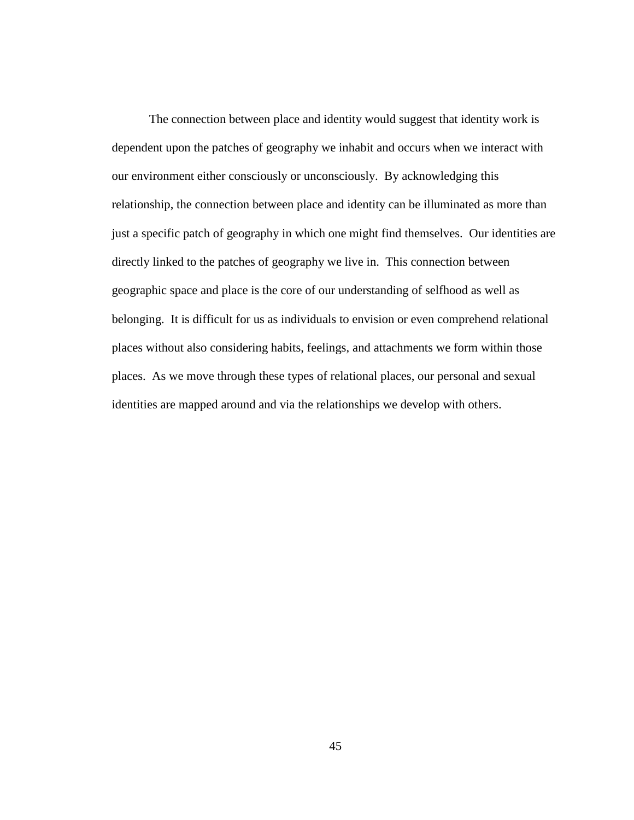The connection between place and identity would suggest that identity work is dependent upon the patches of geography we inhabit and occurs when we interact with our environment either consciously or unconsciously. By acknowledging this relationship, the connection between place and identity can be illuminated as more than just a specific patch of geography in which one might find themselves. Our identities are directly linked to the patches of geography we live in. This connection between geographic space and place is the core of our understanding of selfhood as well as belonging. It is difficult for us as individuals to envision or even comprehend relational places without also considering habits, feelings, and attachments we form within those places. As we move through these types of relational places, our personal and sexual identities are mapped around and via the relationships we develop with others.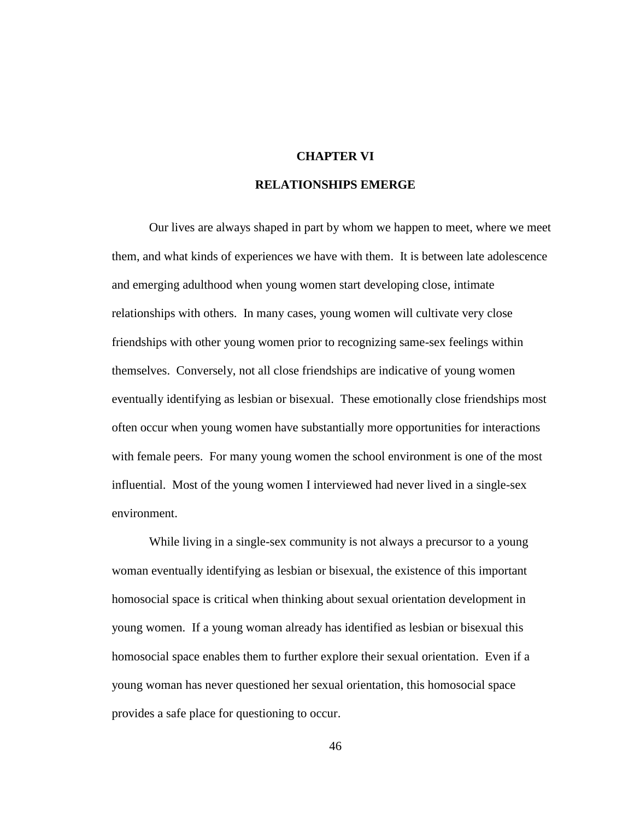### **CHAPTER VI**

## **RELATIONSHIPS EMERGE**

Our lives are always shaped in part by whom we happen to meet, where we meet them, and what kinds of experiences we have with them. It is between late adolescence and emerging adulthood when young women start developing close, intimate relationships with others. In many cases, young women will cultivate very close friendships with other young women prior to recognizing same-sex feelings within themselves. Conversely, not all close friendships are indicative of young women eventually identifying as lesbian or bisexual. These emotionally close friendships most often occur when young women have substantially more opportunities for interactions with female peers. For many young women the school environment is one of the most influential. Most of the young women I interviewed had never lived in a single-sex environment.

While living in a single-sex community is not always a precursor to a young woman eventually identifying as lesbian or bisexual, the existence of this important homosocial space is critical when thinking about sexual orientation development in young women. If a young woman already has identified as lesbian or bisexual this homosocial space enables them to further explore their sexual orientation. Even if a young woman has never questioned her sexual orientation, this homosocial space provides a safe place for questioning to occur.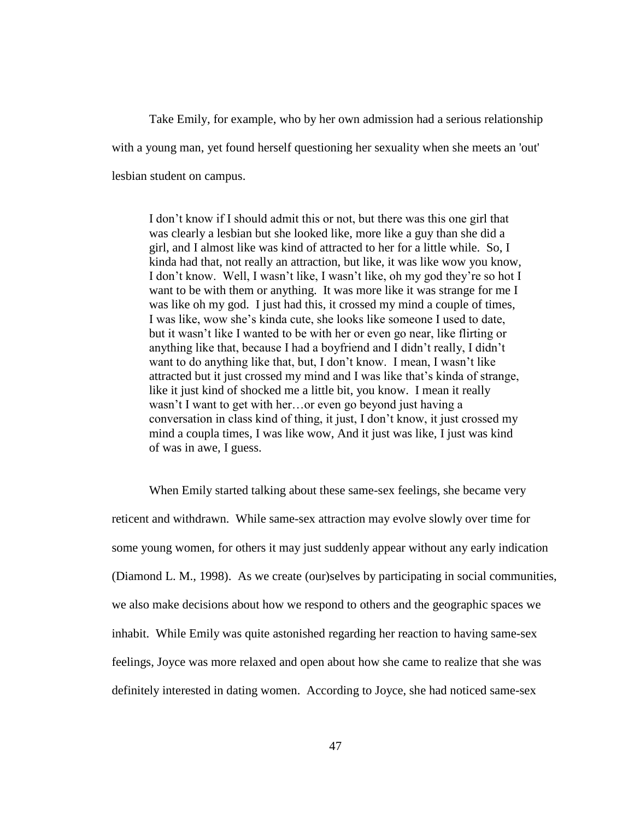Take Emily, for example, who by her own admission had a serious relationship with a young man, yet found herself questioning her sexuality when she meets an 'out' lesbian student on campus.

I don't know if I should admit this or not, but there was this one girl that was clearly a lesbian but she looked like, more like a guy than she did a girl, and I almost like was kind of attracted to her for a little while. So, I kinda had that, not really an attraction, but like, it was like wow you know, I don't know. Well, I wasn't like, I wasn't like, oh my god they're so hot I want to be with them or anything. It was more like it was strange for me I was like oh my god. I just had this, it crossed my mind a couple of times, I was like, wow she's kinda cute, she looks like someone I used to date, but it wasn't like I wanted to be with her or even go near, like flirting or anything like that, because I had a boyfriend and I didn't really, I didn't want to do anything like that, but, I don't know. I mean, I wasn't like attracted but it just crossed my mind and I was like that's kinda of strange, like it just kind of shocked me a little bit, you know. I mean it really wasn't I want to get with her…or even go beyond just having a conversation in class kind of thing, it just, I don't know, it just crossed my mind a coupla times, I was like wow, And it just was like, I just was kind of was in awe, I guess.

When Emily started talking about these same-sex feelings, she became very reticent and withdrawn. While same-sex attraction may evolve slowly over time for some young women, for others it may just suddenly appear without any early indication (Diamond L. M., 1998). As we create (our)selves by participating in social communities, we also make decisions about how we respond to others and the geographic spaces we inhabit. While Emily was quite astonished regarding her reaction to having same-sex feelings, Joyce was more relaxed and open about how she came to realize that she was definitely interested in dating women. According to Joyce, she had noticed same-sex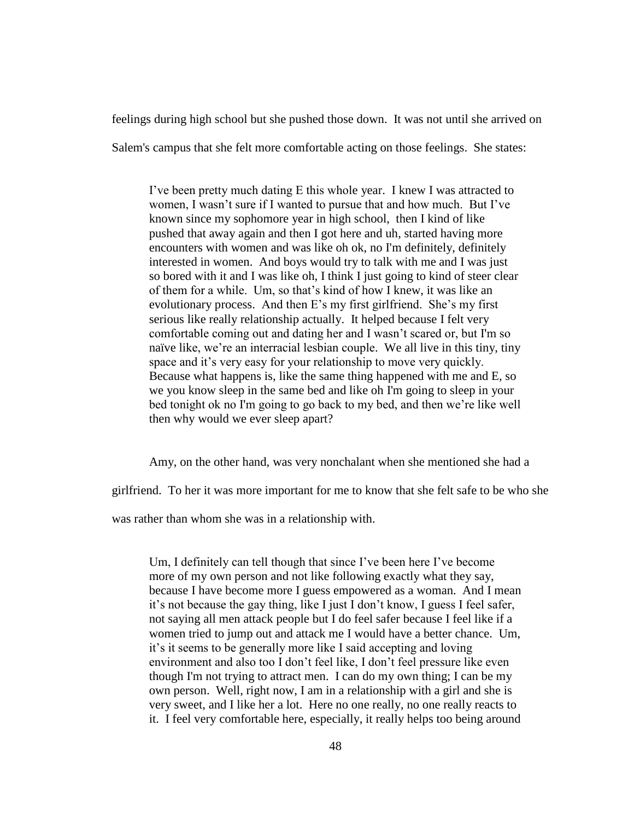feelings during high school but she pushed those down. It was not until she arrived on

Salem's campus that she felt more comfortable acting on those feelings. She states:

I've been pretty much dating E this whole year. I knew I was attracted to women, I wasn't sure if I wanted to pursue that and how much. But I've known since my sophomore year in high school, then I kind of like pushed that away again and then I got here and uh, started having more encounters with women and was like oh ok, no I'm definitely, definitely interested in women. And boys would try to talk with me and I was just so bored with it and I was like oh, I think I just going to kind of steer clear of them for a while. Um, so that's kind of how I knew, it was like an evolutionary process. And then E's my first girlfriend. She's my first serious like really relationship actually. It helped because I felt very comfortable coming out and dating her and I wasn't scared or, but I'm so naïve like, we're an interracial lesbian couple. We all live in this tiny, tiny space and it's very easy for your relationship to move very quickly. Because what happens is, like the same thing happened with me and E, so we you know sleep in the same bed and like oh I'm going to sleep in your bed tonight ok no I'm going to go back to my bed, and then we're like well then why would we ever sleep apart?

Amy, on the other hand, was very nonchalant when she mentioned she had a

girlfriend. To her it was more important for me to know that she felt safe to be who she

was rather than whom she was in a relationship with.

Um, I definitely can tell though that since I've been here I've become more of my own person and not like following exactly what they say, because I have become more I guess empowered as a woman. And I mean it's not because the gay thing, like I just I don't know, I guess I feel safer, not saying all men attack people but I do feel safer because I feel like if a women tried to jump out and attack me I would have a better chance. Um, it's it seems to be generally more like I said accepting and loving environment and also too I don't feel like, I don't feel pressure like even though I'm not trying to attract men. I can do my own thing; I can be my own person. Well, right now, I am in a relationship with a girl and she is very sweet, and I like her a lot. Here no one really, no one really reacts to it. I feel very comfortable here, especially, it really helps too being around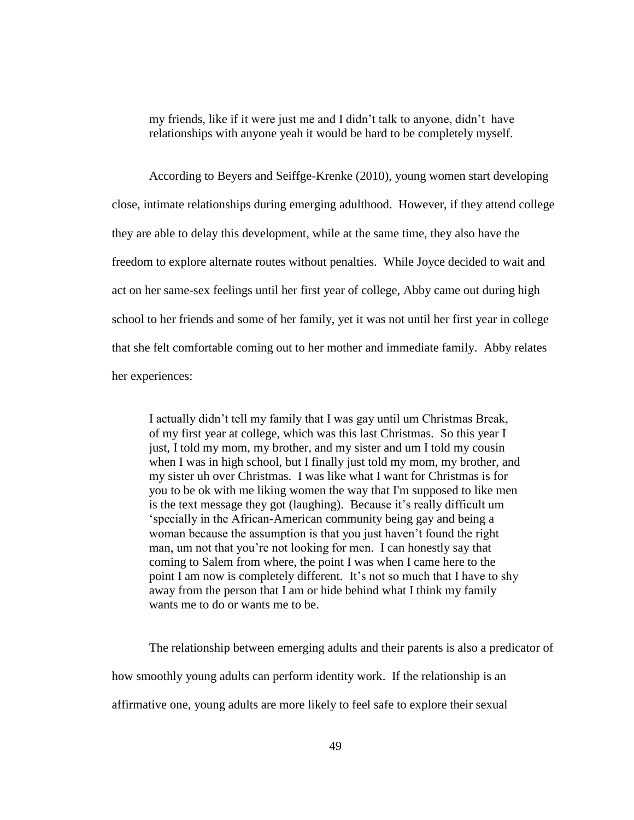my friends, like if it were just me and I didn't talk to anyone, didn't have relationships with anyone yeah it would be hard to be completely myself.

According to Beyers and Seiffge-Krenke (2010), young women start developing close, intimate relationships during emerging adulthood. However, if they attend college they are able to delay this development, while at the same time, they also have the freedom to explore alternate routes without penalties. While Joyce decided to wait and act on her same-sex feelings until her first year of college, Abby came out during high school to her friends and some of her family, yet it was not until her first year in college that she felt comfortable coming out to her mother and immediate family. Abby relates her experiences:

I actually didn't tell my family that I was gay until um Christmas Break, of my first year at college, which was this last Christmas. So this year I just, I told my mom, my brother, and my sister and um I told my cousin when I was in high school, but I finally just told my mom, my brother, and my sister uh over Christmas. I was like what I want for Christmas is for you to be ok with me liking women the way that I'm supposed to like men is the text message they got (laughing). Because it's really difficult um 'specially in the African-American community being gay and being a woman because the assumption is that you just haven't found the right man, um not that you're not looking for men. I can honestly say that coming to Salem from where, the point I was when I came here to the point I am now is completely different. It's not so much that I have to shy away from the person that I am or hide behind what I think my family wants me to do or wants me to be.

The relationship between emerging adults and their parents is also a predicator of how smoothly young adults can perform identity work. If the relationship is an affirmative one, young adults are more likely to feel safe to explore their sexual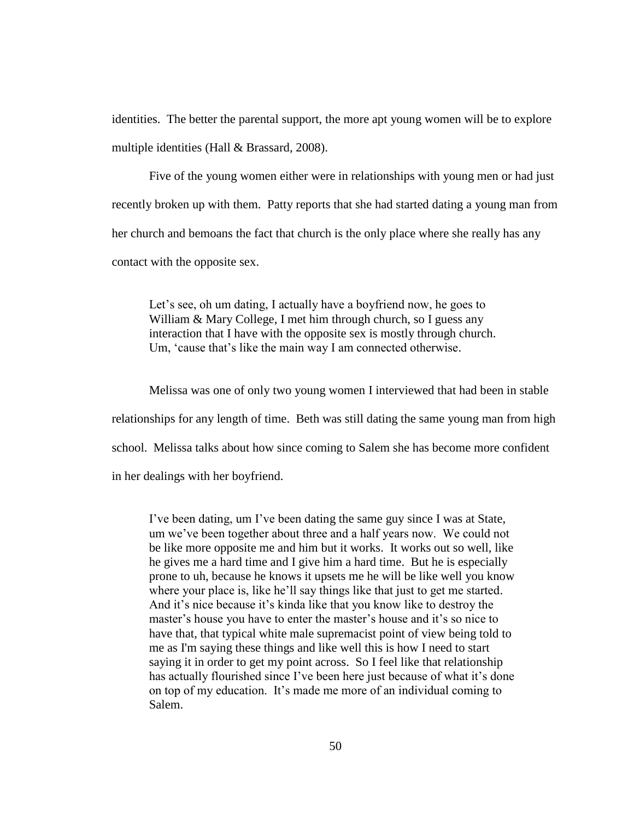identities. The better the parental support, the more apt young women will be to explore multiple identities (Hall & Brassard, 2008).

Five of the young women either were in relationships with young men or had just recently broken up with them. Patty reports that she had started dating a young man from her church and bemoans the fact that church is the only place where she really has any contact with the opposite sex.

Let's see, oh um dating, I actually have a boyfriend now, he goes to William & Mary College, I met him through church, so I guess any interaction that I have with the opposite sex is mostly through church. Um, 'cause that's like the main way I am connected otherwise.

Melissa was one of only two young women I interviewed that had been in stable relationships for any length of time. Beth was still dating the same young man from high school. Melissa talks about how since coming to Salem she has become more confident in her dealings with her boyfriend.

I've been dating, um I've been dating the same guy since I was at State, um we've been together about three and a half years now. We could not be like more opposite me and him but it works. It works out so well, like he gives me a hard time and I give him a hard time. But he is especially prone to uh, because he knows it upsets me he will be like well you know where your place is, like he'll say things like that just to get me started. And it's nice because it's kinda like that you know like to destroy the master's house you have to enter the master's house and it's so nice to have that, that typical white male supremacist point of view being told to me as I'm saying these things and like well this is how I need to start saying it in order to get my point across. So I feel like that relationship has actually flourished since I've been here just because of what it's done on top of my education. It's made me more of an individual coming to Salem.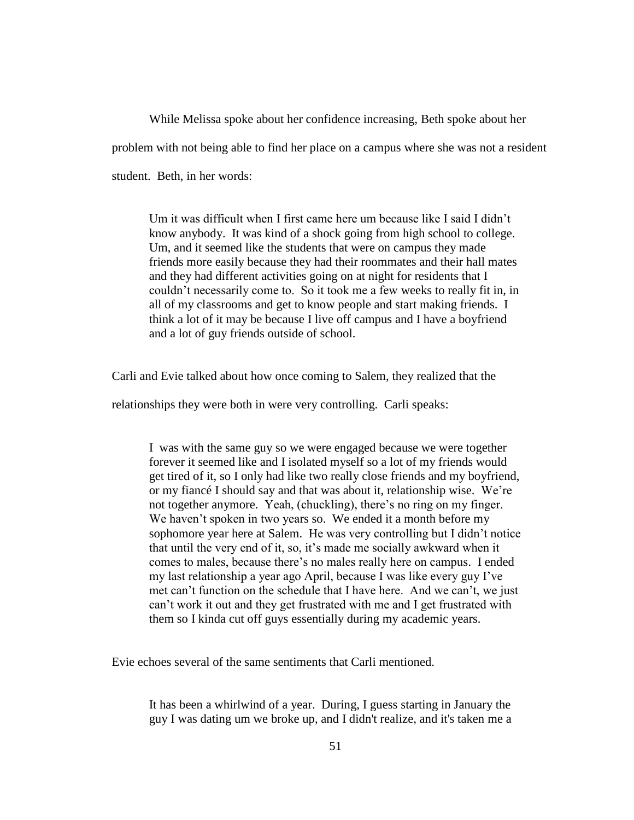While Melissa spoke about her confidence increasing, Beth spoke about her problem with not being able to find her place on a campus where she was not a resident student. Beth, in her words:

Um it was difficult when I first came here um because like I said I didn't know anybody. It was kind of a shock going from high school to college. Um, and it seemed like the students that were on campus they made friends more easily because they had their roommates and their hall mates and they had different activities going on at night for residents that I couldn't necessarily come to. So it took me a few weeks to really fit in, in all of my classrooms and get to know people and start making friends. I think a lot of it may be because I live off campus and I have a boyfriend and a lot of guy friends outside of school.

Carli and Evie talked about how once coming to Salem, they realized that the

relationships they were both in were very controlling. Carli speaks:

I was with the same guy so we were engaged because we were together forever it seemed like and I isolated myself so a lot of my friends would get tired of it, so I only had like two really close friends and my boyfriend, or my fiancé I should say and that was about it, relationship wise. We're not together anymore. Yeah, (chuckling), there's no ring on my finger. We haven't spoken in two years so. We ended it a month before my sophomore year here at Salem. He was very controlling but I didn't notice that until the very end of it, so, it's made me socially awkward when it comes to males, because there's no males really here on campus. I ended my last relationship a year ago April, because I was like every guy I've met can't function on the schedule that I have here. And we can't, we just can't work it out and they get frustrated with me and I get frustrated with them so I kinda cut off guys essentially during my academic years.

Evie echoes several of the same sentiments that Carli mentioned.

It has been a whirlwind of a year. During, I guess starting in January the guy I was dating um we broke up, and I didn't realize, and it's taken me a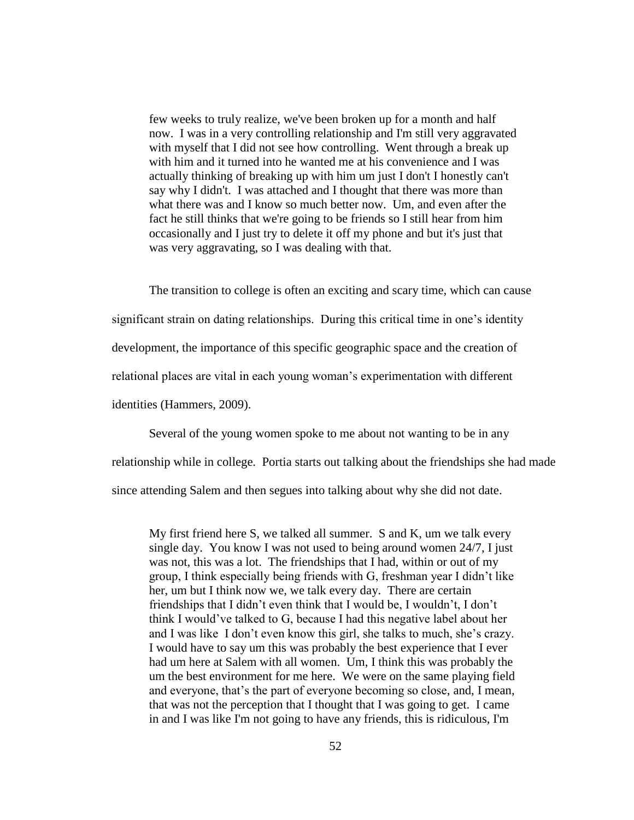few weeks to truly realize, we've been broken up for a month and half now. I was in a very controlling relationship and I'm still very aggravated with myself that I did not see how controlling. Went through a break up with him and it turned into he wanted me at his convenience and I was actually thinking of breaking up with him um just I don't I honestly can't say why I didn't. I was attached and I thought that there was more than what there was and I know so much better now. Um, and even after the fact he still thinks that we're going to be friends so I still hear from him occasionally and I just try to delete it off my phone and but it's just that was very aggravating, so I was dealing with that.

The transition to college is often an exciting and scary time, which can cause significant strain on dating relationships. During this critical time in one's identity development, the importance of this specific geographic space and the creation of relational places are vital in each young woman's experimentation with different identities (Hammers, 2009).

Several of the young women spoke to me about not wanting to be in any relationship while in college. Portia starts out talking about the friendships she had made since attending Salem and then segues into talking about why she did not date.

My first friend here S, we talked all summer. S and K, um we talk every single day. You know I was not used to being around women 24/7, I just was not, this was a lot. The friendships that I had, within or out of my group, I think especially being friends with G, freshman year I didn't like her, um but I think now we, we talk every day. There are certain friendships that I didn't even think that I would be, I wouldn't, I don't think I would've talked to G, because I had this negative label about her and I was like I don't even know this girl, she talks to much, she's crazy. I would have to say um this was probably the best experience that I ever had um here at Salem with all women. Um, I think this was probably the um the best environment for me here. We were on the same playing field and everyone, that's the part of everyone becoming so close, and, I mean, that was not the perception that I thought that I was going to get. I came in and I was like I'm not going to have any friends, this is ridiculous, I'm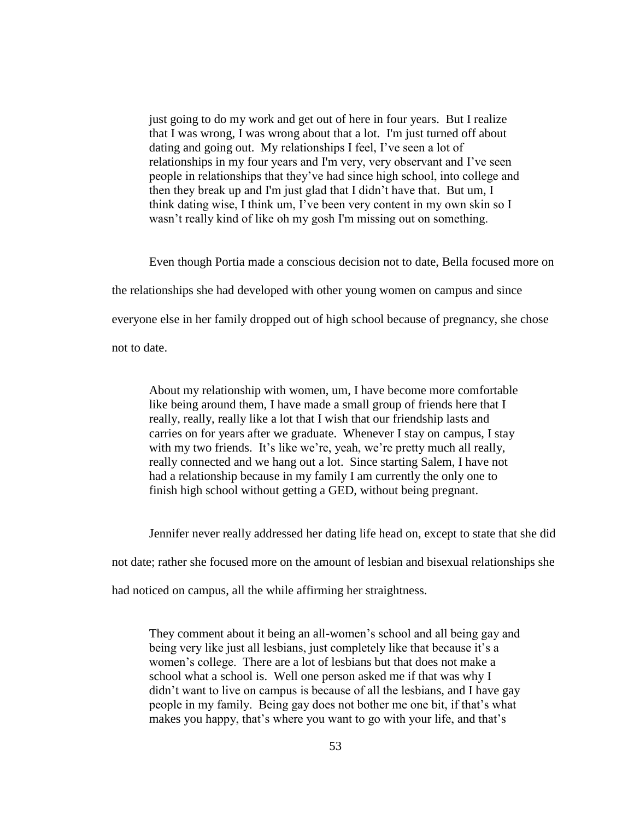just going to do my work and get out of here in four years. But I realize that I was wrong, I was wrong about that a lot. I'm just turned off about dating and going out. My relationships I feel, I've seen a lot of relationships in my four years and I'm very, very observant and I've seen people in relationships that they've had since high school, into college and then they break up and I'm just glad that I didn't have that. But um, I think dating wise, I think um, I've been very content in my own skin so I wasn't really kind of like oh my gosh I'm missing out on something.

Even though Portia made a conscious decision not to date, Bella focused more on the relationships she had developed with other young women on campus and since everyone else in her family dropped out of high school because of pregnancy, she chose not to date.

About my relationship with women, um, I have become more comfortable like being around them, I have made a small group of friends here that I really, really, really like a lot that I wish that our friendship lasts and carries on for years after we graduate. Whenever I stay on campus, I stay with my two friends. It's like we're, yeah, we're pretty much all really, really connected and we hang out a lot. Since starting Salem, I have not had a relationship because in my family I am currently the only one to finish high school without getting a GED, without being pregnant.

Jennifer never really addressed her dating life head on, except to state that she did

not date; rather she focused more on the amount of lesbian and bisexual relationships she

had noticed on campus, all the while affirming her straightness.

They comment about it being an all-women's school and all being gay and being very like just all lesbians, just completely like that because it's a women's college. There are a lot of lesbians but that does not make a school what a school is. Well one person asked me if that was why I didn't want to live on campus is because of all the lesbians, and I have gay people in my family. Being gay does not bother me one bit, if that's what makes you happy, that's where you want to go with your life, and that's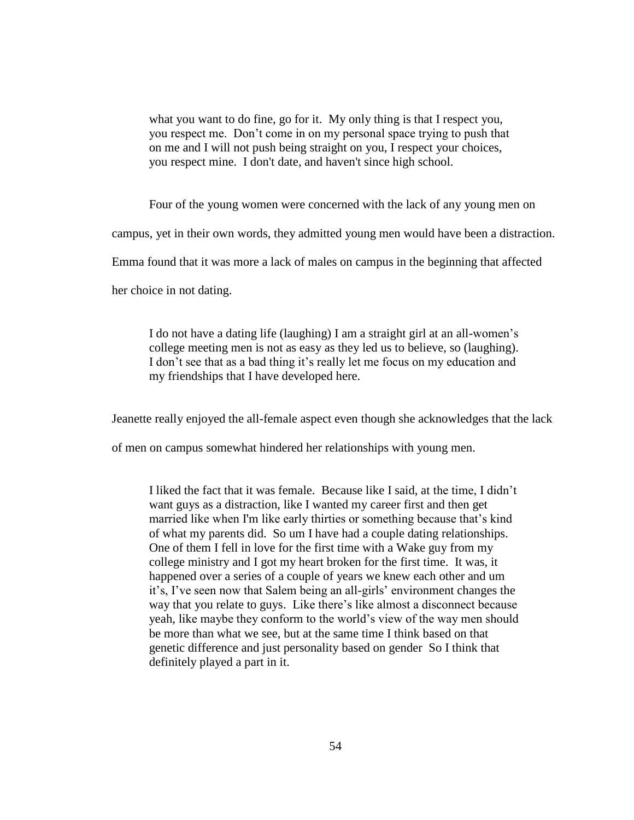what you want to do fine, go for it. My only thing is that I respect you, you respect me. Don't come in on my personal space trying to push that on me and I will not push being straight on you, I respect your choices, you respect mine. I don't date, and haven't since high school.

Four of the young women were concerned with the lack of any young men on

campus, yet in their own words, they admitted young men would have been a distraction.

Emma found that it was more a lack of males on campus in the beginning that affected

her choice in not dating.

I do not have a dating life (laughing) I am a straight girl at an all-women's college meeting men is not as easy as they led us to believe, so (laughing). I don't see that as a bad thing it's really let me focus on my education and my friendships that I have developed here.

Jeanette really enjoyed the all-female aspect even though she acknowledges that the lack

of men on campus somewhat hindered her relationships with young men.

I liked the fact that it was female. Because like I said, at the time, I didn't want guys as a distraction, like I wanted my career first and then get married like when I'm like early thirties or something because that's kind of what my parents did. So um I have had a couple dating relationships. One of them I fell in love for the first time with a Wake guy from my college ministry and I got my heart broken for the first time. It was, it happened over a series of a couple of years we knew each other and um it's, I've seen now that Salem being an all-girls' environment changes the way that you relate to guys. Like there's like almost a disconnect because yeah, like maybe they conform to the world's view of the way men should be more than what we see, but at the same time I think based on that genetic difference and just personality based on gender So I think that definitely played a part in it.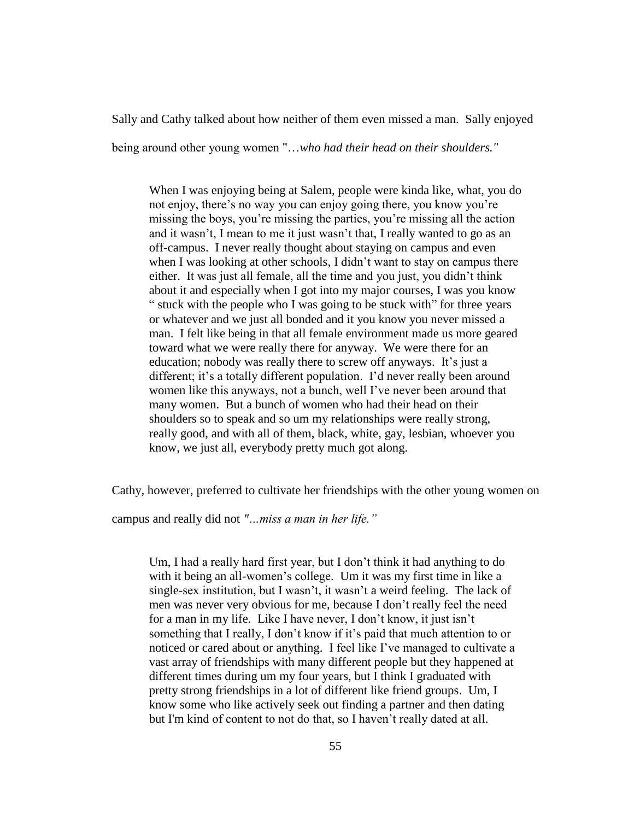Sally and Cathy talked about how neither of them even missed a man. Sally enjoyed

being around other young women "…*who had their head on their shoulders."*

When I was enjoying being at Salem, people were kinda like, what, you do not enjoy, there's no way you can enjoy going there, you know you're missing the boys, you're missing the parties, you're missing all the action and it wasn't, I mean to me it just wasn't that, I really wanted to go as an off-campus. I never really thought about staying on campus and even when I was looking at other schools, I didn't want to stay on campus there either. It was just all female, all the time and you just, you didn't think about it and especially when I got into my major courses, I was you know " stuck with the people who I was going to be stuck with" for three years or whatever and we just all bonded and it you know you never missed a man. I felt like being in that all female environment made us more geared toward what we were really there for anyway. We were there for an education; nobody was really there to screw off anyways. It's just a different; it's a totally different population. I'd never really been around women like this anyways, not a bunch, well I've never been around that many women. But a bunch of women who had their head on their shoulders so to speak and so um my relationships were really strong, really good, and with all of them, black, white, gay, lesbian, whoever you know, we just all, everybody pretty much got along.

Cathy, however, preferred to cultivate her friendships with the other young women on

campus and really did not *"…miss a man in her life."*

Um, I had a really hard first year, but I don't think it had anything to do with it being an all-women's college. Um it was my first time in like a single-sex institution, but I wasn't, it wasn't a weird feeling. The lack of men was never very obvious for me, because I don't really feel the need for a man in my life. Like I have never, I don't know, it just isn't something that I really, I don't know if it's paid that much attention to or noticed or cared about or anything. I feel like I've managed to cultivate a vast array of friendships with many different people but they happened at different times during um my four years, but I think I graduated with pretty strong friendships in a lot of different like friend groups. Um, I know some who like actively seek out finding a partner and then dating but I'm kind of content to not do that, so I haven't really dated at all.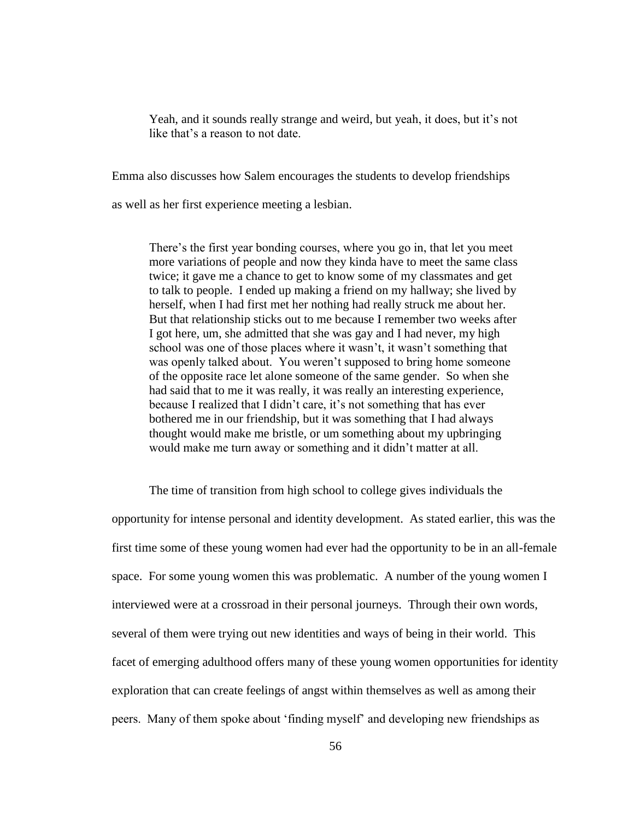Yeah, and it sounds really strange and weird, but yeah, it does, but it's not like that's a reason to not date.

Emma also discusses how Salem encourages the students to develop friendships

as well as her first experience meeting a lesbian.

There's the first year bonding courses, where you go in, that let you meet more variations of people and now they kinda have to meet the same class twice; it gave me a chance to get to know some of my classmates and get to talk to people. I ended up making a friend on my hallway; she lived by herself, when I had first met her nothing had really struck me about her. But that relationship sticks out to me because I remember two weeks after I got here, um, she admitted that she was gay and I had never, my high school was one of those places where it wasn't, it wasn't something that was openly talked about. You weren't supposed to bring home someone of the opposite race let alone someone of the same gender. So when she had said that to me it was really, it was really an interesting experience, because I realized that I didn't care, it's not something that has ever bothered me in our friendship, but it was something that I had always thought would make me bristle, or um something about my upbringing would make me turn away or something and it didn't matter at all.

The time of transition from high school to college gives individuals the opportunity for intense personal and identity development. As stated earlier, this was the first time some of these young women had ever had the opportunity to be in an all-female space. For some young women this was problematic. A number of the young women I interviewed were at a crossroad in their personal journeys. Through their own words, several of them were trying out new identities and ways of being in their world. This facet of emerging adulthood offers many of these young women opportunities for identity exploration that can create feelings of angst within themselves as well as among their peers. Many of them spoke about 'finding myself' and developing new friendships as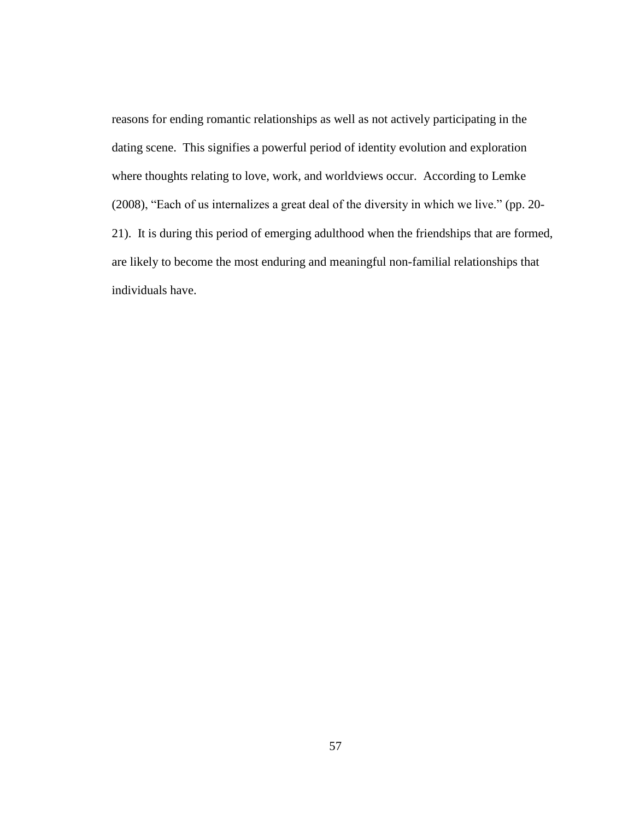reasons for ending romantic relationships as well as not actively participating in the dating scene. This signifies a powerful period of identity evolution and exploration where thoughts relating to love, work, and worldviews occur. According to Lemke (2008), "Each of us internalizes a great deal of the diversity in which we live." (pp. 20- 21). It is during this period of emerging adulthood when the friendships that are formed, are likely to become the most enduring and meaningful non-familial relationships that individuals have.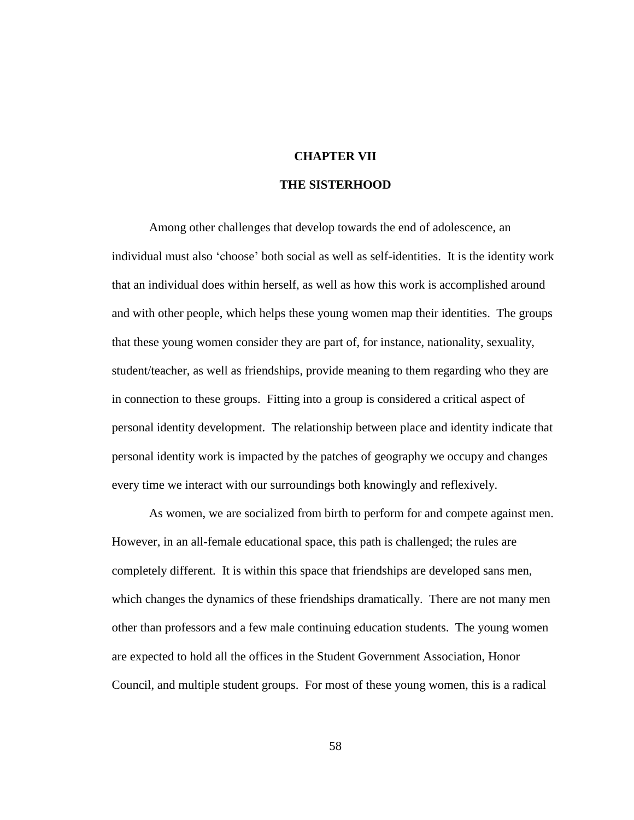# **CHAPTER VII**

## **THE SISTERHOOD**

Among other challenges that develop towards the end of adolescence, an individual must also 'choose' both social as well as self-identities. It is the identity work that an individual does within herself, as well as how this work is accomplished around and with other people, which helps these young women map their identities. The groups that these young women consider they are part of, for instance, nationality, sexuality, student/teacher, as well as friendships, provide meaning to them regarding who they are in connection to these groups. Fitting into a group is considered a critical aspect of personal identity development. The relationship between place and identity indicate that personal identity work is impacted by the patches of geography we occupy and changes every time we interact with our surroundings both knowingly and reflexively.

As women, we are socialized from birth to perform for and compete against men. However, in an all-female educational space, this path is challenged; the rules are completely different. It is within this space that friendships are developed sans men, which changes the dynamics of these friendships dramatically. There are not many men other than professors and a few male continuing education students. The young women are expected to hold all the offices in the Student Government Association, Honor Council, and multiple student groups. For most of these young women, this is a radical

58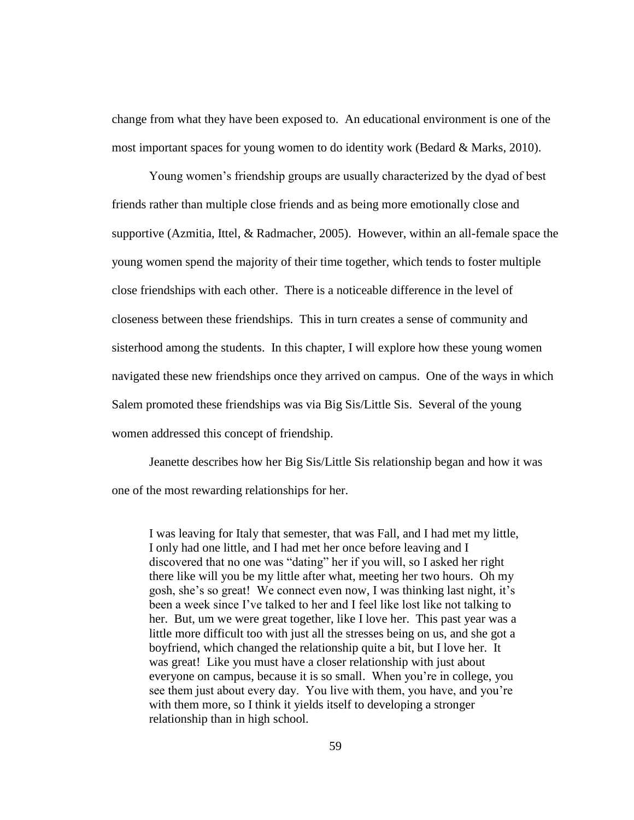change from what they have been exposed to. An educational environment is one of the most important spaces for young women to do identity work (Bedard & Marks, 2010).

Young women's friendship groups are usually characterized by the dyad of best friends rather than multiple close friends and as being more emotionally close and supportive (Azmitia, Ittel, & Radmacher, 2005). However, within an all-female space the young women spend the majority of their time together, which tends to foster multiple close friendships with each other. There is a noticeable difference in the level of closeness between these friendships. This in turn creates a sense of community and sisterhood among the students. In this chapter, I will explore how these young women navigated these new friendships once they arrived on campus. One of the ways in which Salem promoted these friendships was via Big Sis/Little Sis. Several of the young women addressed this concept of friendship.

Jeanette describes how her Big Sis/Little Sis relationship began and how it was one of the most rewarding relationships for her.

I was leaving for Italy that semester, that was Fall, and I had met my little, I only had one little, and I had met her once before leaving and I discovered that no one was "dating" her if you will, so I asked her right there like will you be my little after what, meeting her two hours. Oh my gosh, she's so great! We connect even now, I was thinking last night, it's been a week since I've talked to her and I feel like lost like not talking to her. But, um we were great together, like I love her. This past year was a little more difficult too with just all the stresses being on us, and she got a boyfriend, which changed the relationship quite a bit, but I love her. It was great! Like you must have a closer relationship with just about everyone on campus, because it is so small. When you're in college, you see them just about every day. You live with them, you have, and you're with them more, so I think it yields itself to developing a stronger relationship than in high school.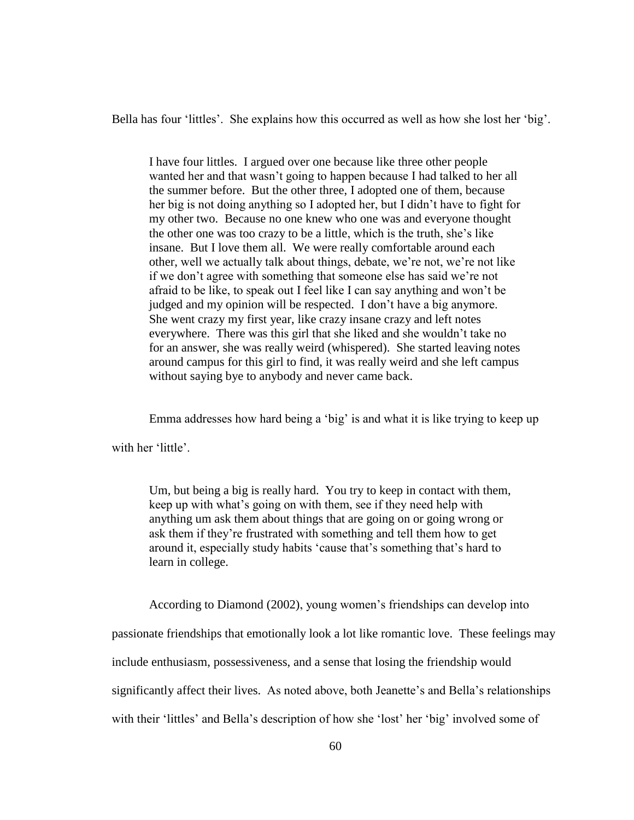Bella has four 'littles'. She explains how this occurred as well as how she lost her 'big'.

I have four littles. I argued over one because like three other people wanted her and that wasn't going to happen because I had talked to her all the summer before. But the other three, I adopted one of them, because her big is not doing anything so I adopted her, but I didn't have to fight for my other two. Because no one knew who one was and everyone thought the other one was too crazy to be a little, which is the truth, she's like insane. But I love them all. We were really comfortable around each other, well we actually talk about things, debate, we're not, we're not like if we don't agree with something that someone else has said we're not afraid to be like, to speak out I feel like I can say anything and won't be judged and my opinion will be respected. I don't have a big anymore. She went crazy my first year, like crazy insane crazy and left notes everywhere. There was this girl that she liked and she wouldn't take no for an answer, she was really weird (whispered). She started leaving notes around campus for this girl to find, it was really weird and she left campus without saying bye to anybody and never came back.

Emma addresses how hard being a 'big' is and what it is like trying to keep up

with her 'little'.

Um, but being a big is really hard. You try to keep in contact with them, keep up with what's going on with them, see if they need help with anything um ask them about things that are going on or going wrong or ask them if they're frustrated with something and tell them how to get around it, especially study habits 'cause that's something that's hard to learn in college.

According to Diamond (2002), young women's friendships can develop into

passionate friendships that emotionally look a lot like romantic love. These feelings may

include enthusiasm, possessiveness, and a sense that losing the friendship would

significantly affect their lives. As noted above, both Jeanette's and Bella's relationships

with their 'littles' and Bella's description of how she 'lost' her 'big' involved some of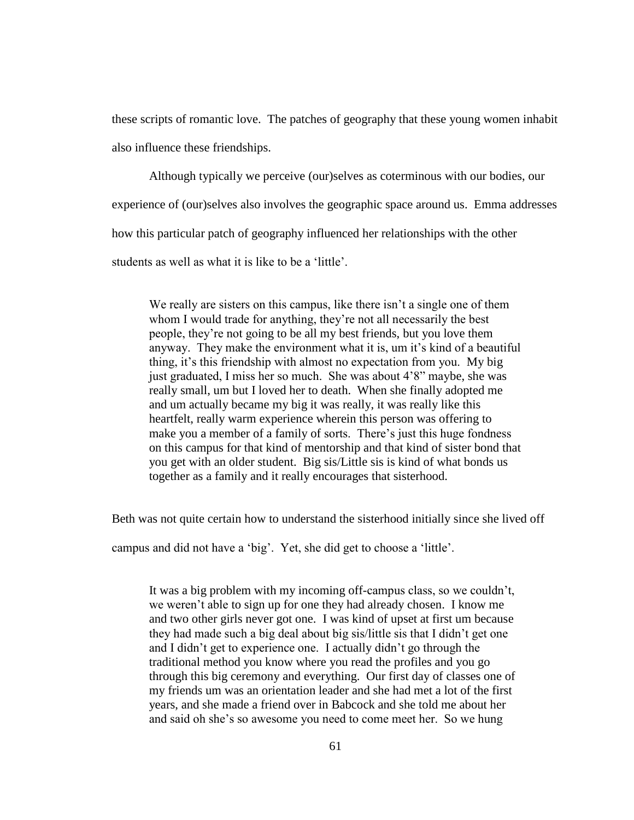these scripts of romantic love. The patches of geography that these young women inhabit also influence these friendships.

Although typically we perceive (our)selves as coterminous with our bodies, our experience of (our)selves also involves the geographic space around us. Emma addresses how this particular patch of geography influenced her relationships with the other students as well as what it is like to be a 'little'.

We really are sisters on this campus, like there isn't a single one of them whom I would trade for anything, they're not all necessarily the best people, they're not going to be all my best friends, but you love them anyway. They make the environment what it is, um it's kind of a beautiful thing, it's this friendship with almost no expectation from you. My big just graduated, I miss her so much. She was about 4'8" maybe, she was really small, um but I loved her to death. When she finally adopted me and um actually became my big it was really, it was really like this heartfelt, really warm experience wherein this person was offering to make you a member of a family of sorts. There's just this huge fondness on this campus for that kind of mentorship and that kind of sister bond that you get with an older student. Big sis/Little sis is kind of what bonds us together as a family and it really encourages that sisterhood.

Beth was not quite certain how to understand the sisterhood initially since she lived off

campus and did not have a 'big'. Yet, she did get to choose a 'little'.

It was a big problem with my incoming off-campus class, so we couldn't, we weren't able to sign up for one they had already chosen. I know me and two other girls never got one. I was kind of upset at first um because they had made such a big deal about big sis/little sis that I didn't get one and I didn't get to experience one. I actually didn't go through the traditional method you know where you read the profiles and you go through this big ceremony and everything. Our first day of classes one of my friends um was an orientation leader and she had met a lot of the first years, and she made a friend over in Babcock and she told me about her and said oh she's so awesome you need to come meet her. So we hung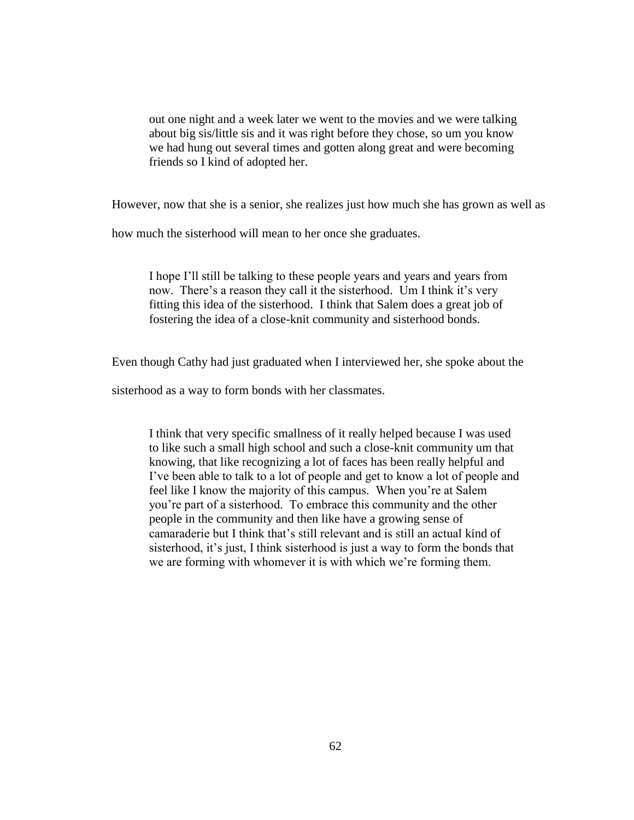out one night and a week later we went to the movies and we were talking about big sis/little sis and it was right before they chose, so um you know we had hung out several times and gotten along great and were becoming friends so I kind of adopted her.

However, now that she is a senior, she realizes just how much she has grown as well as

how much the sisterhood will mean to her once she graduates.

I hope I'll still be talking to these people years and years and years from now. There's a reason they call it the sisterhood. Um I think it's very fitting this idea of the sisterhood. I think that Salem does a great job of fostering the idea of a close-knit community and sisterhood bonds.

Even though Cathy had just graduated when I interviewed her, she spoke about the

sisterhood as a way to form bonds with her classmates.

I think that very specific smallness of it really helped because I was used to like such a small high school and such a close-knit community um that knowing, that like recognizing a lot of faces has been really helpful and I've been able to talk to a lot of people and get to know a lot of people and feel like I know the majority of this campus. When you're at Salem you're part of a sisterhood. To embrace this community and the other people in the community and then like have a growing sense of camaraderie but I think that's still relevant and is still an actual kind of sisterhood, it's just, I think sisterhood is just a way to form the bonds that we are forming with whomever it is with which we're forming them.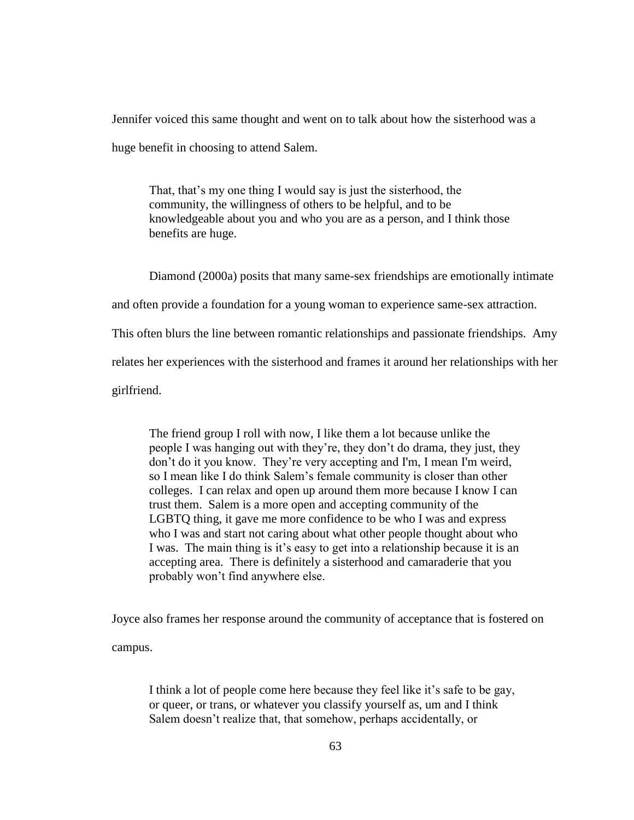Jennifer voiced this same thought and went on to talk about how the sisterhood was a

huge benefit in choosing to attend Salem.

That, that's my one thing I would say is just the sisterhood, the community, the willingness of others to be helpful, and to be knowledgeable about you and who you are as a person, and I think those benefits are huge.

Diamond (2000a) posits that many same-sex friendships are emotionally intimate

and often provide a foundation for a young woman to experience same-sex attraction.

This often blurs the line between romantic relationships and passionate friendships. Amy

relates her experiences with the sisterhood and frames it around her relationships with her

girlfriend.

The friend group I roll with now, I like them a lot because unlike the people I was hanging out with they're, they don't do drama, they just, they don't do it you know. They're very accepting and I'm, I mean I'm weird, so I mean like I do think Salem's female community is closer than other colleges. I can relax and open up around them more because I know I can trust them. Salem is a more open and accepting community of the LGBTQ thing, it gave me more confidence to be who I was and express who I was and start not caring about what other people thought about who I was. The main thing is it's easy to get into a relationship because it is an accepting area. There is definitely a sisterhood and camaraderie that you probably won't find anywhere else.

Joyce also frames her response around the community of acceptance that is fostered on

campus.

I think a lot of people come here because they feel like it's safe to be gay, or queer, or trans, or whatever you classify yourself as, um and I think Salem doesn't realize that, that somehow, perhaps accidentally, or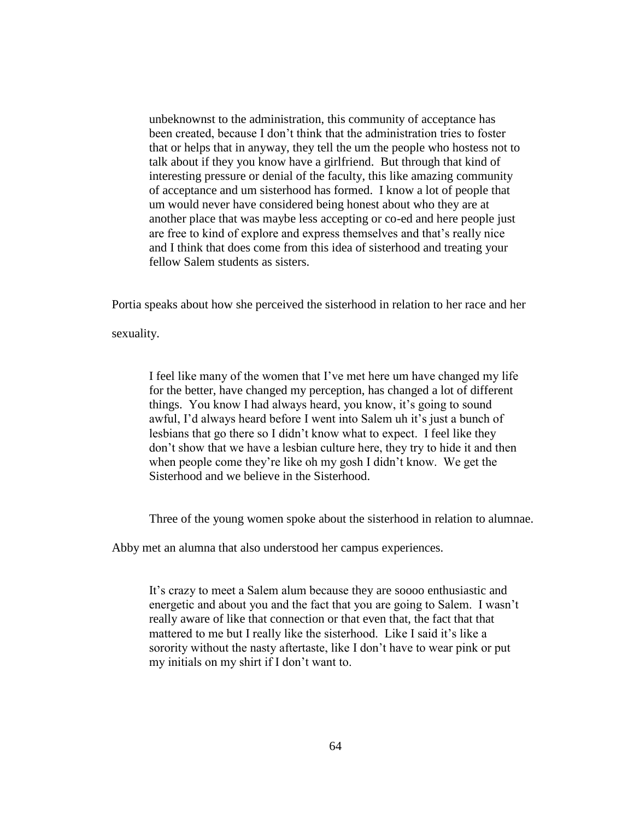unbeknownst to the administration, this community of acceptance has been created, because I don't think that the administration tries to foster that or helps that in anyway, they tell the um the people who hostess not to talk about if they you know have a girlfriend. But through that kind of interesting pressure or denial of the faculty, this like amazing community of acceptance and um sisterhood has formed. I know a lot of people that um would never have considered being honest about who they are at another place that was maybe less accepting or co-ed and here people just are free to kind of explore and express themselves and that's really nice and I think that does come from this idea of sisterhood and treating your fellow Salem students as sisters.

Portia speaks about how she perceived the sisterhood in relation to her race and her

sexuality.

I feel like many of the women that I've met here um have changed my life for the better, have changed my perception, has changed a lot of different things. You know I had always heard, you know, it's going to sound awful, I'd always heard before I went into Salem uh it's just a bunch of lesbians that go there so I didn't know what to expect. I feel like they don't show that we have a lesbian culture here, they try to hide it and then when people come they're like oh my gosh I didn't know. We get the Sisterhood and we believe in the Sisterhood.

Three of the young women spoke about the sisterhood in relation to alumnae.

Abby met an alumna that also understood her campus experiences.

It's crazy to meet a Salem alum because they are soooo enthusiastic and energetic and about you and the fact that you are going to Salem. I wasn't really aware of like that connection or that even that, the fact that that mattered to me but I really like the sisterhood. Like I said it's like a sorority without the nasty aftertaste, like I don't have to wear pink or put my initials on my shirt if I don't want to.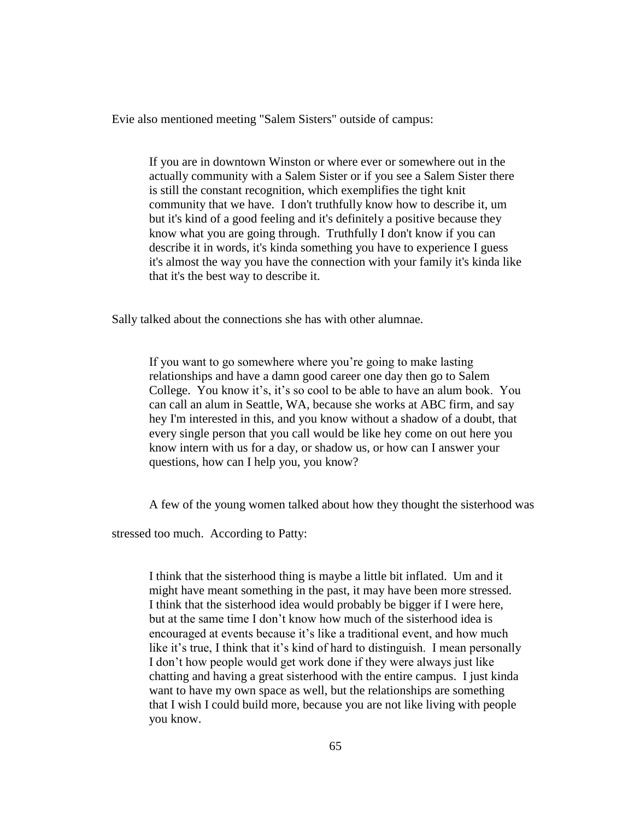Evie also mentioned meeting "Salem Sisters" outside of campus:

If you are in downtown Winston or where ever or somewhere out in the actually community with a Salem Sister or if you see a Salem Sister there is still the constant recognition, which exemplifies the tight knit community that we have. I don't truthfully know how to describe it, um but it's kind of a good feeling and it's definitely a positive because they know what you are going through. Truthfully I don't know if you can describe it in words, it's kinda something you have to experience I guess it's almost the way you have the connection with your family it's kinda like that it's the best way to describe it.

Sally talked about the connections she has with other alumnae.

If you want to go somewhere where you're going to make lasting relationships and have a damn good career one day then go to Salem College. You know it's, it's so cool to be able to have an alum book. You can call an alum in Seattle, WA, because she works at ABC firm, and say hey I'm interested in this, and you know without a shadow of a doubt, that every single person that you call would be like hey come on out here you know intern with us for a day, or shadow us, or how can I answer your questions, how can I help you, you know?

A few of the young women talked about how they thought the sisterhood was

stressed too much. According to Patty:

I think that the sisterhood thing is maybe a little bit inflated. Um and it might have meant something in the past, it may have been more stressed. I think that the sisterhood idea would probably be bigger if I were here, but at the same time I don't know how much of the sisterhood idea is encouraged at events because it's like a traditional event, and how much like it's true, I think that it's kind of hard to distinguish. I mean personally I don't how people would get work done if they were always just like chatting and having a great sisterhood with the entire campus. I just kinda want to have my own space as well, but the relationships are something that I wish I could build more, because you are not like living with people you know.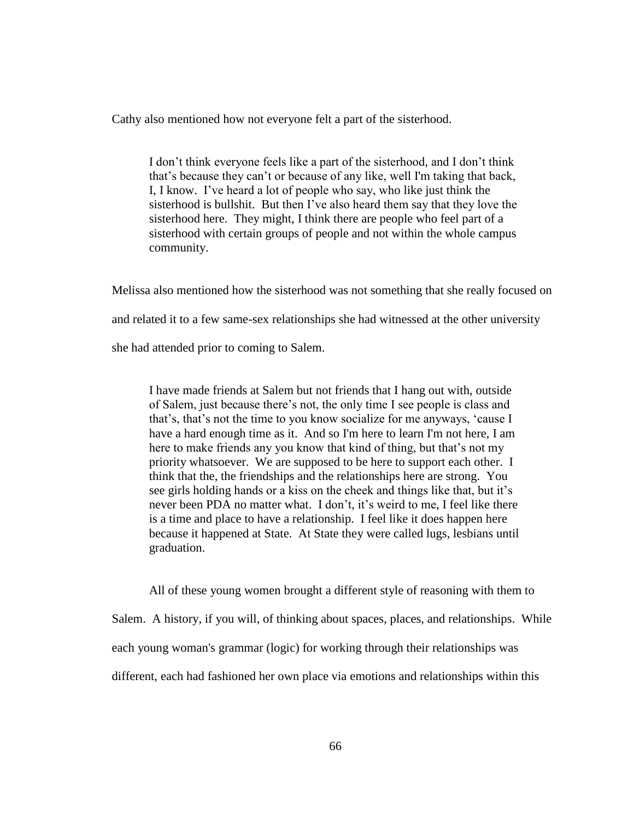Cathy also mentioned how not everyone felt a part of the sisterhood.

I don't think everyone feels like a part of the sisterhood, and I don't think that's because they can't or because of any like, well I'm taking that back, I, I know. I've heard a lot of people who say, who like just think the sisterhood is bullshit. But then I've also heard them say that they love the sisterhood here. They might, I think there are people who feel part of a sisterhood with certain groups of people and not within the whole campus community.

Melissa also mentioned how the sisterhood was not something that she really focused on and related it to a few same-sex relationships she had witnessed at the other university she had attended prior to coming to Salem.

I have made friends at Salem but not friends that I hang out with, outside of Salem, just because there's not, the only time I see people is class and that's, that's not the time to you know socialize for me anyways, 'cause I have a hard enough time as it. And so I'm here to learn I'm not here, I am here to make friends any you know that kind of thing, but that's not my priority whatsoever. We are supposed to be here to support each other. I think that the, the friendships and the relationships here are strong. You see girls holding hands or a kiss on the cheek and things like that, but it's never been PDA no matter what. I don't, it's weird to me, I feel like there is a time and place to have a relationship. I feel like it does happen here because it happened at State. At State they were called lugs, lesbians until graduation.

All of these young women brought a different style of reasoning with them to Salem. A history, if you will, of thinking about spaces, places, and relationships. While each young woman's grammar (logic) for working through their relationships was different, each had fashioned her own place via emotions and relationships within this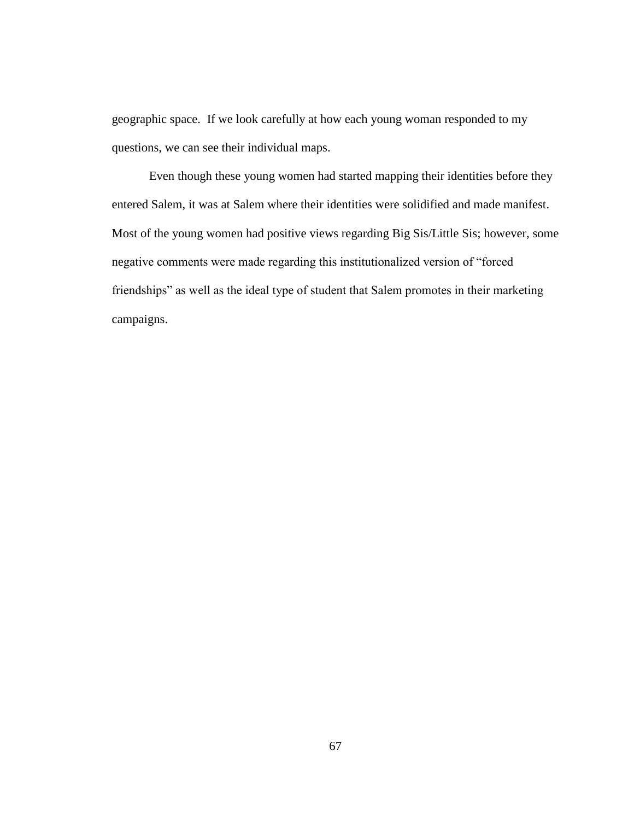geographic space. If we look carefully at how each young woman responded to my questions, we can see their individual maps.

Even though these young women had started mapping their identities before they entered Salem, it was at Salem where their identities were solidified and made manifest. Most of the young women had positive views regarding Big Sis/Little Sis; however, some negative comments were made regarding this institutionalized version of "forced friendships" as well as the ideal type of student that Salem promotes in their marketing campaigns.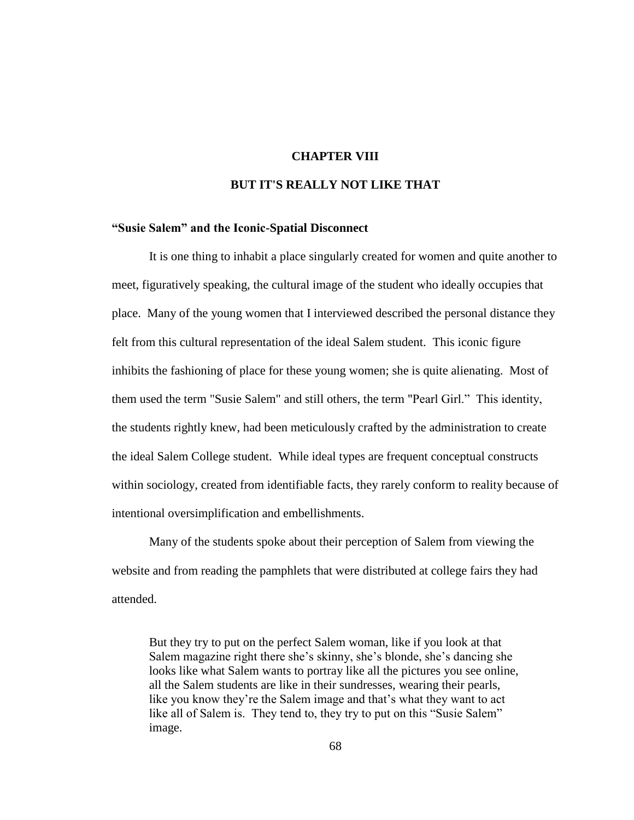#### **CHAPTER VIII**

### **BUT IT'S REALLY NOT LIKE THAT**

#### **"Susie Salem" and the Iconic-Spatial Disconnect**

It is one thing to inhabit a place singularly created for women and quite another to meet, figuratively speaking, the cultural image of the student who ideally occupies that place. Many of the young women that I interviewed described the personal distance they felt from this cultural representation of the ideal Salem student. This iconic figure inhibits the fashioning of place for these young women; she is quite alienating. Most of them used the term "Susie Salem" and still others, the term "Pearl Girl." This identity, the students rightly knew, had been meticulously crafted by the administration to create the ideal Salem College student. While ideal types are frequent conceptual constructs within sociology, created from identifiable facts, they rarely conform to reality because of intentional oversimplification and embellishments.

Many of the students spoke about their perception of Salem from viewing the website and from reading the pamphlets that were distributed at college fairs they had attended.

But they try to put on the perfect Salem woman, like if you look at that Salem magazine right there she's skinny, she's blonde, she's dancing she looks like what Salem wants to portray like all the pictures you see online, all the Salem students are like in their sundresses, wearing their pearls, like you know they're the Salem image and that's what they want to act like all of Salem is. They tend to, they try to put on this "Susie Salem" image.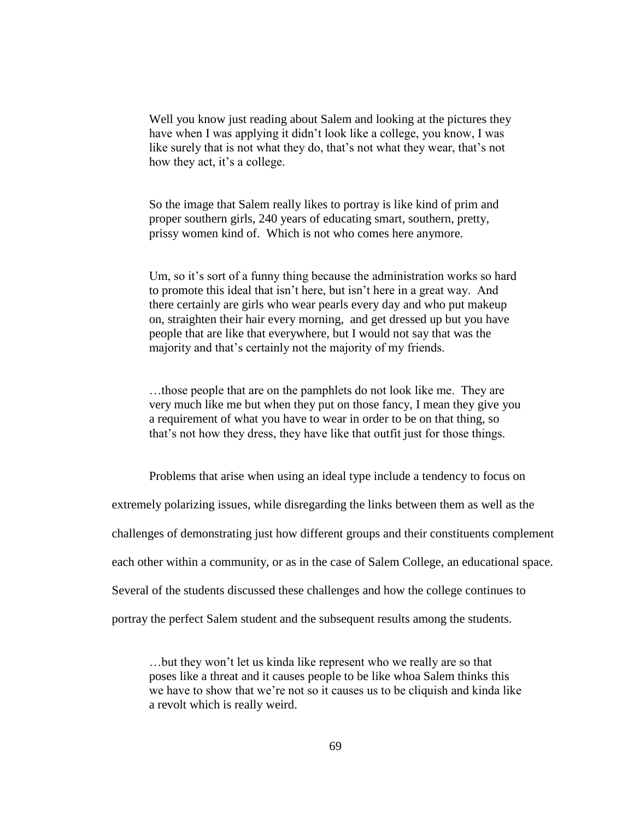Well you know just reading about Salem and looking at the pictures they have when I was applying it didn't look like a college, you know, I was like surely that is not what they do, that's not what they wear, that's not how they act, it's a college.

So the image that Salem really likes to portray is like kind of prim and proper southern girls, 240 years of educating smart, southern, pretty, prissy women kind of. Which is not who comes here anymore.

Um, so it's sort of a funny thing because the administration works so hard to promote this ideal that isn't here, but isn't here in a great way. And there certainly are girls who wear pearls every day and who put makeup on, straighten their hair every morning, and get dressed up but you have people that are like that everywhere, but I would not say that was the majority and that's certainly not the majority of my friends.

…those people that are on the pamphlets do not look like me. They are very much like me but when they put on those fancy, I mean they give you a requirement of what you have to wear in order to be on that thing, so that's not how they dress, they have like that outfit just for those things.

Problems that arise when using an ideal type include a tendency to focus on extremely polarizing issues, while disregarding the links between them as well as the challenges of demonstrating just how different groups and their constituents complement each other within a community, or as in the case of Salem College, an educational space. Several of the students discussed these challenges and how the college continues to portray the perfect Salem student and the subsequent results among the students.

…but they won't let us kinda like represent who we really are so that poses like a threat and it causes people to be like whoa Salem thinks this we have to show that we're not so it causes us to be cliquish and kinda like a revolt which is really weird.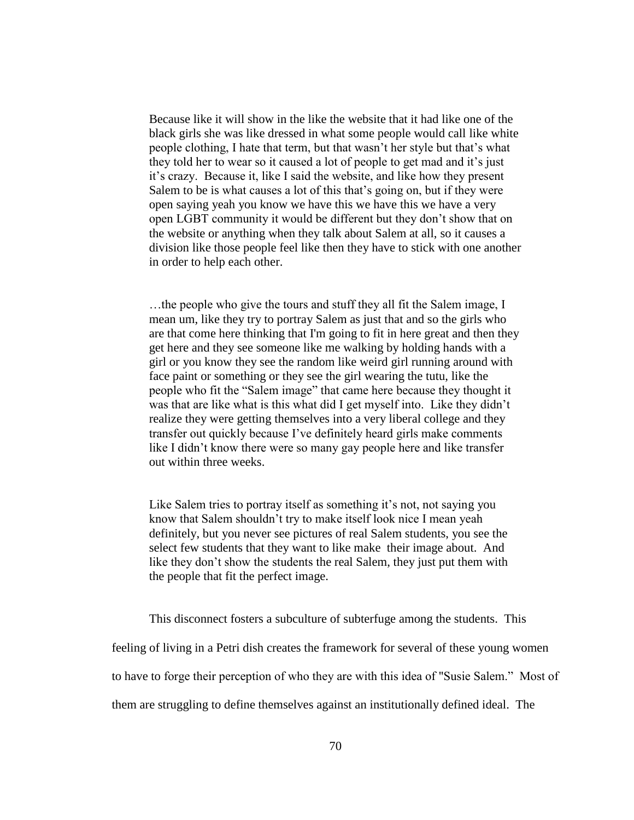Because like it will show in the like the website that it had like one of the black girls she was like dressed in what some people would call like white people clothing, I hate that term, but that wasn't her style but that's what they told her to wear so it caused a lot of people to get mad and it's just it's crazy. Because it, like I said the website, and like how they present Salem to be is what causes a lot of this that's going on, but if they were open saying yeah you know we have this we have this we have a very open LGBT community it would be different but they don't show that on the website or anything when they talk about Salem at all, so it causes a division like those people feel like then they have to stick with one another in order to help each other.

…the people who give the tours and stuff they all fit the Salem image, I mean um, like they try to portray Salem as just that and so the girls who are that come here thinking that I'm going to fit in here great and then they get here and they see someone like me walking by holding hands with a girl or you know they see the random like weird girl running around with face paint or something or they see the girl wearing the tutu, like the people who fit the "Salem image" that came here because they thought it was that are like what is this what did I get myself into. Like they didn't realize they were getting themselves into a very liberal college and they transfer out quickly because I've definitely heard girls make comments like I didn't know there were so many gay people here and like transfer out within three weeks.

Like Salem tries to portray itself as something it's not, not saying you know that Salem shouldn't try to make itself look nice I mean yeah definitely, but you never see pictures of real Salem students, you see the select few students that they want to like make their image about. And like they don't show the students the real Salem, they just put them with the people that fit the perfect image.

This disconnect fosters a subculture of subterfuge among the students. This

feeling of living in a Petri dish creates the framework for several of these young women

to have to forge their perception of who they are with this idea of "Susie Salem." Most of

them are struggling to define themselves against an institutionally defined ideal. The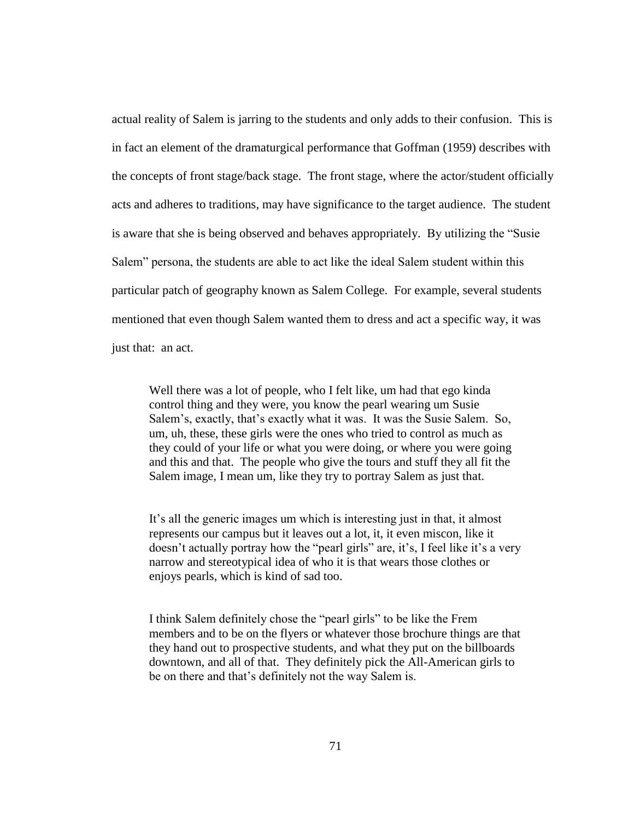actual reality of Salem is jarring to the students and only adds to their confusion. This is in fact an element of the dramaturgical performance that Goffman (1959) describes with the concepts of front stage/back stage. The front stage, where the actor/student officially acts and adheres to traditions, may have significance to the target audience. The student is aware that she is being observed and behaves appropriately. By utilizing the "Susie Salem" persona, the students are able to act like the ideal Salem student within this particular patch of geography known as Salem College. For example, several students mentioned that even though Salem wanted them to dress and act a specific way, it was just that: an act.

Well there was a lot of people, who I felt like, um had that ego kinda control thing and they were, you know the pearl wearing um Susie Salem's, exactly, that's exactly what it was. It was the Susie Salem. So, um, uh, these, these girls were the ones who tried to control as much as they could of your life or what you were doing, or where you were going and this and that. The people who give the tours and stuff they all fit the Salem image, I mean um, like they try to portray Salem as just that.

It's all the generic images um which is interesting just in that, it almost represents our campus but it leaves out a lot, it, it even miscon, like it doesn't actually portray how the "pearl girls" are, it's, I feel like it's a very narrow and stereotypical idea of who it is that wears those clothes or enjoys pearls, which is kind of sad too.

I think Salem definitely chose the "pearl girls" to be like the Frem members and to be on the flyers or whatever those brochure things are that they hand out to prospective students, and what they put on the billboards downtown, and all of that. They definitely pick the All-American girls to be on there and that's definitely not the way Salem is.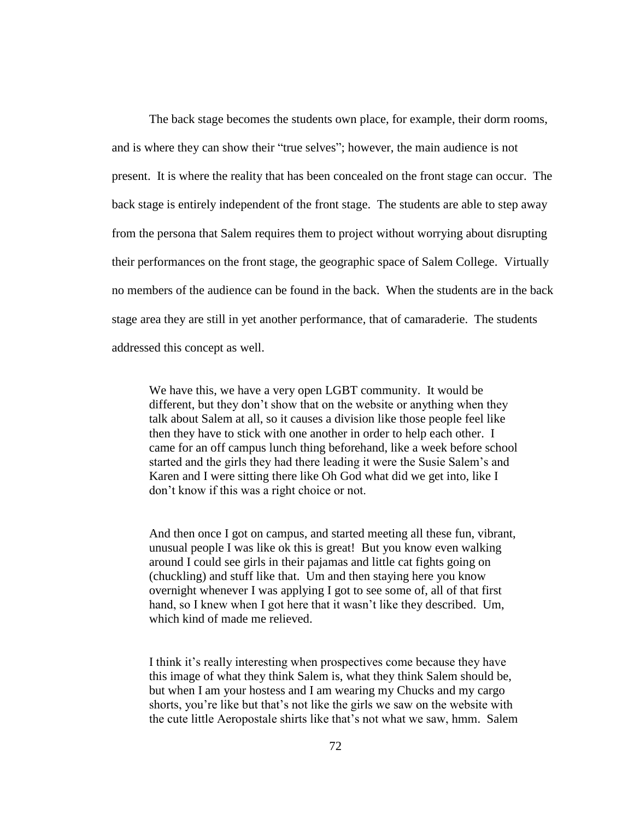The back stage becomes the students own place, for example, their dorm rooms, and is where they can show their "true selves"; however, the main audience is not present. It is where the reality that has been concealed on the front stage can occur. The back stage is entirely independent of the front stage. The students are able to step away from the persona that Salem requires them to project without worrying about disrupting their performances on the front stage, the geographic space of Salem College. Virtually no members of the audience can be found in the back. When the students are in the back stage area they are still in yet another performance, that of camaraderie. The students addressed this concept as well.

We have this, we have a very open LGBT community. It would be different, but they don't show that on the website or anything when they talk about Salem at all, so it causes a division like those people feel like then they have to stick with one another in order to help each other. I came for an off campus lunch thing beforehand, like a week before school started and the girls they had there leading it were the Susie Salem's and Karen and I were sitting there like Oh God what did we get into, like I don't know if this was a right choice or not.

And then once I got on campus, and started meeting all these fun, vibrant, unusual people I was like ok this is great! But you know even walking around I could see girls in their pajamas and little cat fights going on (chuckling) and stuff like that. Um and then staying here you know overnight whenever I was applying I got to see some of, all of that first hand, so I knew when I got here that it wasn't like they described. Um, which kind of made me relieved.

I think it's really interesting when prospectives come because they have this image of what they think Salem is, what they think Salem should be, but when I am your hostess and I am wearing my Chucks and my cargo shorts, you're like but that's not like the girls we saw on the website with the cute little Aeropostale shirts like that's not what we saw, hmm. Salem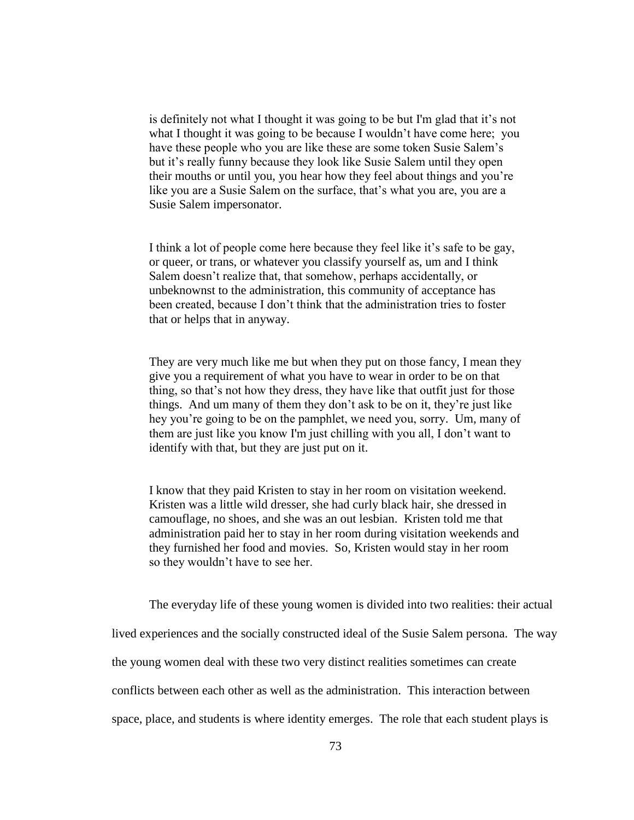is definitely not what I thought it was going to be but I'm glad that it's not what I thought it was going to be because I wouldn't have come here; you have these people who you are like these are some token Susie Salem's but it's really funny because they look like Susie Salem until they open their mouths or until you, you hear how they feel about things and you're like you are a Susie Salem on the surface, that's what you are, you are a Susie Salem impersonator.

I think a lot of people come here because they feel like it's safe to be gay, or queer, or trans, or whatever you classify yourself as, um and I think Salem doesn't realize that, that somehow, perhaps accidentally, or unbeknownst to the administration, this community of acceptance has been created, because I don't think that the administration tries to foster that or helps that in anyway.

They are very much like me but when they put on those fancy, I mean they give you a requirement of what you have to wear in order to be on that thing, so that's not how they dress, they have like that outfit just for those things. And um many of them they don't ask to be on it, they're just like hey you're going to be on the pamphlet, we need you, sorry. Um, many of them are just like you know I'm just chilling with you all, I don't want to identify with that, but they are just put on it.

I know that they paid Kristen to stay in her room on visitation weekend. Kristen was a little wild dresser, she had curly black hair, she dressed in camouflage, no shoes, and she was an out lesbian. Kristen told me that administration paid her to stay in her room during visitation weekends and they furnished her food and movies. So, Kristen would stay in her room so they wouldn't have to see her.

The everyday life of these young women is divided into two realities: their actual

lived experiences and the socially constructed ideal of the Susie Salem persona. The way

the young women deal with these two very distinct realities sometimes can create

conflicts between each other as well as the administration. This interaction between

space, place, and students is where identity emerges. The role that each student plays is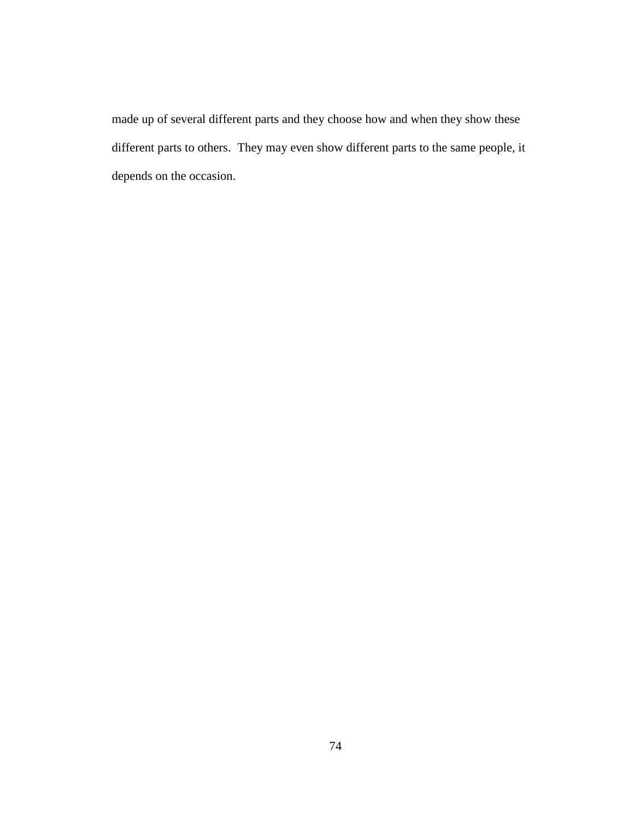made up of several different parts and they choose how and when they show these different parts to others. They may even show different parts to the same people, it depends on the occasion.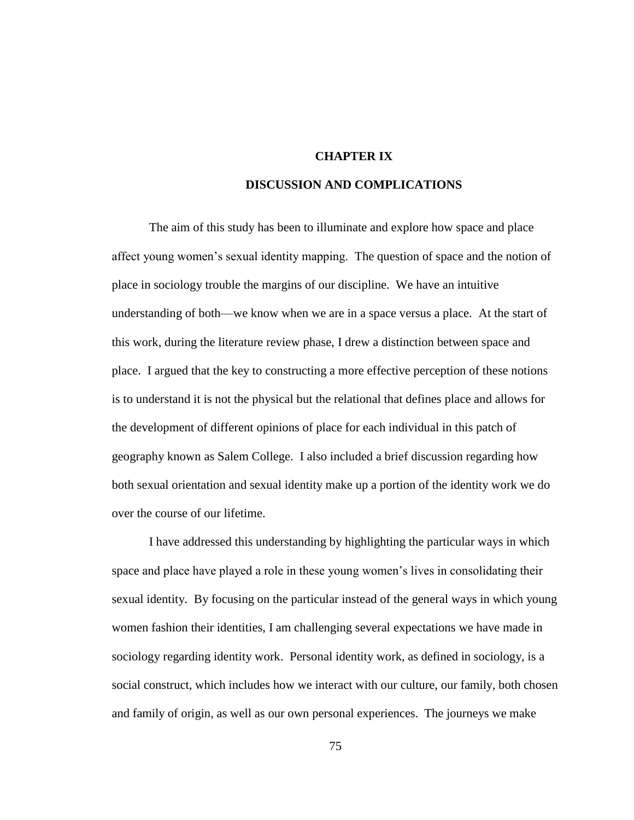#### **CHAPTER IX**

# **DISCUSSION AND COMPLICATIONS**

The aim of this study has been to illuminate and explore how space and place affect young women's sexual identity mapping. The question of space and the notion of place in sociology trouble the margins of our discipline. We have an intuitive understanding of both—we know when we are in a space versus a place. At the start of this work, during the literature review phase, I drew a distinction between space and place. I argued that the key to constructing a more effective perception of these notions is to understand it is not the physical but the relational that defines place and allows for the development of different opinions of place for each individual in this patch of geography known as Salem College. I also included a brief discussion regarding how both sexual orientation and sexual identity make up a portion of the identity work we do over the course of our lifetime.

I have addressed this understanding by highlighting the particular ways in which space and place have played a role in these young women's lives in consolidating their sexual identity. By focusing on the particular instead of the general ways in which young women fashion their identities, I am challenging several expectations we have made in sociology regarding identity work. Personal identity work, as defined in sociology, is a social construct, which includes how we interact with our culture, our family, both chosen and family of origin, as well as our own personal experiences. The journeys we make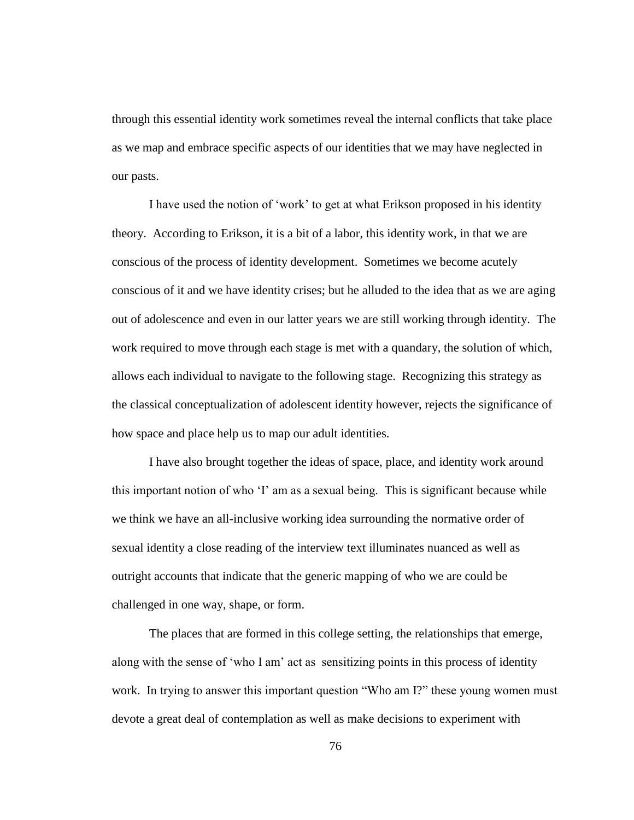through this essential identity work sometimes reveal the internal conflicts that take place as we map and embrace specific aspects of our identities that we may have neglected in our pasts.

I have used the notion of 'work' to get at what Erikson proposed in his identity theory. According to Erikson, it is a bit of a labor, this identity work, in that we are conscious of the process of identity development. Sometimes we become acutely conscious of it and we have identity crises; but he alluded to the idea that as we are aging out of adolescence and even in our latter years we are still working through identity. The work required to move through each stage is met with a quandary, the solution of which, allows each individual to navigate to the following stage. Recognizing this strategy as the classical conceptualization of adolescent identity however, rejects the significance of how space and place help us to map our adult identities.

I have also brought together the ideas of space, place, and identity work around this important notion of who 'I' am as a sexual being. This is significant because while we think we have an all-inclusive working idea surrounding the normative order of sexual identity a close reading of the interview text illuminates nuanced as well as outright accounts that indicate that the generic mapping of who we are could be challenged in one way, shape, or form.

The places that are formed in this college setting, the relationships that emerge, along with the sense of 'who I am' act as sensitizing points in this process of identity work. In trying to answer this important question "Who am I?" these young women must devote a great deal of contemplation as well as make decisions to experiment with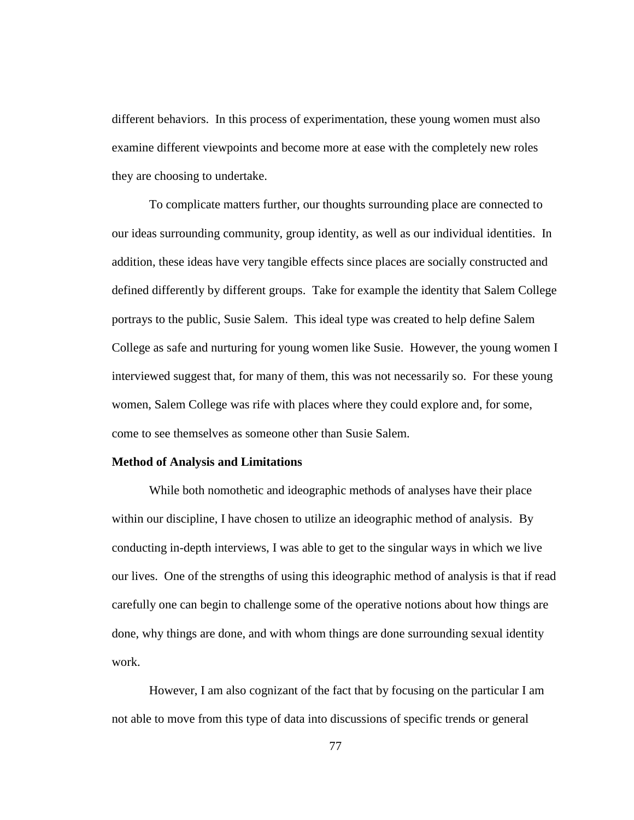different behaviors. In this process of experimentation, these young women must also examine different viewpoints and become more at ease with the completely new roles they are choosing to undertake.

To complicate matters further, our thoughts surrounding place are connected to our ideas surrounding community, group identity, as well as our individual identities. In addition, these ideas have very tangible effects since places are socially constructed and defined differently by different groups. Take for example the identity that Salem College portrays to the public, Susie Salem. This ideal type was created to help define Salem College as safe and nurturing for young women like Susie. However, the young women I interviewed suggest that, for many of them, this was not necessarily so. For these young women, Salem College was rife with places where they could explore and, for some, come to see themselves as someone other than Susie Salem.

#### **Method of Analysis and Limitations**

While both nomothetic and ideographic methods of analyses have their place within our discipline, I have chosen to utilize an ideographic method of analysis. By conducting in-depth interviews, I was able to get to the singular ways in which we live our lives. One of the strengths of using this ideographic method of analysis is that if read carefully one can begin to challenge some of the operative notions about how things are done, why things are done, and with whom things are done surrounding sexual identity work.

However, I am also cognizant of the fact that by focusing on the particular I am not able to move from this type of data into discussions of specific trends or general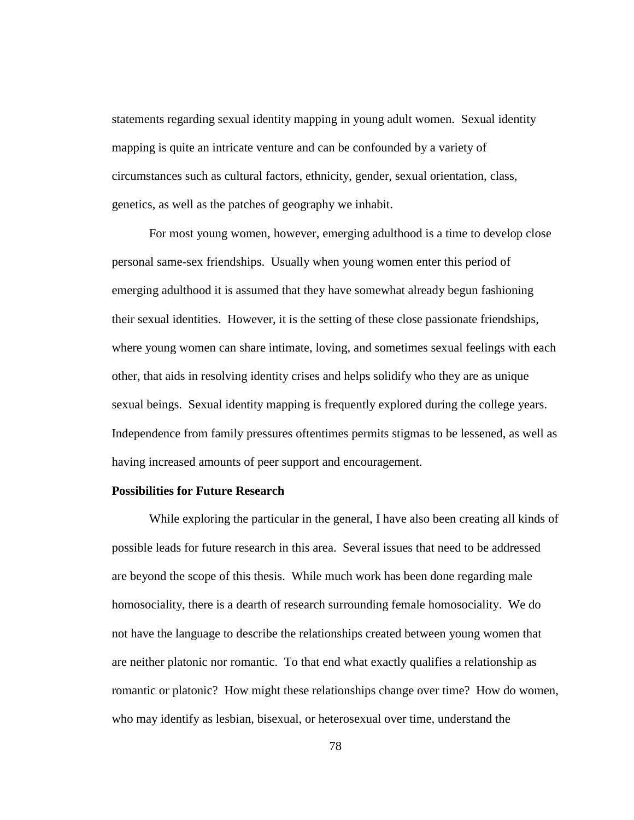statements regarding sexual identity mapping in young adult women. Sexual identity mapping is quite an intricate venture and can be confounded by a variety of circumstances such as cultural factors, ethnicity, gender, sexual orientation, class, genetics, as well as the patches of geography we inhabit.

For most young women, however, emerging adulthood is a time to develop close personal same-sex friendships. Usually when young women enter this period of emerging adulthood it is assumed that they have somewhat already begun fashioning their sexual identities. However, it is the setting of these close passionate friendships, where young women can share intimate, loving, and sometimes sexual feelings with each other, that aids in resolving identity crises and helps solidify who they are as unique sexual beings. Sexual identity mapping is frequently explored during the college years. Independence from family pressures oftentimes permits stigmas to be lessened, as well as having increased amounts of peer support and encouragement.

### **Possibilities for Future Research**

While exploring the particular in the general, I have also been creating all kinds of possible leads for future research in this area. Several issues that need to be addressed are beyond the scope of this thesis. While much work has been done regarding male homosociality, there is a dearth of research surrounding female homosociality. We do not have the language to describe the relationships created between young women that are neither platonic nor romantic. To that end what exactly qualifies a relationship as romantic or platonic? How might these relationships change over time? How do women, who may identify as lesbian, bisexual, or heterosexual over time, understand the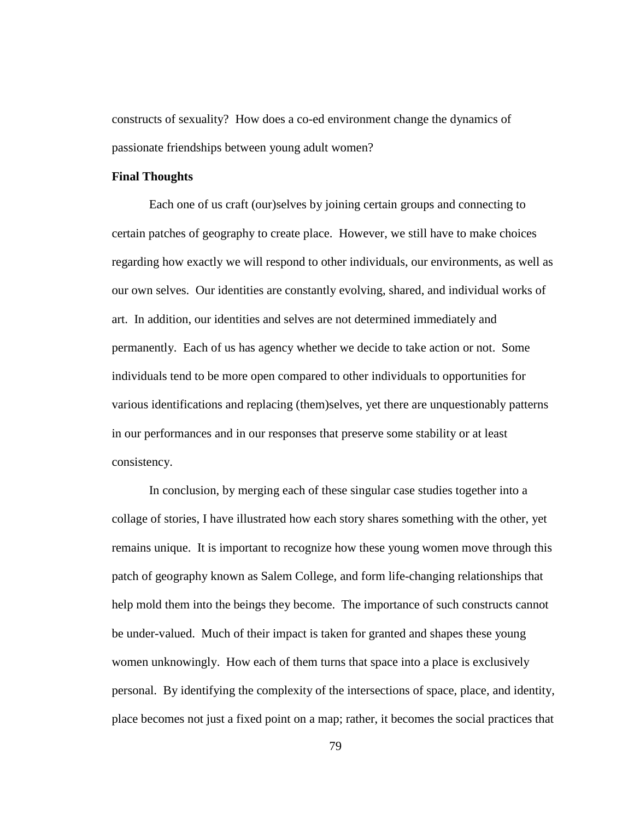constructs of sexuality? How does a co-ed environment change the dynamics of passionate friendships between young adult women?

#### **Final Thoughts**

Each one of us craft (our)selves by joining certain groups and connecting to certain patches of geography to create place. However, we still have to make choices regarding how exactly we will respond to other individuals, our environments, as well as our own selves. Our identities are constantly evolving, shared, and individual works of art. In addition, our identities and selves are not determined immediately and permanently. Each of us has agency whether we decide to take action or not. Some individuals tend to be more open compared to other individuals to opportunities for various identifications and replacing (them)selves, yet there are unquestionably patterns in our performances and in our responses that preserve some stability or at least consistency.

In conclusion, by merging each of these singular case studies together into a collage of stories, I have illustrated how each story shares something with the other, yet remains unique. It is important to recognize how these young women move through this patch of geography known as Salem College, and form life-changing relationships that help mold them into the beings they become. The importance of such constructs cannot be under-valued. Much of their impact is taken for granted and shapes these young women unknowingly. How each of them turns that space into a place is exclusively personal. By identifying the complexity of the intersections of space, place, and identity, place becomes not just a fixed point on a map; rather, it becomes the social practices that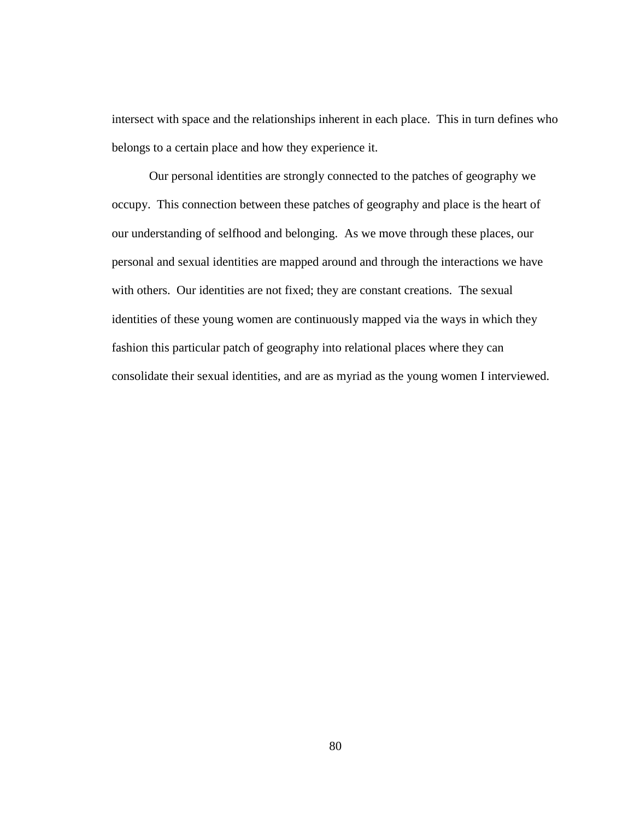intersect with space and the relationships inherent in each place. This in turn defines who belongs to a certain place and how they experience it.

Our personal identities are strongly connected to the patches of geography we occupy. This connection between these patches of geography and place is the heart of our understanding of selfhood and belonging. As we move through these places, our personal and sexual identities are mapped around and through the interactions we have with others. Our identities are not fixed; they are constant creations. The sexual identities of these young women are continuously mapped via the ways in which they fashion this particular patch of geography into relational places where they can consolidate their sexual identities, and are as myriad as the young women I interviewed.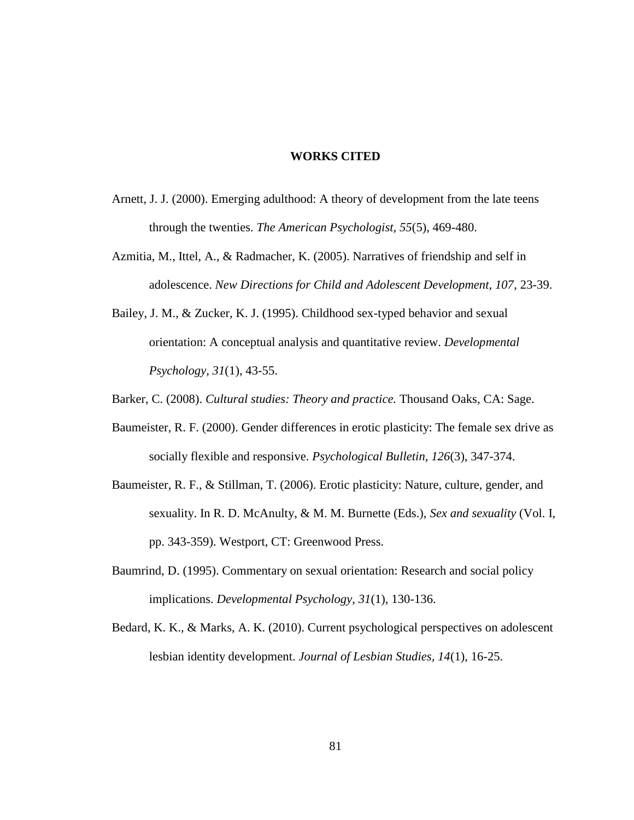#### **WORKS CITED**

- Arnett, J. J. (2000). Emerging adulthood: A theory of development from the late teens through the twenties. *The American Psychologist, 55*(5), 469-480.
- Azmitia, M., Ittel, A., & Radmacher, K. (2005). Narratives of friendship and self in adolescence. *New Directions for Child and Adolescent Development, 107*, 23-39.
- Bailey, J. M., & Zucker, K. J. (1995). Childhood sex-typed behavior and sexual orientation: A conceptual analysis and quantitative review. *Developmental Psychology, 31*(1), 43-55.
- Barker, C. (2008). *Cultural studies: Theory and practice.* Thousand Oaks, CA: Sage.
- Baumeister, R. F. (2000). Gender differences in erotic plasticity: The female sex drive as socially flexible and responsive. *Psychological Bulletin, 126*(3), 347-374.
- Baumeister, R. F., & Stillman, T. (2006). Erotic plasticity: Nature, culture, gender, and sexuality. In R. D. McAnulty, & M. M. Burnette (Eds.), *Sex and sexuality* (Vol. I, pp. 343-359). Westport, CT: Greenwood Press.
- Baumrind, D. (1995). Commentary on sexual orientation: Research and social policy implications. *Developmental Psychology, 31*(1), 130-136.
- Bedard, K. K., & Marks, A. K. (2010). Current psychological perspectives on adolescent lesbian identity development. *Journal of Lesbian Studies, 14*(1), 16-25.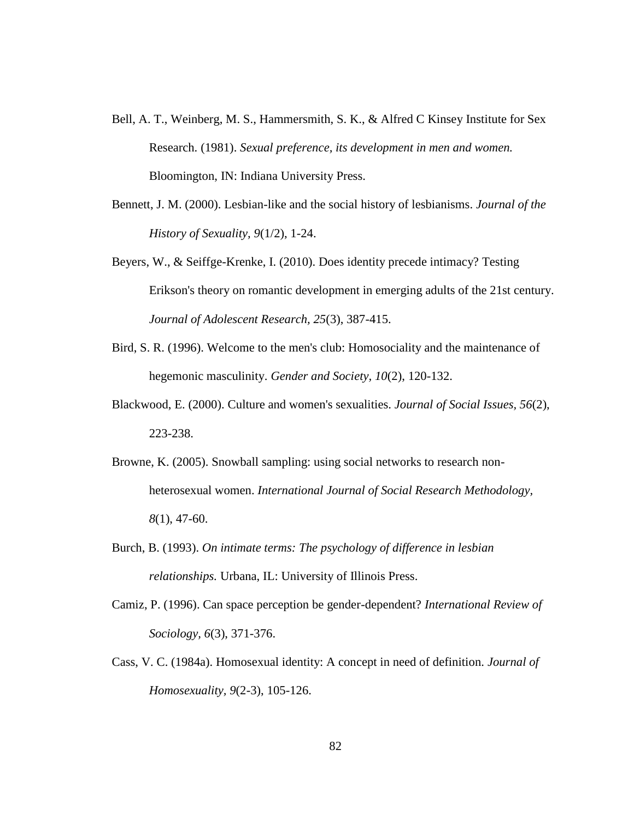- Bell, A. T., Weinberg, M. S., Hammersmith, S. K., & Alfred C Kinsey Institute for Sex Research. (1981). *Sexual preference, its development in men and women.* Bloomington, IN: Indiana University Press.
- Bennett, J. M. (2000). Lesbian-like and the social history of lesbianisms. *Journal of the History of Sexuality, 9*(1/2), 1-24.
- Beyers, W., & Seiffge-Krenke, I. (2010). Does identity precede intimacy? Testing Erikson's theory on romantic development in emerging adults of the 21st century. *Journal of Adolescent Research, 25*(3), 387-415.
- Bird, S. R. (1996). Welcome to the men's club: Homosociality and the maintenance of hegemonic masculinity. *Gender and Society, 10*(2), 120-132.
- Blackwood, E. (2000). Culture and women's sexualities. *Journal of Social Issues, 56*(2), 223-238.
- Browne, K. (2005). Snowball sampling: using social networks to research nonheterosexual women. *International Journal of Social Research Methodology, 8*(1), 47-60.
- Burch, B. (1993). *On intimate terms: The psychology of difference in lesbian relationships.* Urbana, IL: University of Illinois Press.
- Camiz, P. (1996). Can space perception be gender-dependent? *International Review of Sociology, 6*(3), 371-376.
- Cass, V. C. (1984a). Homosexual identity: A concept in need of definition. *Journal of Homosexuality, 9*(2-3), 105-126.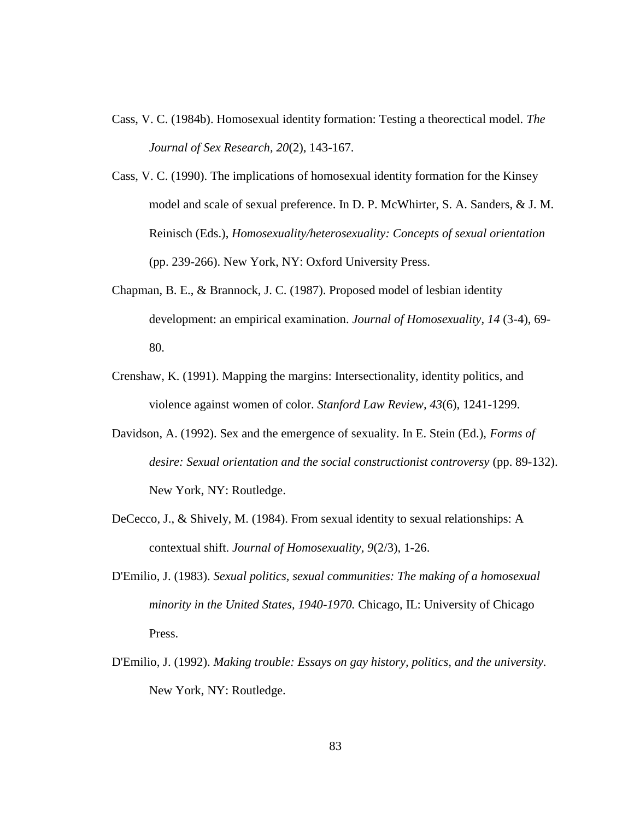- Cass, V. C. (1984b). Homosexual identity formation: Testing a theorectical model. *The Journal of Sex Research, 20*(2), 143-167.
- Cass, V. C. (1990). The implications of homosexual identity formation for the Kinsey model and scale of sexual preference. In D. P. McWhirter, S. A. Sanders, & J. M. Reinisch (Eds.), *Homosexuality/heterosexuality: Concepts of sexual orientation* (pp. 239-266). New York, NY: Oxford University Press.
- Chapman, B. E., & Brannock, J. C. (1987). Proposed model of lesbian identity development: an empirical examination. *Journal of Homosexuality, 14* (3-4), 69- 80.
- Crenshaw, K. (1991). Mapping the margins: Intersectionality, identity politics, and violence against women of color. *Stanford Law Review, 43*(6), 1241-1299.
- Davidson, A. (1992). Sex and the emergence of sexuality. In E. Stein (Ed.), *Forms of desire: Sexual orientation and the social constructionist controversy* (pp. 89-132). New York, NY: Routledge.
- DeCecco, J., & Shively, M. (1984). From sexual identity to sexual relationships: A contextual shift. *Journal of Homosexuality, 9*(2/3), 1-26.
- D'Emilio, J. (1983). *Sexual politics, sexual communities: The making of a homosexual minority in the United States, 1940-1970.* Chicago, IL: University of Chicago Press.
- D'Emilio, J. (1992). *Making trouble: Essays on gay history, politics, and the university.* New York, NY: Routledge.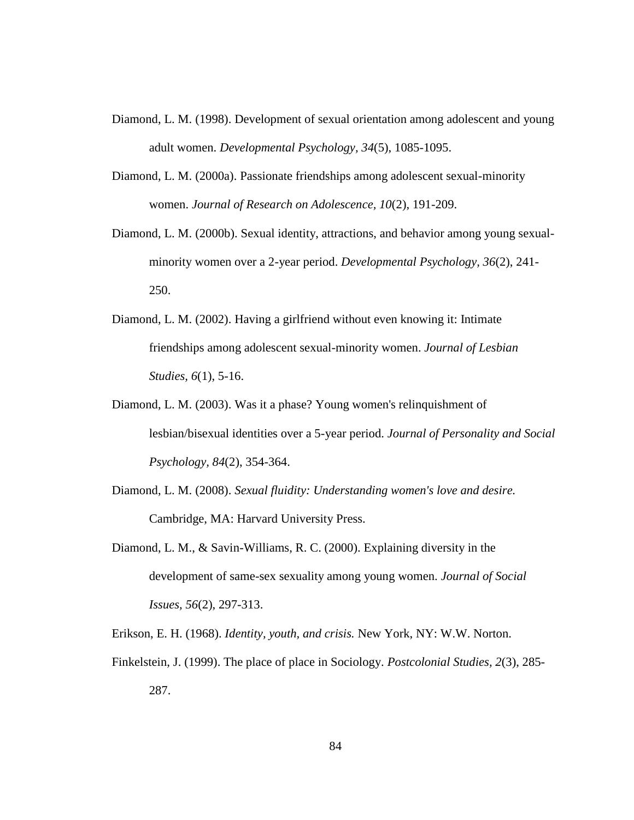- Diamond, L. M. (1998). Development of sexual orientation among adolescent and young adult women. *Developmental Psychology, 34*(5), 1085-1095.
- Diamond, L. M. (2000a). Passionate friendships among adolescent sexual-minority women. *Journal of Research on Adolescence, 10*(2), 191-209.
- Diamond, L. M. (2000b). Sexual identity, attractions, and behavior among young sexualminority women over a 2-year period. *Developmental Psychology, 36*(2), 241- 250.
- Diamond, L. M. (2002). Having a girlfriend without even knowing it: Intimate friendships among adolescent sexual-minority women. *Journal of Lesbian Studies, 6*(1), 5-16.
- Diamond, L. M. (2003). Was it a phase? Young women's relinquishment of lesbian/bisexual identities over a 5-year period. *Journal of Personality and Social Psychology, 84*(2), 354-364.
- Diamond, L. M. (2008). *Sexual fluidity: Understanding women's love and desire.* Cambridge, MA: Harvard University Press.
- Diamond, L. M., & Savin-Williams, R. C. (2000). Explaining diversity in the development of same-sex sexuality among young women. *Journal of Social Issues, 56*(2), 297-313.
- Erikson, E. H. (1968). *Identity, youth, and crisis.* New York, NY: W.W. Norton.
- Finkelstein, J. (1999). The place of place in Sociology. *Postcolonial Studies, 2*(3), 285- 287.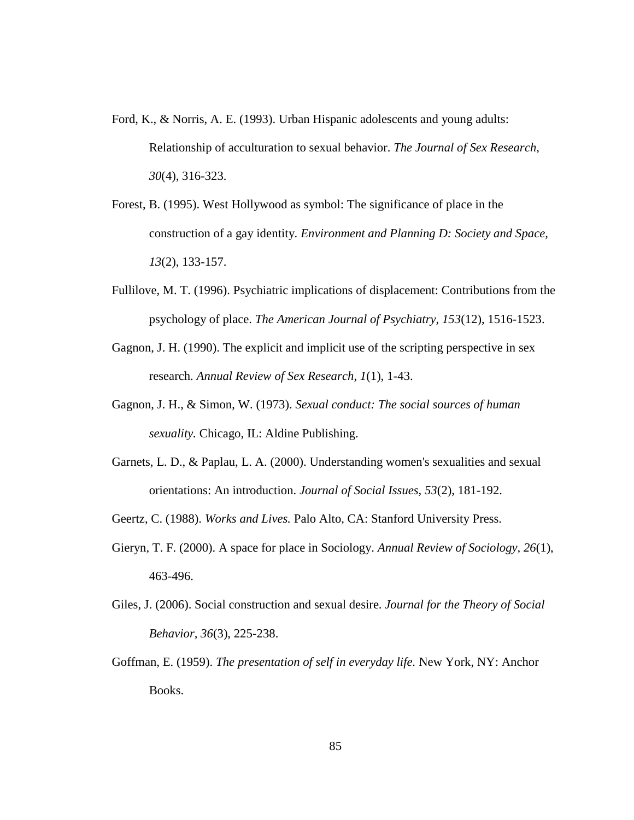- Ford, K., & Norris, A. E. (1993). Urban Hispanic adolescents and young adults: Relationship of acculturation to sexual behavior. *The Journal of Sex Research, 30*(4), 316-323.
- Forest, B. (1995). West Hollywood as symbol: The significance of place in the construction of a gay identity. *Environment and Planning D: Society and Space, 13*(2), 133-157.
- Fullilove, M. T. (1996). Psychiatric implications of displacement: Contributions from the psychology of place. *The American Journal of Psychiatry, 153*(12), 1516-1523.
- Gagnon, J. H. (1990). The explicit and implicit use of the scripting perspective in sex research. *Annual Review of Sex Research, 1*(1), 1-43.
- Gagnon, J. H., & Simon, W. (1973). *Sexual conduct: The social sources of human sexuality.* Chicago, IL: Aldine Publishing.
- Garnets, L. D., & Paplau, L. A. (2000). Understanding women's sexualities and sexual orientations: An introduction. *Journal of Social Issues, 53*(2), 181-192.
- Geertz, C. (1988). *Works and Lives.* Palo Alto, CA: Stanford University Press.
- Gieryn, T. F. (2000). A space for place in Sociology. *Annual Review of Sociology, 26*(1), 463-496.
- Giles, J. (2006). Social construction and sexual desire. *Journal for the Theory of Social Behavior, 36*(3), 225-238.
- Goffman, E. (1959). *The presentation of self in everyday life.* New York, NY: Anchor Books.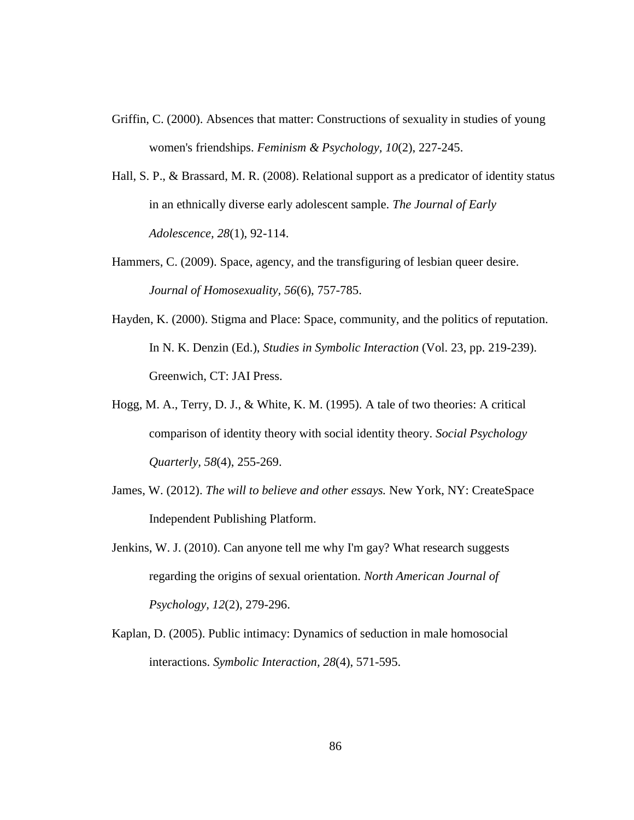- Griffin, C. (2000). Absences that matter: Constructions of sexuality in studies of young women's friendships. *Feminism & Psychology, 10*(2), 227-245.
- Hall, S. P., & Brassard, M. R. (2008). Relational support as a predicator of identity status in an ethnically diverse early adolescent sample. *The Journal of Early Adolescence, 28*(1), 92-114.
- Hammers, C. (2009). Space, agency, and the transfiguring of lesbian queer desire. *Journal of Homosexuality, 56*(6), 757-785.
- Hayden, K. (2000). Stigma and Place: Space, community, and the politics of reputation. In N. K. Denzin (Ed.), *Studies in Symbolic Interaction* (Vol. 23, pp. 219-239). Greenwich, CT: JAI Press.
- Hogg, M. A., Terry, D. J., & White, K. M. (1995). A tale of two theories: A critical comparison of identity theory with social identity theory. *Social Psychology Quarterly, 58*(4), 255-269.
- James, W. (2012). *The will to believe and other essays.* New York, NY: CreateSpace Independent Publishing Platform.
- Jenkins, W. J. (2010). Can anyone tell me why I'm gay? What research suggests regarding the origins of sexual orientation. *North American Journal of Psychology, 12*(2), 279-296.
- Kaplan, D. (2005). Public intimacy: Dynamics of seduction in male homosocial interactions. *Symbolic Interaction, 28*(4), 571-595.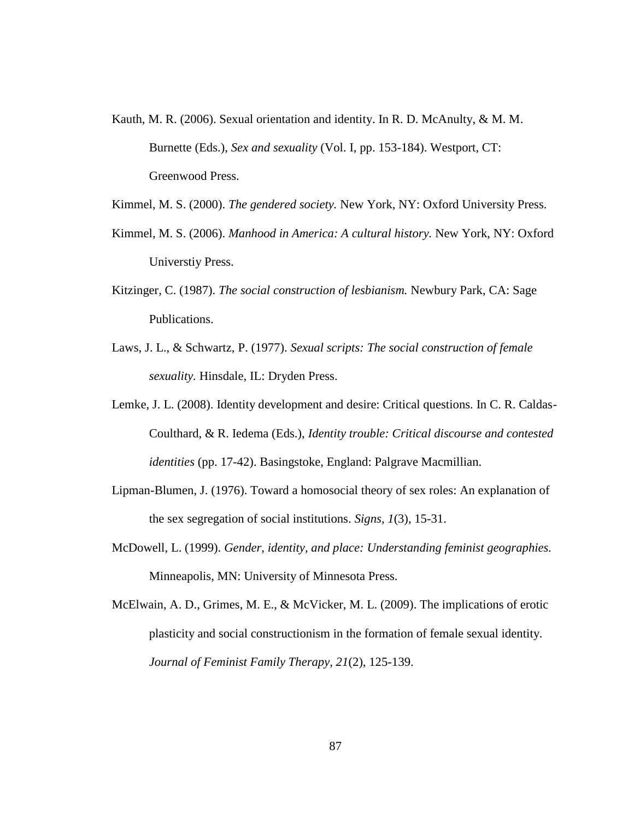- Kauth, M. R. (2006). Sexual orientation and identity. In R. D. McAnulty, & M. M. Burnette (Eds.), *Sex and sexuality* (Vol. I, pp. 153-184). Westport, CT: Greenwood Press.
- Kimmel, M. S. (2000). *The gendered society.* New York, NY: Oxford University Press.
- Kimmel, M. S. (2006). *Manhood in America: A cultural history.* New York, NY: Oxford Universtiy Press.
- Kitzinger, C. (1987). *The social construction of lesbianism.* Newbury Park, CA: Sage Publications.
- Laws, J. L., & Schwartz, P. (1977). *Sexual scripts: The social construction of female sexuality.* Hinsdale, IL: Dryden Press.
- Lemke, J. L. (2008). Identity development and desire: Critical questions. In C. R. Caldas-Coulthard, & R. Iedema (Eds.), *Identity trouble: Critical discourse and contested identities* (pp. 17-42). Basingstoke, England: Palgrave Macmillian.
- Lipman-Blumen, J. (1976). Toward a homosocial theory of sex roles: An explanation of the sex segregation of social institutions. *Signs, 1*(3), 15-31.
- McDowell, L. (1999). *Gender, identity, and place: Understanding feminist geographies.* Minneapolis, MN: University of Minnesota Press.
- McElwain, A. D., Grimes, M. E., & McVicker, M. L. (2009). The implications of erotic plasticity and social constructionism in the formation of female sexual identity. *Journal of Feminist Family Therapy, 21*(2), 125-139.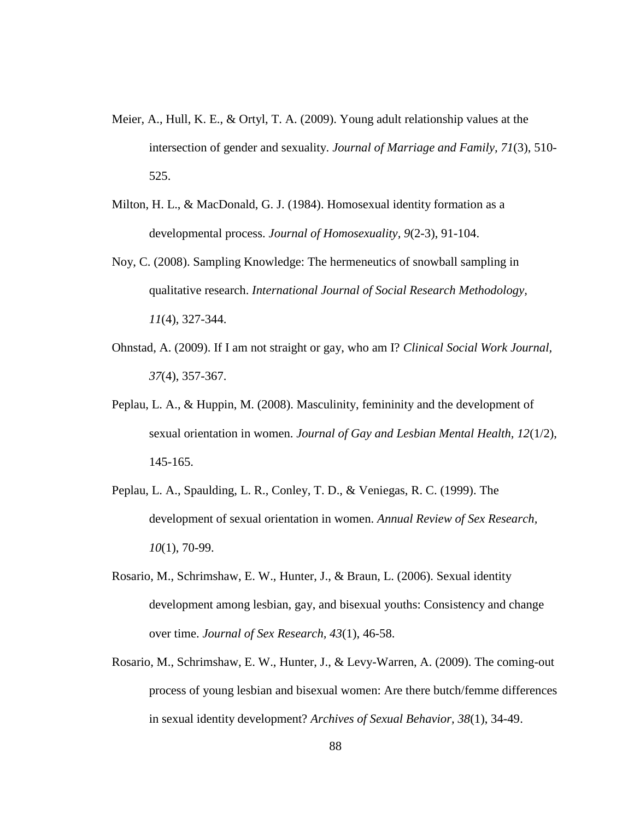- Meier, A., Hull, K. E., & Ortyl, T. A. (2009). Young adult relationship values at the intersection of gender and sexuality. *Journal of Marriage and Family, 71*(3), 510- 525.
- Milton, H. L., & MacDonald, G. J. (1984). Homosexual identity formation as a developmental process. *Journal of Homosexuality, 9*(2-3), 91-104.
- Noy, C. (2008). Sampling Knowledge: The hermeneutics of snowball sampling in qualitative research. *International Journal of Social Research Methodology, 11*(4), 327-344.
- Ohnstad, A. (2009). If I am not straight or gay, who am I? *Clinical Social Work Journal, 37*(4), 357-367.
- Peplau, L. A., & Huppin, M. (2008). Masculinity, femininity and the development of sexual orientation in women. *Journal of Gay and Lesbian Mental Health, 12*(1/2), 145-165.
- Peplau, L. A., Spaulding, L. R., Conley, T. D., & Veniegas, R. C. (1999). The development of sexual orientation in women. *Annual Review of Sex Research, 10*(1), 70-99.
- Rosario, M., Schrimshaw, E. W., Hunter, J., & Braun, L. (2006). Sexual identity development among lesbian, gay, and bisexual youths: Consistency and change over time. *Journal of Sex Research, 43*(1), 46-58.
- Rosario, M., Schrimshaw, E. W., Hunter, J., & Levy-Warren, A. (2009). The coming-out process of young lesbian and bisexual women: Are there butch/femme differences in sexual identity development? *Archives of Sexual Behavior, 38*(1), 34-49.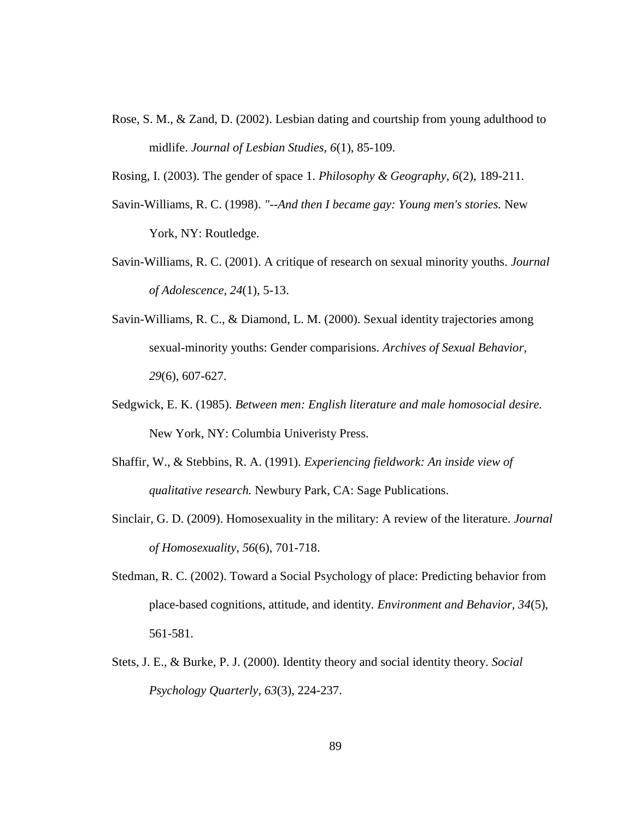Rose, S. M., & Zand, D. (2002). Lesbian dating and courtship from young adulthood to midlife. *Journal of Lesbian Studies, 6*(1), 85-109.

Rosing, I. (2003). The gender of space 1. *Philosophy & Geography, 6*(2), 189-211.

- Savin-Williams, R. C. (1998). *"--And then I became gay: Young men's stories.* New York, NY: Routledge.
- Savin-Williams, R. C. (2001). A critique of research on sexual minority youths. *Journal of Adolescence, 24*(1), 5-13.
- Savin-Williams, R. C., & Diamond, L. M. (2000). Sexual identity trajectories among sexual-minority youths: Gender comparisions. *Archives of Sexual Behavior, 29*(6), 607-627.
- Sedgwick, E. K. (1985). *Between men: English literature and male homosocial desire.* New York, NY: Columbia Univeristy Press.
- Shaffir, W., & Stebbins, R. A. (1991). *Experiencing fieldwork: An inside view of qualitative research.* Newbury Park, CA: Sage Publications.
- Sinclair, G. D. (2009). Homosexuality in the military: A review of the literature. *Journal of Homosexuality, 56*(6), 701-718.
- Stedman, R. C. (2002). Toward a Social Psychology of place: Predicting behavior from place-based cognitions, attitude, and identity. *Environment and Behavior, 34*(5), 561-581.
- Stets, J. E., & Burke, P. J. (2000). Identity theory and social identity theory. *Social Psychology Quarterly, 63*(3), 224-237.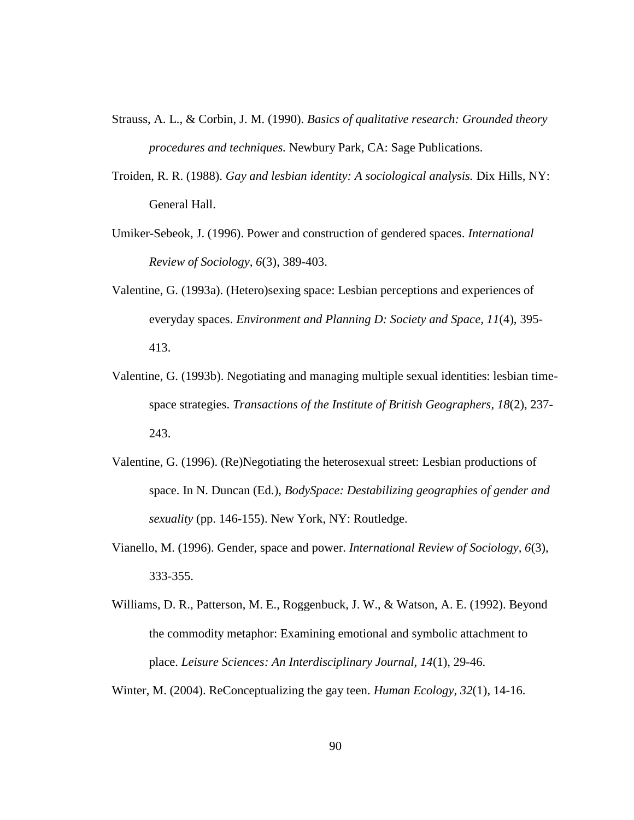- Strauss, A. L., & Corbin, J. M. (1990). *Basics of qualitative research: Grounded theory procedures and techniques.* Newbury Park, CA: Sage Publications.
- Troiden, R. R. (1988). *Gay and lesbian identity: A sociological analysis.* Dix Hills, NY: General Hall.
- Umiker-Sebeok, J. (1996). Power and construction of gendered spaces. *International Review of Sociology, 6*(3), 389-403.
- Valentine, G. (1993a). (Hetero)sexing space: Lesbian perceptions and experiences of everyday spaces. *Environment and Planning D: Society and Space, 11*(4), 395- 413.
- Valentine, G. (1993b). Negotiating and managing multiple sexual identities: lesbian timespace strategies. *Transactions of the Institute of British Geographers, 18*(2), 237- 243.
- Valentine, G. (1996). (Re)Negotiating the heterosexual street: Lesbian productions of space. In N. Duncan (Ed.), *BodySpace: Destabilizing geographies of gender and sexuality* (pp. 146-155). New York, NY: Routledge.
- Vianello, M. (1996). Gender, space and power. *International Review of Sociology, 6*(3), 333-355.
- Williams, D. R., Patterson, M. E., Roggenbuck, J. W., & Watson, A. E. (1992). Beyond the commodity metaphor: Examining emotional and symbolic attachment to place. *Leisure Sciences: An Interdisciplinary Journal, 14*(1), 29-46.

Winter, M. (2004). ReConceptualizing the gay teen. *Human Ecology, 32*(1), 14-16.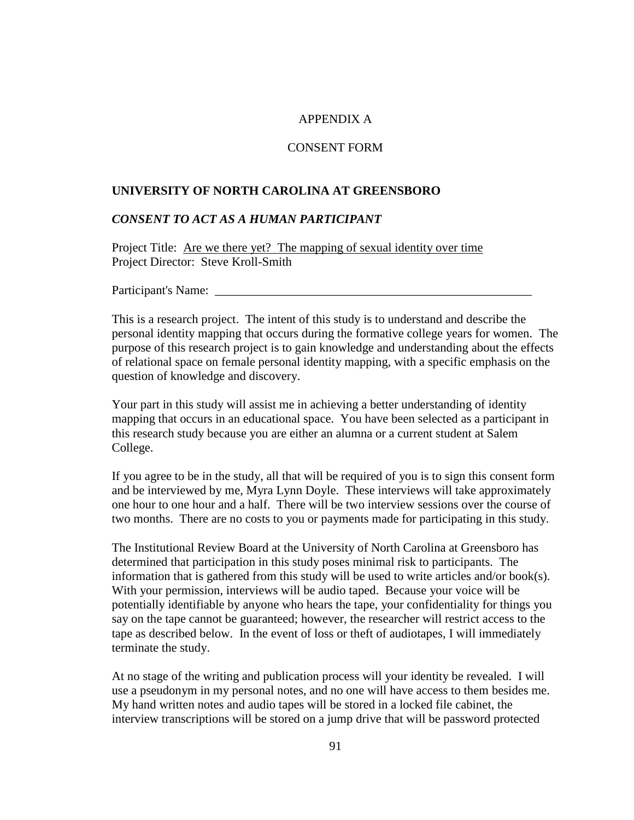### APPENDIX A

### CONSENT FORM

### **UNIVERSITY OF NORTH CAROLINA AT GREENSBORO**

### *CONSENT TO ACT AS A HUMAN PARTICIPANT*

Project Title: <u>Are we there yet? The mapping of sexual identity over time</u> Project Director: Steve Kroll-Smith

Participant's Name:

This is a research project. The intent of this study is to understand and describe the personal identity mapping that occurs during the formative college years for women. The purpose of this research project is to gain knowledge and understanding about the effects of relational space on female personal identity mapping, with a specific emphasis on the question of knowledge and discovery.

Your part in this study will assist me in achieving a better understanding of identity mapping that occurs in an educational space. You have been selected as a participant in this research study because you are either an alumna or a current student at Salem College.

If you agree to be in the study, all that will be required of you is to sign this consent form and be interviewed by me, Myra Lynn Doyle. These interviews will take approximately one hour to one hour and a half. There will be two interview sessions over the course of two months. There are no costs to you or payments made for participating in this study.

The Institutional Review Board at the University of North Carolina at Greensboro has determined that participation in this study poses minimal risk to participants. The information that is gathered from this study will be used to write articles and/or book(s). With your permission, interviews will be audio taped. Because your voice will be potentially identifiable by anyone who hears the tape, your confidentiality for things you say on the tape cannot be guaranteed; however, the researcher will restrict access to the tape as described below. In the event of loss or theft of audiotapes, I will immediately terminate the study.

At no stage of the writing and publication process will your identity be revealed. I will use a pseudonym in my personal notes, and no one will have access to them besides me. My hand written notes and audio tapes will be stored in a locked file cabinet, the interview transcriptions will be stored on a jump drive that will be password protected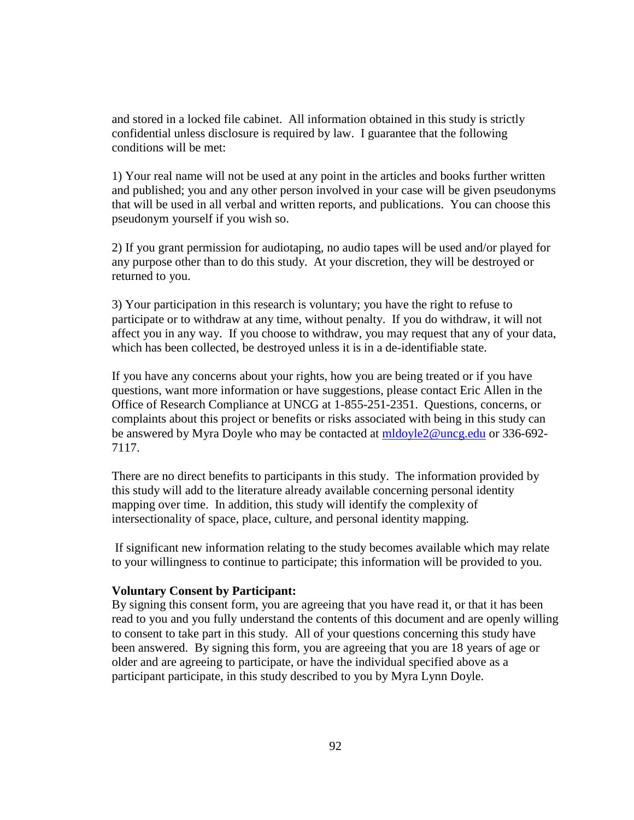and stored in a locked file cabinet. All information obtained in this study is strictly confidential unless disclosure is required by law. I guarantee that the following conditions will be met:

1) Your real name will not be used at any point in the articles and books further written and published; you and any other person involved in your case will be given pseudonyms that will be used in all verbal and written reports, and publications. You can choose this pseudonym yourself if you wish so.

2) If you grant permission for audiotaping, no audio tapes will be used and/or played for any purpose other than to do this study. At your discretion, they will be destroyed or returned to you.

3) Your participation in this research is voluntary; you have the right to refuse to participate or to withdraw at any time, without penalty. If you do withdraw, it will not affect you in any way. If you choose to withdraw, you may request that any of your data, which has been collected, be destroyed unless it is in a de-identifiable state.

If you have any concerns about your rights, how you are being treated or if you have questions, want more information or have suggestions, please contact Eric Allen in the Office of Research Compliance at UNCG at 1-855-251-2351. Questions, concerns, or complaints about this project or benefits or risks associated with being in this study can be answered by Myra Doyle who may be contacted at [mldoyle2@uncg.edu](mailto:mldoyle2@uncg.edu) or 336-692- 7117.

There are no direct benefits to participants in this study. The information provided by this study will add to the literature already available concerning personal identity mapping over time. In addition, this study will identify the complexity of intersectionality of space, place, culture, and personal identity mapping.

If significant new information relating to the study becomes available which may relate to your willingness to continue to participate; this information will be provided to you.

#### **Voluntary Consent by Participant:**

By signing this consent form, you are agreeing that you have read it, or that it has been read to you and you fully understand the contents of this document and are openly willing to consent to take part in this study. All of your questions concerning this study have been answered. By signing this form, you are agreeing that you are 18 years of age or older and are agreeing to participate, or have the individual specified above as a participant participate, in this study described to you by Myra Lynn Doyle.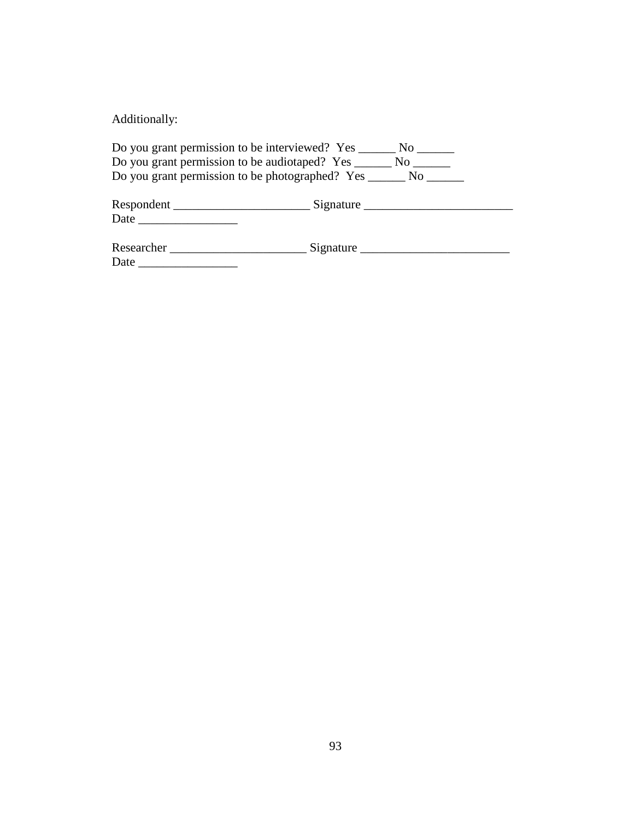Additionally:

|                                                                                                                                                                                                                               | Do you grant permission to be interviewed? Yes ________ No _______    |  |
|-------------------------------------------------------------------------------------------------------------------------------------------------------------------------------------------------------------------------------|-----------------------------------------------------------------------|--|
| Do you grant permission to be audiotaped? Yes ________ No _______                                                                                                                                                             |                                                                       |  |
|                                                                                                                                                                                                                               | Do you grant permission to be photographed? Yes _________ No ________ |  |
|                                                                                                                                                                                                                               |                                                                       |  |
| Date and the same state of the state of the state of the state of the state of the state of the state of the state of the state of the state of the state of the state of the state of the state of the state of the state of |                                                                       |  |
| Researcher                                                                                                                                                                                                                    | Signature                                                             |  |
| Date                                                                                                                                                                                                                          |                                                                       |  |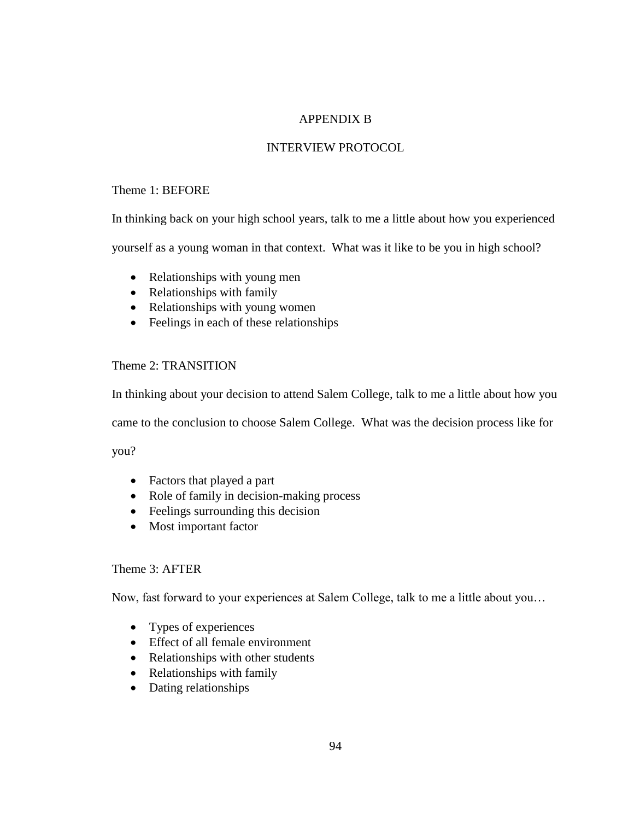# APPENDIX B

# INTERVIEW PROTOCOL

# Theme 1: BEFORE

In thinking back on your high school years, talk to me a little about how you experienced

yourself as a young woman in that context. What was it like to be you in high school?

- Relationships with young men
- Relationships with family
- Relationships with young women
- Feelings in each of these relationships

# Theme 2: TRANSITION

In thinking about your decision to attend Salem College, talk to me a little about how you

came to the conclusion to choose Salem College. What was the decision process like for

you?

- Factors that played a part
- Role of family in decision-making process
- Feelings surrounding this decision
- Most important factor

## Theme 3: AFTER

Now, fast forward to your experiences at Salem College, talk to me a little about you…

- Types of experiences
- Effect of all female environment
- Relationships with other students
- Relationships with family
- Dating relationships